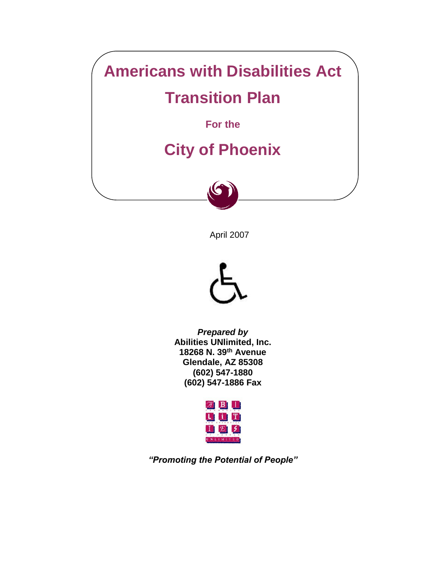# **Americans with Disabilities Act**

## **Transition Plan**

**For the**

## **City of Phoenix**



April 2007



*Prepared by*  **Abilities UNlimited, Inc. 18268 N. 39th Avenue Glendale, AZ 85308 (602) 547-1880 (602) 547-1886 Fax**



*"Promoting the Potential of People"*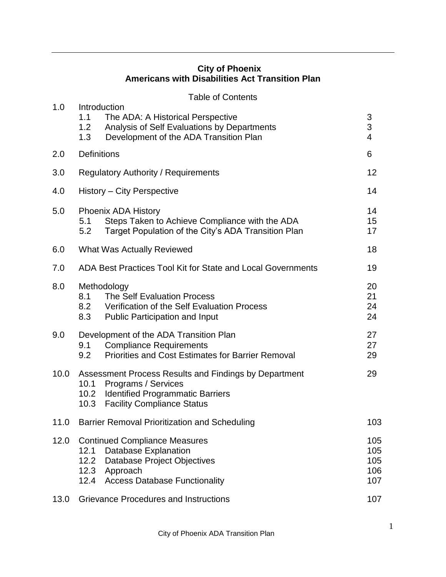## **City of Phoenix Americans with Disabilities Act Transition Plan**

|      |                              | <b>Table of Contents</b>                                                                                                                                     |                                              |
|------|------------------------------|--------------------------------------------------------------------------------------------------------------------------------------------------------------|----------------------------------------------|
| 1.0  | 1.1<br>1.2<br>1.3            | Introduction<br>The ADA: A Historical Perspective<br>Analysis of Self Evaluations by Departments<br>Development of the ADA Transition Plan                   | 3<br>$\mathbf{3}$<br>$\overline{\mathbf{4}}$ |
| 2.0  | <b>Definitions</b>           |                                                                                                                                                              | 6                                            |
| 3.0  |                              | <b>Regulatory Authority / Requirements</b>                                                                                                                   | 12                                           |
| 4.0  |                              | History – City Perspective                                                                                                                                   | 14                                           |
| 5.0  | 5.1<br>5.2                   | <b>Phoenix ADA History</b><br>Steps Taken to Achieve Compliance with the ADA<br>Target Population of the City's ADA Transition Plan                          | 14<br>15<br>17                               |
| 6.0  |                              | <b>What Was Actually Reviewed</b>                                                                                                                            | 18                                           |
| 7.0  |                              | ADA Best Practices Tool Kit for State and Local Governments                                                                                                  | 19                                           |
| 8.0  | 8.1<br>8.2<br>8.3            | Methodology<br>The Self Evaluation Process<br>Verification of the Self Evaluation Process<br><b>Public Participation and Input</b>                           | 20<br>21<br>24<br>24                         |
| 9.0  | 9.1<br>9.2                   | Development of the ADA Transition Plan<br><b>Compliance Requirements</b><br><b>Priorities and Cost Estimates for Barrier Removal</b>                         | 27<br>27<br>29                               |
| 10.0 | 10.1<br>10.2<br>10.3         | Assessment Process Results and Findings by Department<br>Programs / Services<br><b>Identified Programmatic Barriers</b><br><b>Facility Compliance Status</b> | 29                                           |
| 11.0 |                              | <b>Barrier Removal Prioritization and Scheduling</b>                                                                                                         | 103                                          |
| 12.0 | 12.1<br>12.2<br>12.3<br>12.4 | <b>Continued Compliance Measures</b><br><b>Database Explanation</b><br>Database Project Objectives<br>Approach<br><b>Access Database Functionality</b>       | 105<br>105<br>105<br>106<br>107              |
| 13.0 |                              | <b>Grievance Procedures and Instructions</b>                                                                                                                 | 107                                          |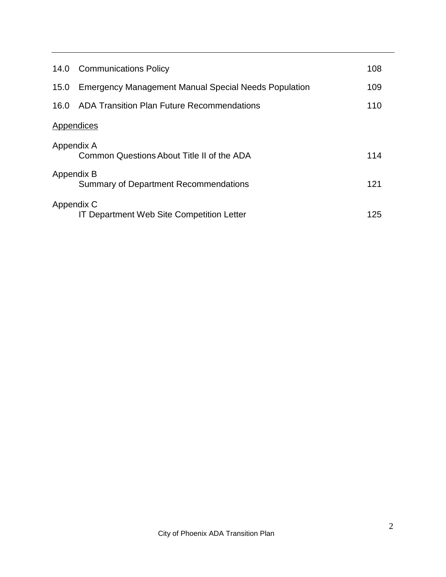|            | 14.0 Communications Policy                                  | 108 |  |  |
|------------|-------------------------------------------------------------|-----|--|--|
| 15.0       | <b>Emergency Management Manual Special Needs Population</b> | 109 |  |  |
| 16.0       | ADA Transition Plan Future Recommendations                  | 110 |  |  |
| Appendices |                                                             |     |  |  |
| Appendix A | Common Questions About Title II of the ADA                  | 114 |  |  |
| Appendix B | <b>Summary of Department Recommendations</b>                | 121 |  |  |
| Appendix C | <b>IT Department Web Site Competition Letter</b>            | 125 |  |  |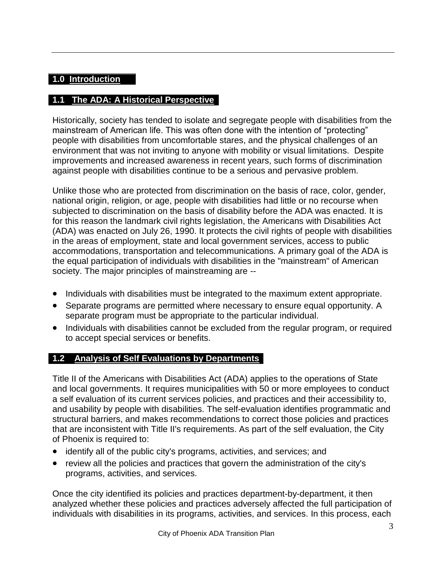#### **1.0 Introduction**

#### **1.1 The ADA: A Historical Perspective**

Historically, society has tended to isolate and segregate people with disabilities from the mainstream of American life. This was often done with the intention of "protecting" people with disabilities from uncomfortable stares, and the physical challenges of an environment that was not inviting to anyone with mobility or visual limitations. Despite improvements and increased awareness in recent years, such forms of discrimination against people with disabilities continue to be a serious and pervasive problem.

Unlike those who are protected from discrimination on the basis of race, color, gender, national origin, religion, or age, people with disabilities had little or no recourse when subjected to discrimination on the basis of disability before the ADA was enacted. It is for this reason the landmark civil rights legislation, the Americans with Disabilities Act (ADA) was enacted on July 26, 1990. It protects the civil rights of people with disabilities in the areas of employment, state and local government services, access to public accommodations, transportation and telecommunications. A primary goal of the ADA is the equal participation of individuals with disabilities in the "mainstream" of American society. The major principles of mainstreaming are --

- Individuals with disabilities must be integrated to the maximum extent appropriate.
- Separate programs are permitted where necessary to ensure equal opportunity. A separate program must be appropriate to the particular individual.
- Individuals with disabilities cannot be excluded from the regular program, or required to accept special services or benefits.

#### **1.2 Analysis of Self Evaluations by Departments**

Title II of the Americans with Disabilities Act (ADA) applies to the operations of State and local governments. It requires municipalities with 50 or more employees to conduct a self evaluation of its current services policies, and practices and their accessibility to, and usability by people with disabilities. The self-evaluation identifies programmatic and structural barriers, and makes recommendations to correct those policies and practices that are inconsistent with Title II's requirements. As part of the self evaluation, the City of Phoenix is required to:

- identify all of the public city's programs, activities, and services; and
- review all the policies and practices that govern the administration of the city's programs, activities, and services.

Once the city identified its policies and practices department-by-department, it then analyzed whether these policies and practices adversely affected the full participation of individuals with disabilities in its programs, activities, and services. In this process, each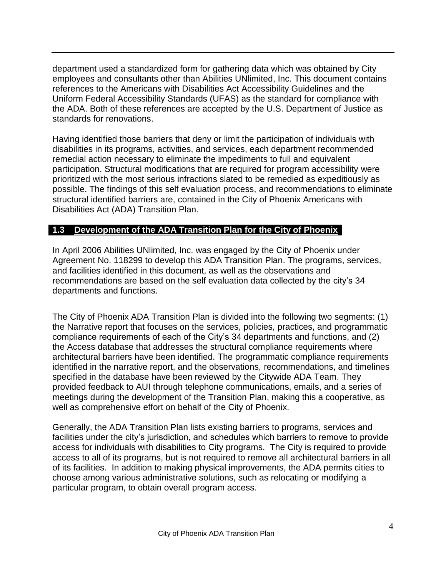department used a standardized form for gathering data which was obtained by City employees and consultants other than Abilities UNlimited, Inc. This document contains references to the Americans with Disabilities Act Accessibility Guidelines and the Uniform Federal Accessibility Standards (UFAS) as the standard for compliance with the ADA. Both of these references are accepted by the U.S. Department of Justice as standards for renovations.

Having identified those barriers that deny or limit the participation of individuals with disabilities in its programs, activities, and services, each department recommended remedial action necessary to eliminate the impediments to full and equivalent participation. Structural modifications that are required for program accessibility were prioritized with the most serious infractions slated to be remedied as expeditiously as possible. The findings of this self evaluation process, and recommendations to eliminate structural identified barriers are, contained in the City of Phoenix Americans with Disabilities Act (ADA) Transition Plan.

## **1.3 Development of the ADA Transition Plan for the City of Phoenix**

In April 2006 Abilities UNlimited, Inc. was engaged by the City of Phoenix under Agreement No. 118299 to develop this ADA Transition Plan. The programs, services, and facilities identified in this document, as well as the observations and recommendations are based on the self evaluation data collected by the city's 34 departments and functions.

The City of Phoenix ADA Transition Plan is divided into the following two segments: (1) the Narrative report that focuses on the services, policies, practices, and programmatic compliance requirements of each of the City's 34 departments and functions, and (2) the Access database that addresses the structural compliance requirements where architectural barriers have been identified. The programmatic compliance requirements identified in the narrative report, and the observations, recommendations, and timelines specified in the database have been reviewed by the Citywide ADA Team. They provided feedback to AUI through telephone communications, emails, and a series of meetings during the development of the Transition Plan, making this a cooperative, as well as comprehensive effort on behalf of the City of Phoenix.

Generally, the ADA Transition Plan lists existing barriers to programs, services and facilities under the city's jurisdiction, and schedules which barriers to remove to provide access for individuals with disabilities to City programs. The City is required to provide access to all of its programs, but is not required to remove all architectural barriers in all of its facilities. In addition to making physical improvements, the ADA permits cities to choose among various administrative solutions, such as relocating or modifying a particular program, to obtain overall program access.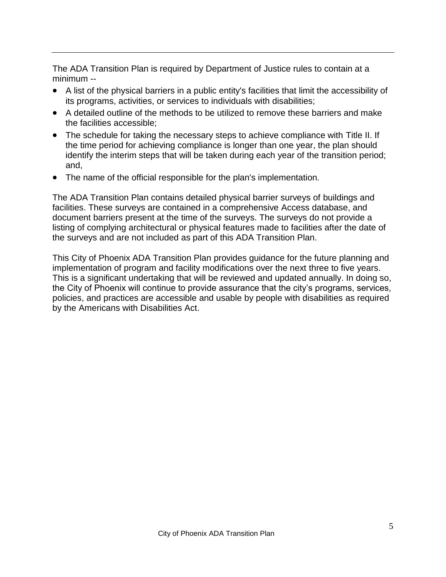The ADA Transition Plan is required by Department of Justice rules to contain at a minimum --

- A list of the physical barriers in a public entity's facilities that limit the accessibility of its programs, activities, or services to individuals with disabilities;
- A detailed outline of the methods to be utilized to remove these barriers and make the facilities accessible;
- The schedule for taking the necessary steps to achieve compliance with Title II. If the time period for achieving compliance is longer than one year, the plan should identify the interim steps that will be taken during each year of the transition period; and,
- The name of the official responsible for the plan's implementation.

The ADA Transition Plan contains detailed physical barrier surveys of buildings and facilities. These surveys are contained in a comprehensive Access database, and document barriers present at the time of the surveys. The surveys do not provide a listing of complying architectural or physical features made to facilities after the date of the surveys and are not included as part of this ADA Transition Plan.

This City of Phoenix ADA Transition Plan provides guidance for the future planning and implementation of program and facility modifications over the next three to five years. This is a significant undertaking that will be reviewed and updated annually. In doing so, the City of Phoenix will continue to provide assurance that the city's programs, services, policies, and practices are accessible and usable by people with disabilities as required by the Americans with Disabilities Act.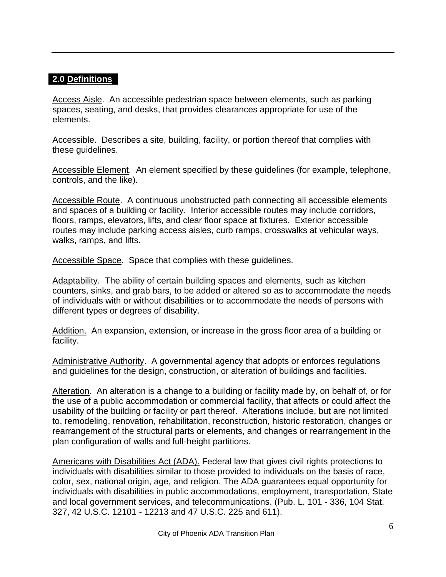#### **2.0 Definitions**

Access Aisle. An accessible pedestrian space between elements, such as parking spaces, seating, and desks, that provides clearances appropriate for use of the elements.

Accessible. Describes a site, building, facility, or portion thereof that complies with these guidelines.

Accessible Element. An element specified by these guidelines (for example, telephone, controls, and the like).

Accessible Route. A continuous unobstructed path connecting all accessible elements and spaces of a building or facility. Interior accessible routes may include corridors, floors, ramps, elevators, lifts, and clear floor space at fixtures. Exterior accessible routes may include parking access aisles, curb ramps, crosswalks at vehicular ways, walks, ramps, and lifts.

Accessible Space. Space that complies with these guidelines.

Adaptability. The ability of certain building spaces and elements, such as kitchen counters, sinks, and grab bars, to be added or altered so as to accommodate the needs of individuals with or without disabilities or to accommodate the needs of persons with different types or degrees of disability.

Addition. An expansion, extension, or increase in the gross floor area of a building or facility.

Administrative Authority. A governmental agency that adopts or enforces regulations and guidelines for the design, construction, or alteration of buildings and facilities.

Alteration. An alteration is a change to a building or facility made by, on behalf of, or for the use of a public accommodation or commercial facility, that affects or could affect the usability of the building or facility or part thereof. Alterations include, but are not limited to, remodeling, renovation, rehabilitation, reconstruction, historic restoration, changes or rearrangement of the structural parts or elements, and changes or rearrangement in the plan configuration of walls and full-height partitions.

Americans with Disabilities Act (ADA). Federal law that gives civil rights protections to individuals with disabilities similar to those provided to individuals on the basis of race, color, sex, national origin, age, and religion. The ADA guarantees equal opportunity for individuals with disabilities in public accommodations, employment, transportation, State and local government services, and telecommunications. (Pub. L. 101 - 336, 104 Stat. 327, 42 U.S.C. 12101 - 12213 and 47 U.S.C. 225 and 611).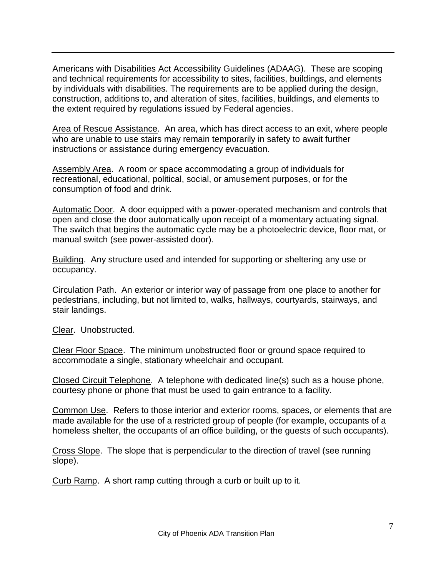Americans with Disabilities Act Accessibility Guidelines (ADAAG). These are scoping and technical requirements for accessibility to sites, facilities, buildings, and elements by individuals with disabilities. The requirements are to be applied during the design, construction, additions to, and alteration of sites, facilities, buildings, and elements to the extent required by regulations issued by Federal agencies.

Area of Rescue Assistance. An area, which has direct access to an exit, where people who are unable to use stairs may remain temporarily in safety to await further instructions or assistance during emergency evacuation.

Assembly Area. A room or space accommodating a group of individuals for recreational, educational, political, social, or amusement purposes, or for the consumption of food and drink.

Automatic Door. A door equipped with a power-operated mechanism and controls that open and close the door automatically upon receipt of a momentary actuating signal. The switch that begins the automatic cycle may be a photoelectric device, floor mat, or manual switch (see power-assisted door).

Building. Any structure used and intended for supporting or sheltering any use or occupancy.

Circulation Path. An exterior or interior way of passage from one place to another for pedestrians, including, but not limited to, walks, hallways, courtyards, stairways, and stair landings.

Clear. Unobstructed.

Clear Floor Space. The minimum unobstructed floor or ground space required to accommodate a single, stationary wheelchair and occupant.

Closed Circuit Telephone. A telephone with dedicated line(s) such as a house phone, courtesy phone or phone that must be used to gain entrance to a facility.

Common Use. Refers to those interior and exterior rooms, spaces, or elements that are made available for the use of a restricted group of people (for example, occupants of a homeless shelter, the occupants of an office building, or the guests of such occupants).

Cross Slope. The slope that is perpendicular to the direction of travel (see running slope).

Curb Ramp. A short ramp cutting through a curb or built up to it.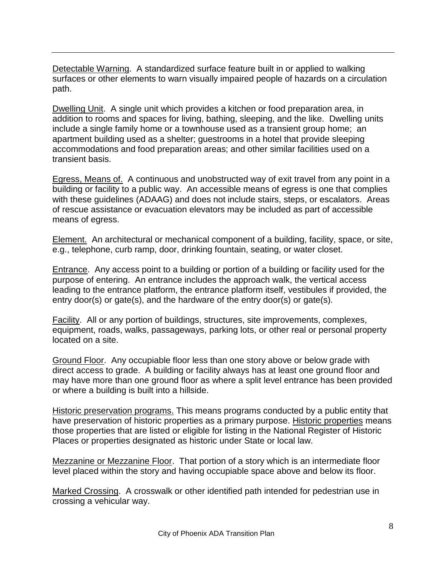Detectable Warning. A standardized surface feature built in or applied to walking surfaces or other elements to warn visually impaired people of hazards on a circulation path.

Dwelling Unit. A single unit which provides a kitchen or food preparation area, in addition to rooms and spaces for living, bathing, sleeping, and the like. Dwelling units include a single family home or a townhouse used as a transient group home; an apartment building used as a shelter; guestrooms in a hotel that provide sleeping accommodations and food preparation areas; and other similar facilities used on a transient basis.

Egress, Means of. A continuous and unobstructed way of exit travel from any point in a building or facility to a public way. An accessible means of egress is one that complies with these guidelines (ADAAG) and does not include stairs, steps, or escalators. Areas of rescue assistance or evacuation elevators may be included as part of accessible means of egress.

Element. An architectural or mechanical component of a building, facility, space, or site, e.g., telephone, curb ramp, door, drinking fountain, seating, or water closet.

Entrance. Any access point to a building or portion of a building or facility used for the purpose of entering. An entrance includes the approach walk, the vertical access leading to the entrance platform, the entrance platform itself, vestibules if provided, the entry door(s) or gate(s), and the hardware of the entry door(s) or gate(s).

Facility. All or any portion of buildings, structures, site improvements, complexes, equipment, roads, walks, passageways, parking lots, or other real or personal property located on a site.

Ground Floor. Any occupiable floor less than one story above or below grade with direct access to grade. A building or facility always has at least one ground floor and may have more than one ground floor as where a split level entrance has been provided or where a building is built into a hillside.

Historic preservation programs. This means programs conducted by a public entity that have preservation of historic properties as a primary purpose. Historic properties means those properties that are listed or eligible for listing in the National Register of Historic Places or properties designated as historic under State or local law.

Mezzanine or Mezzanine Floor. That portion of a story which is an intermediate floor level placed within the story and having occupiable space above and below its floor.

Marked Crossing. A crosswalk or other identified path intended for pedestrian use in crossing a vehicular way.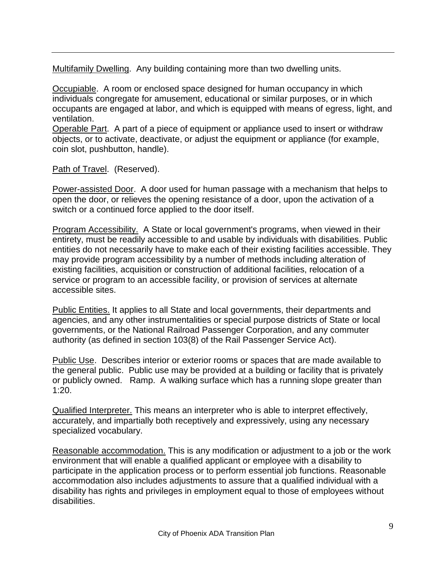Multifamily Dwelling. Any building containing more than two dwelling units.

Occupiable. A room or enclosed space designed for human occupancy in which individuals congregate for amusement, educational or similar purposes, or in which occupants are engaged at labor, and which is equipped with means of egress, light, and ventilation.

Operable Part. A part of a piece of equipment or appliance used to insert or withdraw objects, or to activate, deactivate, or adjust the equipment or appliance (for example, coin slot, pushbutton, handle).

Path of Travel. (Reserved).

Power-assisted Door. A door used for human passage with a mechanism that helps to open the door, or relieves the opening resistance of a door, upon the activation of a switch or a continued force applied to the door itself.

Program Accessibility. A State or local government's programs, when viewed in their entirety, must be readily accessible to and usable by individuals with disabilities. Public entities do not necessarily have to make each of their existing facilities accessible. They may provide program accessibility by a number of methods including alteration of existing facilities, acquisition or construction of additional facilities, relocation of a service or program to an accessible facility, or provision of services at alternate accessible sites.

Public Entities. It applies to all State and local governments, their departments and agencies, and any other instrumentalities or special purpose districts of State or local governments, or the National Railroad Passenger Corporation, and any commuter authority (as defined in section 103(8) of the Rail Passenger Service Act).

Public Use. Describes interior or exterior rooms or spaces that are made available to the general public. Public use may be provided at a building or facility that is privately or publicly owned. Ramp. A walking surface which has a running slope greater than 1:20.

Qualified Interpreter. This means an interpreter who is able to interpret effectively, accurately, and impartially both receptively and expressively, using any necessary specialized vocabulary.

Reasonable accommodation. This is any modification or adjustment to a job or the work environment that will enable a qualified applicant or employee with a disability to participate in the application process or to perform essential job functions. Reasonable accommodation also includes adjustments to assure that a qualified individual with a disability has rights and privileges in employment equal to those of employees without disabilities.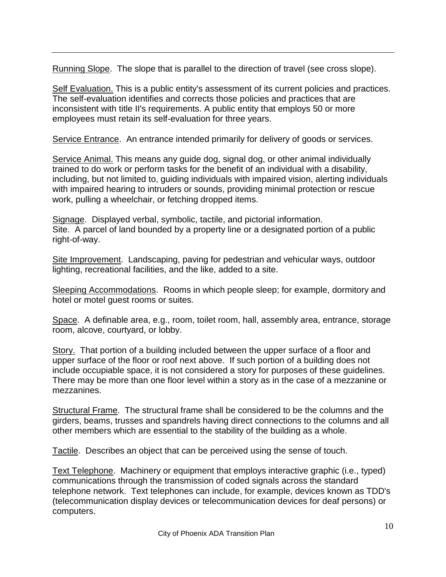Running Slope. The slope that is parallel to the direction of travel (see cross slope).

Self Evaluation. This is a public entity's assessment of its current policies and practices. The self-evaluation identifies and corrects those policies and practices that are inconsistent with title II's requirements. A public entity that employs 50 or more employees must retain its self-evaluation for three years.

Service Entrance. An entrance intended primarily for delivery of goods or services.

Service Animal. This means any guide dog, signal dog, or other animal individually trained to do work or perform tasks for the benefit of an individual with a disability, including, but not limited to, guiding individuals with impaired vision, alerting individuals with impaired hearing to intruders or sounds, providing minimal protection or rescue work, pulling a wheelchair, or fetching dropped items.

Signage. Displayed verbal, symbolic, tactile, and pictorial information. Site. A parcel of land bounded by a property line or a designated portion of a public right-of-way.

Site Improvement. Landscaping, paving for pedestrian and vehicular ways, outdoor lighting, recreational facilities, and the like, added to a site.

Sleeping Accommodations. Rooms in which people sleep; for example, dormitory and hotel or motel guest rooms or suites.

Space. A definable area, e.g., room, toilet room, hall, assembly area, entrance, storage room, alcove, courtyard, or lobby.

Story. That portion of a building included between the upper surface of a floor and upper surface of the floor or roof next above. If such portion of a building does not include occupiable space, it is not considered a story for purposes of these guidelines. There may be more than one floor level within a story as in the case of a mezzanine or mezzanines.

Structural Frame. The structural frame shall be considered to be the columns and the girders, beams, trusses and spandrels having direct connections to the columns and all other members which are essential to the stability of the building as a whole.

Tactile. Describes an object that can be perceived using the sense of touch.

Text Telephone. Machinery or equipment that employs interactive graphic (i.e., typed) communications through the transmission of coded signals across the standard telephone network. Text telephones can include, for example, devices known as TDD's (telecommunication display devices or telecommunication devices for deaf persons) or computers.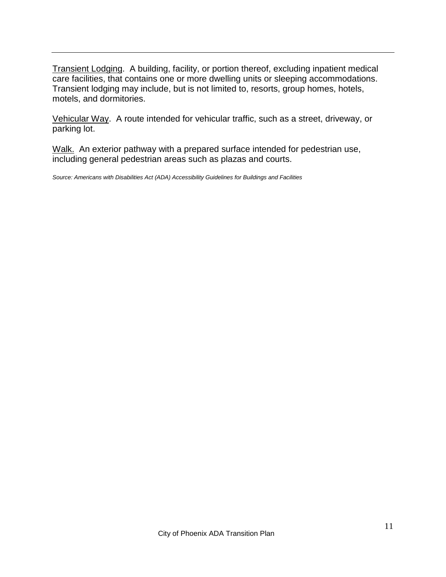Transient Lodging. A building, facility, or portion thereof, excluding inpatient medical care facilities, that contains one or more dwelling units or sleeping accommodations. Transient lodging may include, but is not limited to, resorts, group homes, hotels, motels, and dormitories.

Vehicular Way. A route intended for vehicular traffic, such as a street, driveway, or parking lot.

Walk. An exterior pathway with a prepared surface intended for pedestrian use, including general pedestrian areas such as plazas and courts.

*Source: Americans with Disabilities Act (ADA) Accessibility Guidelines for Buildings and Facilities*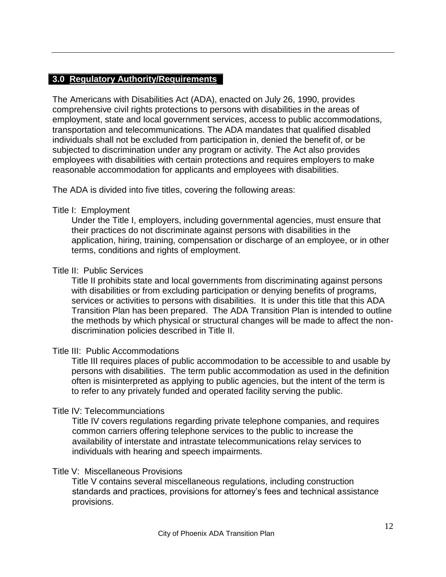#### **3.0 Regulatory Authority/Requirements**

The Americans with Disabilities Act (ADA), enacted on July 26, 1990, provides comprehensive civil rights protections to persons with disabilities in the areas of employment, state and local government services, access to public accommodations, transportation and telecommunications. The ADA mandates that qualified disabled individuals shall not be excluded from participation in, denied the benefit of, or be subjected to discrimination under any program or activity. The Act also provides employees with disabilities with certain protections and requires employers to make reasonable accommodation for applicants and employees with disabilities.

The ADA is divided into five titles, covering the following areas:

#### Title I: Employment

Under the Title I, employers, including governmental agencies, must ensure that their practices do not discriminate against persons with disabilities in the application, hiring, training, compensation or discharge of an employee, or in other terms, conditions and rights of employment.

#### Title II: Public Services

Title II prohibits state and local governments from discriminating against persons with disabilities or from excluding participation or denying benefits of programs, services or activities to persons with disabilities. It is under this title that this ADA Transition Plan has been prepared. The ADA Transition Plan is intended to outline the methods by which physical or structural changes will be made to affect the nondiscrimination policies described in Title II.

#### Title III: Public Accommodations

Title III requires places of public accommodation to be accessible to and usable by persons with disabilities. The term public accommodation as used in the definition often is misinterpreted as applying to public agencies, but the intent of the term is to refer to any privately funded and operated facility serving the public.

#### Title IV: Telecommunciations

 Title IV covers regulations regarding private telephone companies, and requires common carriers offering telephone services to the public to increase the availability of interstate and intrastate telecommunications relay services to individuals with hearing and speech impairments.

#### Title V: Miscellaneous Provisions

 Title V contains several miscellaneous regulations, including construction standards and practices, provisions for attorney's fees and technical assistance provisions.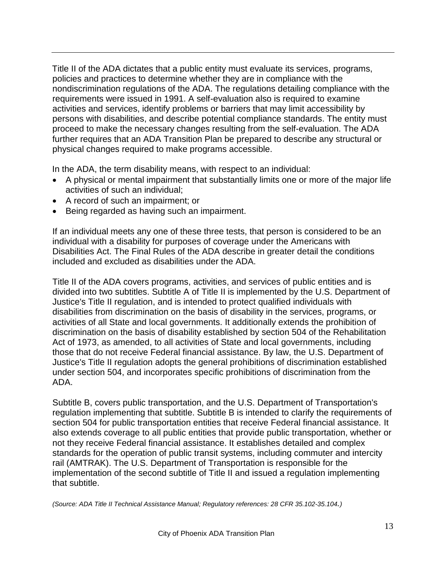Title II of the ADA dictates that a public entity must evaluate its services, programs, policies and practices to determine whether they are in compliance with the nondiscrimination regulations of the ADA. The regulations detailing compliance with the requirements were issued in 1991. A self-evaluation also is required to examine activities and services, identify problems or barriers that may limit accessibility by persons with disabilities, and describe potential compliance standards. The entity must proceed to make the necessary changes resulting from the self-evaluation. The ADA further requires that an ADA Transition Plan be prepared to describe any structural or physical changes required to make programs accessible.

In the ADA, the term disability means, with respect to an individual:

- A physical or mental impairment that substantially limits one or more of the major life activities of such an individual;
- A record of such an impairment; or
- Being regarded as having such an impairment.

If an individual meets any one of these three tests, that person is considered to be an individual with a disability for purposes of coverage under the Americans with Disabilities Act. The Final Rules of the ADA describe in greater detail the conditions included and excluded as disabilities under the ADA.

Title II of the ADA covers programs, activities, and services of public entities and is divided into two subtitles. Subtitle A of Title II is implemented by the U.S. Department of Justice's Title II regulation, and is intended to protect qualified individuals with disabilities from discrimination on the basis of disability in the services, programs, or activities of all State and local governments. It additionally extends the prohibition of discrimination on the basis of disability established by section 504 of the Rehabilitation Act of 1973, as amended, to all activities of State and local governments, including those that do not receive Federal financial assistance. By law, the U.S. Department of Justice's Title II regulation adopts the general prohibitions of discrimination established under section 504, and incorporates specific prohibitions of discrimination from the ADA.

Subtitle B, covers public transportation, and the U.S. Department of Transportation's regulation implementing that subtitle. Subtitle B is intended to clarify the requirements of section 504 for public transportation entities that receive Federal financial assistance. It also extends coverage to all public entities that provide public transportation, whether or not they receive Federal financial assistance. It establishes detailed and complex standards for the operation of public transit systems, including commuter and intercity rail (AMTRAK). The U.S. Department of Transportation is responsible for the implementation of the second subtitle of Title II and issued a regulation implementing that subtitle.

*(Source: ADA Title II Technical Assistance Manual; Regulatory references: 28 CFR 35.102-35.104.)*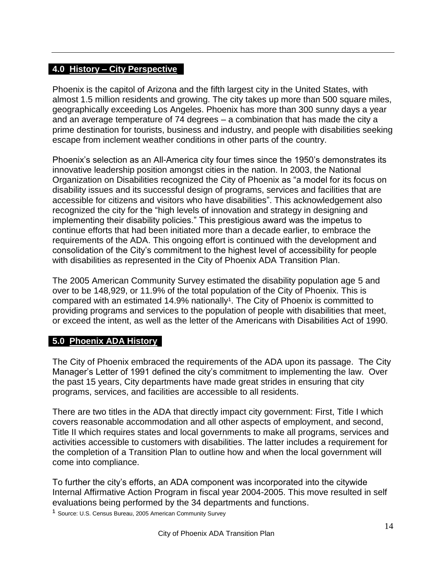## **4.0 History – City Perspective**

Phoenix is the capitol of Arizona and the fifth largest city in the United States, with almost 1.5 million residents and growing. The city takes up more than 500 square miles, geographically exceeding Los Angeles. Phoenix has more than 300 sunny days a year and an average temperature of 74 degrees – a combination that has made the city a prime destination for tourists, business and industry, and people with disabilities seeking escape from inclement weather conditions in other parts of the country.

Phoenix's selection as an All-America city four times since the 1950's demonstrates its innovative leadership position amongst cities in the nation. In 2003, the National Organization on Disabilities recognized the City of Phoenix as "a model for its focus on disability issues and its successful design of programs, services and facilities that are accessible for citizens and visitors who have disabilities". This acknowledgement also recognized the city for the "high levels of innovation and strategy in designing and implementing their disability policies." This prestigious award was the impetus to continue efforts that had been initiated more than a decade earlier, to embrace the requirements of the ADA. This ongoing effort is continued with the development and consolidation of the City's commitment to the highest level of accessibility for people with disabilities as represented in the City of Phoenix ADA Transition Plan.

The 2005 American Community Survey estimated the disability population age 5 and over to be 148,929, or 11.9% of the total population of the City of Phoenix. This is compared with an estimated 14.9% nationally<sup>1</sup>. The City of Phoenix is committed to providing programs and services to the population of people with disabilities that meet, or exceed the intent, as well as the letter of the Americans with Disabilities Act of 1990.

## **5.0 Phoenix ADA History**

The City of Phoenix embraced the requirements of the ADA upon its passage. The City Manager's Letter of 1991 defined the city's commitment to implementing the law. Over the past 15 years, City departments have made great strides in ensuring that city programs, services, and facilities are accessible to all residents.

There are two titles in the ADA that directly impact city government: First, Title I which covers reasonable accommodation and all other aspects of employment, and second, Title II which requires states and local governments to make all programs, services and activities accessible to customers with disabilities. The latter includes a requirement for the completion of a Transition Plan to outline how and when the local government will come into compliance.

To further the city's efforts, an ADA component was incorporated into the citywide Internal Affirmative Action Program in fiscal year 2004-2005. This move resulted in self evaluations being performed by the 34 departments and functions.

<sup>1</sup> Source: U.S. Census Bureau, 2005 American Community Survey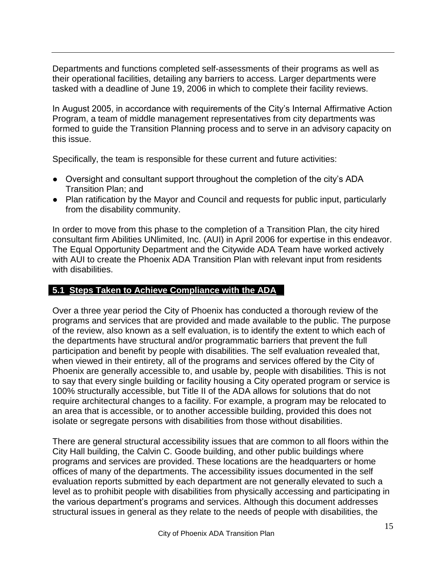Departments and functions completed self-assessments of their programs as well as their operational facilities, detailing any barriers to access. Larger departments were tasked with a deadline of June 19, 2006 in which to complete their facility reviews.

In August 2005, in accordance with requirements of the City's Internal Affirmative Action Program, a team of middle management representatives from city departments was formed to guide the Transition Planning process and to serve in an advisory capacity on this issue.

Specifically, the team is responsible for these current and future activities:

- Oversight and consultant support throughout the completion of the city's ADA Transition Plan; and
- Plan ratification by the Mayor and Council and requests for public input, particularly from the disability community.

In order to move from this phase to the completion of a Transition Plan, the city hired consultant firm Abilities UNlimited, Inc. (AUI) in April 2006 for expertise in this endeavor. The Equal Opportunity Department and the Citywide ADA Team have worked actively with AUI to create the Phoenix ADA Transition Plan with relevant input from residents with disabilities.

#### **5.1 Steps Taken to Achieve Compliance with the ADA**

Over a three year period the City of Phoenix has conducted a thorough review of the programs and services that are provided and made available to the public. The purpose of the review, also known as a self evaluation, is to identify the extent to which each of the departments have structural and/or programmatic barriers that prevent the full participation and benefit by people with disabilities. The self evaluation revealed that, when viewed in their entirety, all of the programs and services offered by the City of Phoenix are generally accessible to, and usable by, people with disabilities. This is not to say that every single building or facility housing a City operated program or service is 100% structurally accessible, but Title II of the ADA allows for solutions that do not require architectural changes to a facility. For example, a program may be relocated to an area that is accessible, or to another accessible building, provided this does not isolate or segregate persons with disabilities from those without disabilities.

There are general structural accessibility issues that are common to all floors within the City Hall building, the Calvin C. Goode building, and other public buildings where programs and services are provided. These locations are the headquarters or home offices of many of the departments. The accessibility issues documented in the self evaluation reports submitted by each department are not generally elevated to such a level as to prohibit people with disabilities from physically accessing and participating in the various department's programs and services. Although this document addresses structural issues in general as they relate to the needs of people with disabilities, the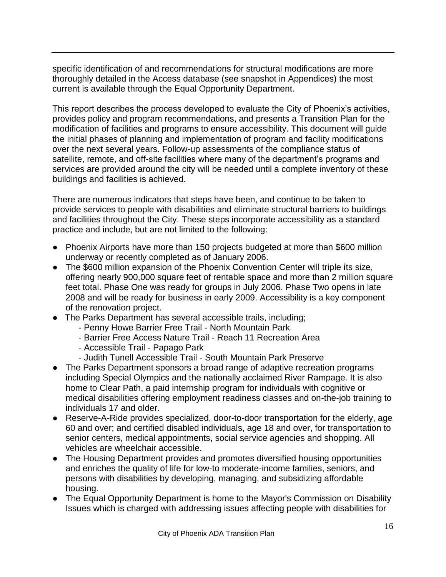specific identification of and recommendations for structural modifications are more thoroughly detailed in the Access database (see snapshot in Appendices) the most current is available through the Equal Opportunity Department.

This report describes the process developed to evaluate the City of Phoenix's activities, provides policy and program recommendations, and presents a Transition Plan for the modification of facilities and programs to ensure accessibility. This document will guide the initial phases of planning and implementation of program and facility modifications over the next several years. Follow-up assessments of the compliance status of satellite, remote, and off-site facilities where many of the department's programs and services are provided around the city will be needed until a complete inventory of these buildings and facilities is achieved.

There are numerous indicators that steps have been, and continue to be taken to provide services to people with disabilities and eliminate structural barriers to buildings and facilities throughout the City. These steps incorporate accessibility as a standard practice and include, but are not limited to the following:

- Phoenix Airports have more than 150 projects budgeted at more than \$600 million underway or recently completed as of January 2006.
- The \$600 million expansion of the Phoenix Convention Center will triple its size, offering nearly 900,000 square feet of rentable space and more than 2 million square feet total. Phase One was ready for groups in July 2006. Phase Two opens in late 2008 and will be ready for business in early 2009. Accessibility is a key component of the renovation project.
- The Parks Department has several accessible trails, including;
	- Penny Howe Barrier Free Trail North Mountain Park
	- Barrier Free Access Nature Trail Reach 11 Recreation Area
	- Accessible Trail Papago Park
	- Judith Tunell Accessible Trail South Mountain Park Preserve
- The Parks Department sponsors a broad range of adaptive recreation programs including Special Olympics and the nationally acclaimed River Rampage. It is also home to Clear Path, a paid internship program for individuals with cognitive or medical disabilities offering employment readiness classes and on-the-job training to individuals 17 and older.
- Reserve-A-Ride provides specialized, door-to-door transportation for the elderly, age 60 and over; and certified disabled individuals, age 18 and over, for transportation to senior centers, medical appointments, social service agencies and shopping. All vehicles are wheelchair accessible.
- The Housing Department provides and promotes diversified housing opportunities and enriches the quality of life for low-to moderate-income families, seniors, and persons with disabilities by developing, managing, and subsidizing affordable housing.
- The Equal Opportunity Department is home to the Mayor's Commission on Disability Issues which is charged with addressing issues affecting people with disabilities for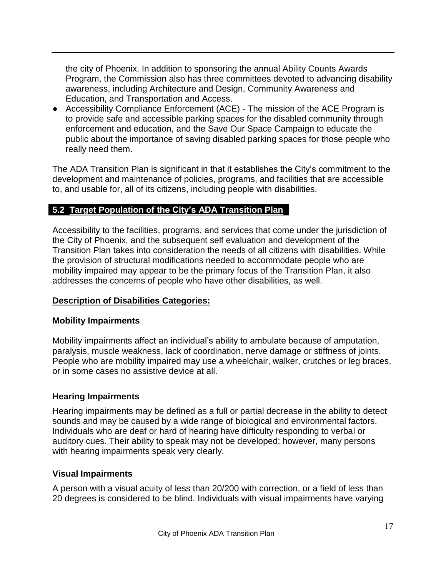the city of Phoenix. In addition to sponsoring the annual Ability Counts Awards Program, the Commission also has three committees devoted to advancing disability awareness, including Architecture and Design, Community Awareness and Education, and Transportation and Access.

● Accessibility Compliance Enforcement (ACE) - The mission of the ACE Program is to provide safe and accessible parking spaces for the disabled community through enforcement and education, and the Save Our Space Campaign to educate the public about the importance of saving disabled parking spaces for those people who really need them.

The ADA Transition Plan is significant in that it establishes the City's commitment to the development and maintenance of policies, programs, and facilities that are accessible to, and usable for, all of its citizens, including people with disabilities.

## **5.2 Target Population of the City's ADA Transition Plan**

Accessibility to the facilities, programs, and services that come under the jurisdiction of the City of Phoenix, and the subsequent self evaluation and development of the Transition Plan takes into consideration the needs of all citizens with disabilities. While the provision of structural modifications needed to accommodate people who are mobility impaired may appear to be the primary focus of the Transition Plan, it also addresses the concerns of people who have other disabilities, as well.

#### **Description of Disabilities Categories:**

#### **Mobility Impairments**

Mobility impairments affect an individual's ability to ambulate because of amputation, paralysis, muscle weakness, lack of coordination, nerve damage or stiffness of joints. People who are mobility impaired may use a wheelchair, walker, crutches or leg braces, or in some cases no assistive device at all.

#### **Hearing Impairments**

Hearing impairments may be defined as a full or partial decrease in the ability to detect sounds and may be caused by a wide range of biological and environmental factors. Individuals who are deaf or hard of hearing have difficulty responding to verbal or auditory cues. Their ability to speak may not be developed; however, many persons with hearing impairments speak very clearly.

#### **Visual Impairments**

A person with a visual acuity of less than 20/200 with correction, or a field of less than 20 degrees is considered to be blind. Individuals with visual impairments have varying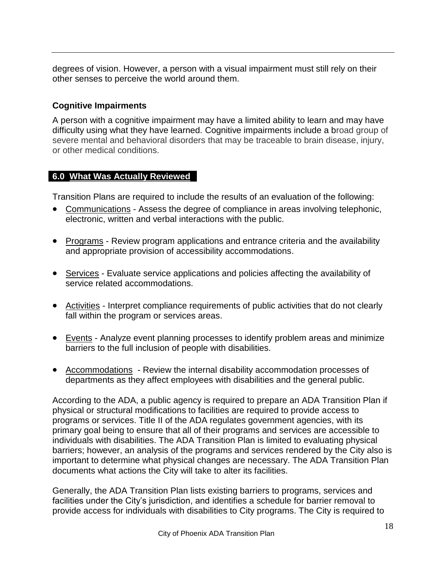degrees of vision. However, a person with a visual impairment must still rely on their other senses to perceive the world around them.

#### **Cognitive Impairments**

A person with a cognitive impairment may have a limited ability to learn and may have difficulty using what they have learned. Cognitive impairments include a broad group of severe mental and behavioral disorders that may be traceable to brain disease, injury, or other medical conditions.

#### **6.0 What Was Actually Reviewed**

Transition Plans are required to include the results of an evaluation of the following:

- Communications Assess the degree of compliance in areas involving telephonic, electronic, written and verbal interactions with the public.
- Programs Review program applications and entrance criteria and the availability and appropriate provision of accessibility accommodations.
- Services Evaluate service applications and policies affecting the availability of service related accommodations.
- Activities Interpret compliance requirements of public activities that do not clearly fall within the program or services areas.
- Events Analyze event planning processes to identify problem areas and minimize barriers to the full inclusion of people with disabilities.
- Accommodations Review the internal disability accommodation processes of departments as they affect employees with disabilities and the general public.

According to the ADA, a public agency is required to prepare an ADA Transition Plan if physical or structural modifications to facilities are required to provide access to programs or services. Title II of the ADA regulates government agencies, with its primary goal being to ensure that all of their programs and services are accessible to individuals with disabilities. The ADA Transition Plan is limited to evaluating physical barriers; however, an analysis of the programs and services rendered by the City also is important to determine what physical changes are necessary. The ADA Transition Plan documents what actions the City will take to alter its facilities.

Generally, the ADA Transition Plan lists existing barriers to programs, services and facilities under the City's jurisdiction, and identifies a schedule for barrier removal to provide access for individuals with disabilities to City programs. The City is required to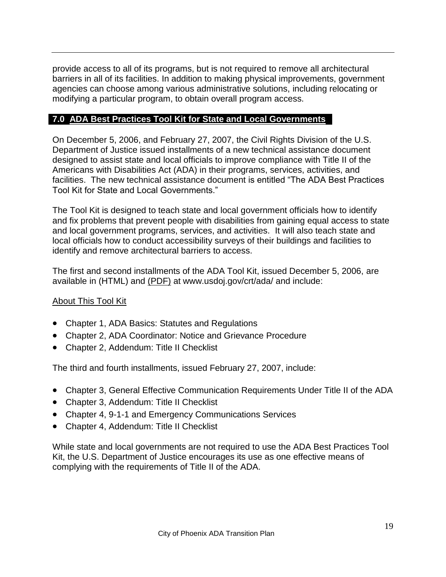provide access to all of its programs, but is not required to remove all architectural barriers in all of its facilities. In addition to making physical improvements, government agencies can choose among various administrative solutions, including relocating or modifying a particular program, to obtain overall program access.

#### **7.0 ADA Best Practices Tool Kit for State and Local Governments**

On December 5, 2006, and February 27, 2007, the Civil Rights Division of the U.S. Department of Justice issued installments of a new technical assistance document designed to assist state and local officials to improve compliance with Title II of the Americans with Disabilities Act (ADA) in their programs, services, activities, and facilities. The new technical assistance document is entitled "The ADA Best Practices Tool Kit for State and Local Governments."

The Tool Kit is designed to teach state and local government officials how to identify and fix problems that prevent people with disabilities from gaining equal access to state and local government programs, services, and activities. It will also teach state and local officials how to conduct accessibility surveys of their buildings and facilities to identify and remove architectural barriers to access.

The first and second installments of the ADA Tool Kit, issued December 5, 2006, are available in (HTML) and (PDF) at www.usdoj.gov/crt/ada/ and include:

#### About This Tool Kit

- Chapter 1, ADA Basics: Statutes and Regulations
- Chapter 2, ADA Coordinator: Notice and Grievance Procedure
- Chapter 2, Addendum: Title II Checklist

The third and fourth installments, issued February 27, 2007, include:

- Chapter 3, General Effective Communication Requirements Under Title II of the ADA
- Chapter 3, Addendum: Title II Checklist
- Chapter 4, 9-1-1 and Emergency Communications Services
- Chapter 4, Addendum: Title II Checklist

While state and local governments are not required to use the ADA Best Practices Tool Kit, the U.S. Department of Justice encourages its use as one effective means of complying with the requirements of Title II of the ADA.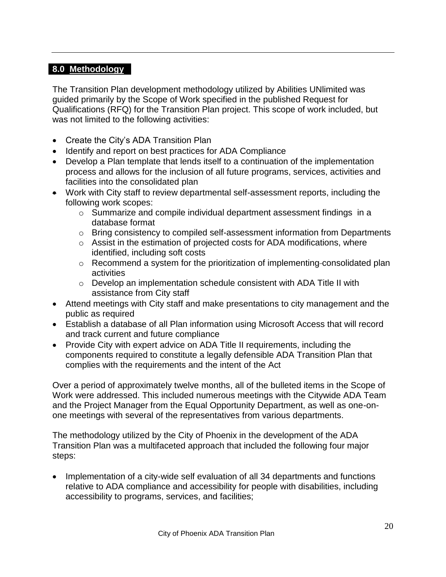#### **8.0 Methodology**

The Transition Plan development methodology utilized by Abilities UNlimited was guided primarily by the Scope of Work specified in the published Request for Qualifications (RFQ) for the Transition Plan project. This scope of work included, but was not limited to the following activities:

- Create the City's ADA Transition Plan
- Identify and report on best practices for ADA Compliance
- Develop a Plan template that lends itself to a continuation of the implementation process and allows for the inclusion of all future programs, services, activities and facilities into the consolidated plan
- Work with City staff to review departmental self-assessment reports, including the following work scopes:
	- o Summarize and compile individual department assessment findings in a database format
	- $\circ$  Bring consistency to compiled self-assessment information from Departments
	- o Assist in the estimation of projected costs for ADA modifications, where identified, including soft costs
	- $\circ$  Recommend a system for the prioritization of implementing-consolidated plan activities
	- o Develop an implementation schedule consistent with ADA Title II with assistance from City staff
- Attend meetings with City staff and make presentations to city management and the public as required
- Establish a database of all Plan information using Microsoft Access that will record and track current and future compliance
- Provide City with expert advice on ADA Title II requirements, including the components required to constitute a legally defensible ADA Transition Plan that complies with the requirements and the intent of the Act

Over a period of approximately twelve months, all of the bulleted items in the Scope of Work were addressed. This included numerous meetings with the Citywide ADA Team and the Project Manager from the Equal Opportunity Department, as well as one-onone meetings with several of the representatives from various departments.

The methodology utilized by the City of Phoenix in the development of the ADA Transition Plan was a multifaceted approach that included the following four major steps:

• Implementation of a city-wide self evaluation of all 34 departments and functions relative to ADA compliance and accessibility for people with disabilities, including accessibility to programs, services, and facilities;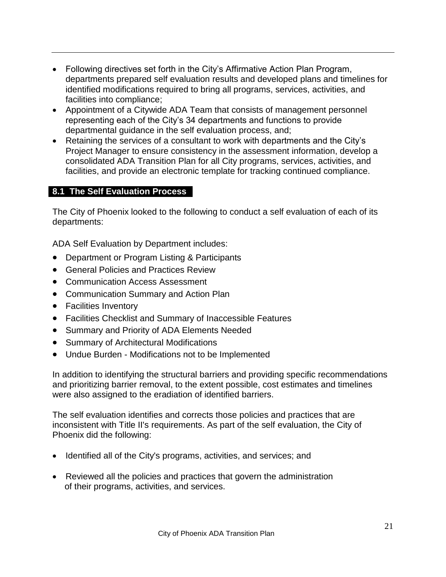- Following directives set forth in the City's Affirmative Action Plan Program, departments prepared self evaluation results and developed plans and timelines for identified modifications required to bring all programs, services, activities, and facilities into compliance;
- Appointment of a Citywide ADA Team that consists of management personnel representing each of the City's 34 departments and functions to provide departmental guidance in the self evaluation process, and;
- Retaining the services of a consultant to work with departments and the City's Project Manager to ensure consistency in the assessment information, develop a consolidated ADA Transition Plan for all City programs, services, activities, and facilities, and provide an electronic template for tracking continued compliance.

## **8.1 The Self Evaluation Process**

The City of Phoenix looked to the following to conduct a self evaluation of each of its departments:

ADA Self Evaluation by Department includes:

- Department or Program Listing & Participants
- General Policies and Practices Review
- Communication Access Assessment
- Communication Summary and Action Plan
- Facilities Inventory
- Facilities Checklist and Summary of Inaccessible Features
- Summary and Priority of ADA Elements Needed
- Summary of Architectural Modifications
- Undue Burden Modifications not to be Implemented

In addition to identifying the structural barriers and providing specific recommendations and prioritizing barrier removal, to the extent possible, cost estimates and timelines were also assigned to the eradiation of identified barriers.

The self evaluation identifies and corrects those policies and practices that are inconsistent with Title II's requirements. As part of the self evaluation, the City of Phoenix did the following:

- Identified all of the City's programs, activities, and services; and
- Reviewed all the policies and practices that govern the administration of their programs, activities, and services.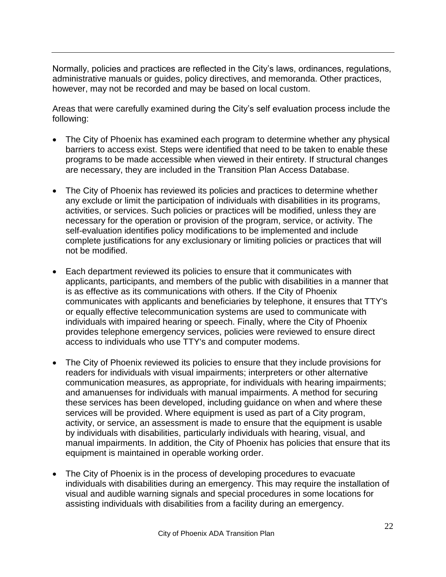Normally, policies and practices are reflected in the City's laws, ordinances, regulations, administrative manuals or guides, policy directives, and memoranda. Other practices, however, may not be recorded and may be based on local custom.

Areas that were carefully examined during the City's self evaluation process include the following:

- The City of Phoenix has examined each program to determine whether any physical barriers to access exist. Steps were identified that need to be taken to enable these programs to be made accessible when viewed in their entirety. If structural changes are necessary, they are included in the Transition Plan Access Database.
- The City of Phoenix has reviewed its policies and practices to determine whether any exclude or limit the participation of individuals with disabilities in its programs, activities, or services. Such policies or practices will be modified, unless they are necessary for the operation or provision of the program, service, or activity. The self-evaluation identifies policy modifications to be implemented and include complete justifications for any exclusionary or limiting policies or practices that will not be modified.
- Each department reviewed its policies to ensure that it communicates with applicants, participants, and members of the public with disabilities in a manner that is as effective as its communications with others. If the City of Phoenix communicates with applicants and beneficiaries by telephone, it ensures that TTY's or equally effective telecommunication systems are used to communicate with individuals with impaired hearing or speech. Finally, where the City of Phoenix provides telephone emergency services, policies were reviewed to ensure direct access to individuals who use TTY's and computer modems.
- The City of Phoenix reviewed its policies to ensure that they include provisions for readers for individuals with visual impairments; interpreters or other alternative communication measures, as appropriate, for individuals with hearing impairments; and amanuenses for individuals with manual impairments. A method for securing these services has been developed, including guidance on when and where these services will be provided. Where equipment is used as part of a City program, activity, or service, an assessment is made to ensure that the equipment is usable by individuals with disabilities, particularly individuals with hearing, visual, and manual impairments. In addition, the City of Phoenix has policies that ensure that its equipment is maintained in operable working order.
- The City of Phoenix is in the process of developing procedures to evacuate individuals with disabilities during an emergency. This may require the installation of visual and audible warning signals and special procedures in some locations for assisting individuals with disabilities from a facility during an emergency.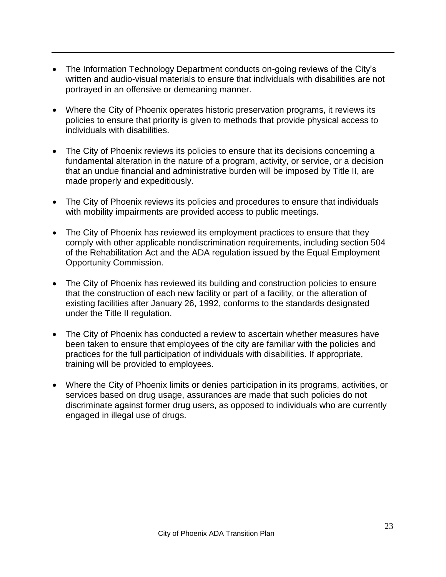- The Information Technology Department conducts on-going reviews of the City's written and audio-visual materials to ensure that individuals with disabilities are not portrayed in an offensive or demeaning manner.
- Where the City of Phoenix operates historic preservation programs, it reviews its policies to ensure that priority is given to methods that provide physical access to individuals with disabilities.
- The City of Phoenix reviews its policies to ensure that its decisions concerning a fundamental alteration in the nature of a program, activity, or service, or a decision that an undue financial and administrative burden will be imposed by Title II, are made properly and expeditiously.
- The City of Phoenix reviews its policies and procedures to ensure that individuals with mobility impairments are provided access to public meetings.
- The City of Phoenix has reviewed its employment practices to ensure that they comply with other applicable nondiscrimination requirements, including section 504 of the Rehabilitation Act and the ADA regulation issued by the Equal Employment Opportunity Commission.
- The City of Phoenix has reviewed its building and construction policies to ensure that the construction of each new facility or part of a facility, or the alteration of existing facilities after January 26, 1992, conforms to the standards designated under the Title II regulation.
- The City of Phoenix has conducted a review to ascertain whether measures have been taken to ensure that employees of the city are familiar with the policies and practices for the full participation of individuals with disabilities. If appropriate, training will be provided to employees.
- Where the City of Phoenix limits or denies participation in its programs, activities, or services based on drug usage, assurances are made that such policies do not discriminate against former drug users, as opposed to individuals who are currently engaged in illegal use of drugs.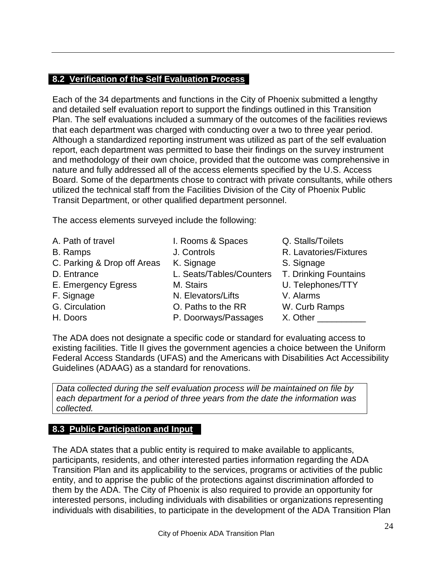## **8.2 Verification of the Self Evaluation Process**

Each of the 34 departments and functions in the City of Phoenix submitted a lengthy and detailed self evaluation report to support the findings outlined in this Transition Plan. The self evaluations included a summary of the outcomes of the facilities reviews that each department was charged with conducting over a two to three year period. Although a standardized reporting instrument was utilized as part of the self evaluation report, each department was permitted to base their findings on the survey instrument and methodology of their own choice, provided that the outcome was comprehensive in nature and fully addressed all of the access elements specified by the U.S. Access Board. Some of the departments chose to contract with private consultants, while others utilized the technical staff from the Facilities Division of the City of Phoenix Public Transit Department, or other qualified department personnel.

The access elements surveyed include the following:

- A. Path of travel **I. Rooms & Spaces** Q. Stalls/Toilets
- 
- C. Parking & Drop off Areas K. Signage S. Signage
- 
- 
- 
- 
- 
- 
- D. Entrance **L. Seats/Tables/Counters** T. Drinking Fountains
	-
- F. Signage **N. Elevators/Lifts** V. Alarms
- G. Circulation O. Paths to the RR W. Curb Ramps
- H. Doors P. Doorways/Passages X. Other \_\_\_\_\_\_\_\_\_\_
- 
- B. Ramps Controls B. Lavatories/Fixtures
	-
	-
- E. Emergency Egress M. Stairs M. Stairs U. Telephones/TTY
	-
	-
	-

The ADA does not designate a specific code or standard for evaluating access to existing facilities. Title II gives the government agencies a choice between the Uniform Federal Access Standards (UFAS) and the Americans with Disabilities Act Accessibility Guidelines (ADAAG) as a standard for renovations.

*Data collected during the self evaluation process will be maintained on file by each department for a period of three years from the date the information was collected.*

## **8.3 Public Participation and Input**

The ADA states that a public entity is required to make available to applicants, participants, residents, and other interested parties information regarding the ADA Transition Plan and its applicability to the services, programs or activities of the public entity, and to apprise the public of the protections against discrimination afforded to them by the ADA. The City of Phoenix is also required to provide an opportunity for interested persons, including individuals with disabilities or organizations representing individuals with disabilities, to participate in the development of the ADA Transition Plan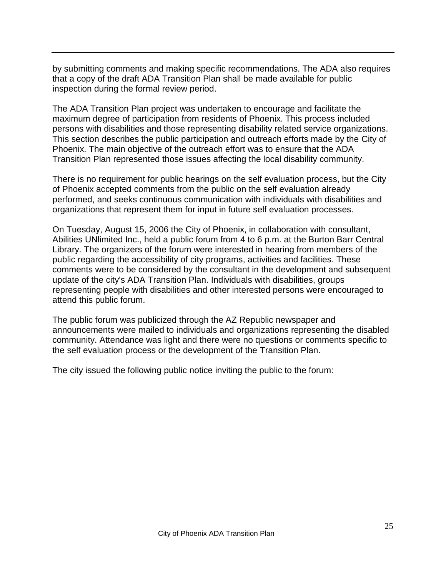by submitting comments and making specific recommendations. The ADA also requires that a copy of the draft ADA Transition Plan shall be made available for public inspection during the formal review period.

The ADA Transition Plan project was undertaken to encourage and facilitate the maximum degree of participation from residents of Phoenix. This process included persons with disabilities and those representing disability related service organizations. This section describes the public participation and outreach efforts made by the City of Phoenix. The main objective of the outreach effort was to ensure that the ADA Transition Plan represented those issues affecting the local disability community.

There is no requirement for public hearings on the self evaluation process, but the City of Phoenix accepted comments from the public on the self evaluation already performed, and seeks continuous communication with individuals with disabilities and organizations that represent them for input in future self evaluation processes.

On Tuesday, August 15, 2006 the City of Phoenix, in collaboration with consultant, Abilities UNlimited Inc., held a public forum from 4 to 6 p.m. at the Burton Barr Central Library. The organizers of the forum were interested in hearing from members of the public regarding the accessibility of city programs, activities and facilities. These comments were to be considered by the consultant in the development and subsequent update of the city's ADA Transition Plan. Individuals with disabilities, groups representing people with disabilities and other interested persons were encouraged to attend this public forum.

The public forum was publicized through the AZ Republic newspaper and announcements were mailed to individuals and organizations representing the disabled community. Attendance was light and there were no questions or comments specific to the self evaluation process or the development of the Transition Plan.

The city issued the following public notice inviting the public to the forum: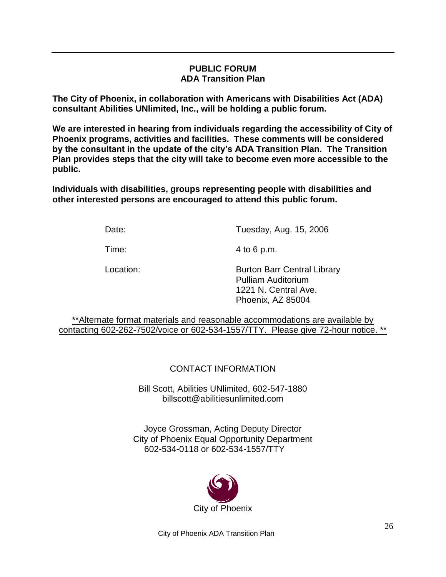#### **PUBLIC FORUM ADA Transition Plan**

**The City of Phoenix, in collaboration with Americans with Disabilities Act (ADA) consultant Abilities UNlimited, Inc., will be holding a public forum.** 

**We are interested in hearing from individuals regarding the accessibility of City of Phoenix programs, activities and facilities. These comments will be considered by the consultant in the update of the city's ADA Transition Plan. The Transition Plan provides steps that the city will take to become even more accessible to the public.**

**Individuals with disabilities, groups representing people with disabilities and other interested persons are encouraged to attend this public forum.** 

Date: Tuesday, Aug. 15, 2006

Time: 4 to 6 p.m.

Location: Burton Barr Central Library Pulliam Auditorium 1221 N. Central Ave. Phoenix, AZ 85004

\*\*Alternate format materials and reasonable accommodations are available by contacting 602-262-7502/voice or 602-534-1557/TTY. Please give 72-hour notice. \*\*

## CONTACT INFORMATION

Bill Scott, Abilities UNlimited, 602-547-1880 billscott@abilitiesunlimited.com

Joyce Grossman, Acting Deputy Director City of Phoenix Equal Opportunity Department 602-534-0118 or 602-534-1557/TTY



City of Phoenix ADA Transition Plan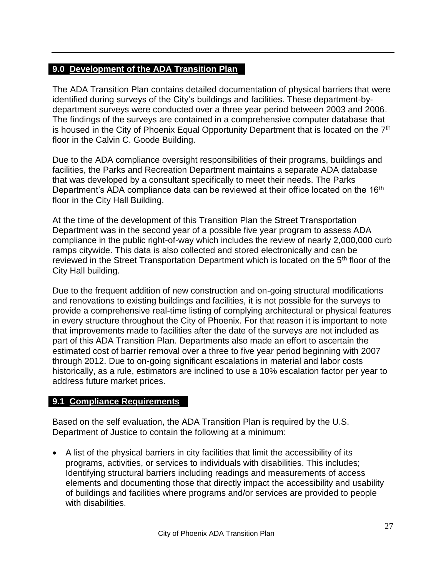## **9.0 Development of the ADA Transition Plan**

The ADA Transition Plan contains detailed documentation of physical barriers that were identified during surveys of the City's buildings and facilities. These department-bydepartment surveys were conducted over a three year period between 2003 and 2006. The findings of the surveys are contained in a comprehensive computer database that is housed in the City of Phoenix Equal Opportunity Department that is located on the 7<sup>th</sup> floor in the Calvin C. Goode Building.

Due to the ADA compliance oversight responsibilities of their programs, buildings and facilities, the Parks and Recreation Department maintains a separate ADA database that was developed by a consultant specifically to meet their needs. The Parks Department's ADA compliance data can be reviewed at their office located on the 16<sup>th</sup> floor in the City Hall Building.

At the time of the development of this Transition Plan the Street Transportation Department was in the second year of a possible five year program to assess ADA compliance in the public right-of-way which includes the review of nearly 2,000,000 curb ramps citywide. This data is also collected and stored electronically and can be reviewed in the Street Transportation Department which is located on the 5<sup>th</sup> floor of the City Hall building.

Due to the frequent addition of new construction and on-going structural modifications and renovations to existing buildings and facilities, it is not possible for the surveys to provide a comprehensive real-time listing of complying architectural or physical features in every structure throughout the City of Phoenix. For that reason it is important to note that improvements made to facilities after the date of the surveys are not included as part of this ADA Transition Plan. Departments also made an effort to ascertain the estimated cost of barrier removal over a three to five year period beginning with 2007 through 2012. Due to on-going significant escalations in material and labor costs historically, as a rule, estimators are inclined to use a 10% escalation factor per year to address future market prices.

#### **9.1 Compliance Requirements**

Based on the self evaluation, the ADA Transition Plan is required by the U.S. Department of Justice to contain the following at a minimum:

 A list of the physical barriers in city facilities that limit the accessibility of its programs, activities, or services to individuals with disabilities. This includes; Identifying structural barriers including readings and measurements of access elements and documenting those that directly impact the accessibility and usability of buildings and facilities where programs and/or services are provided to people with disabilities.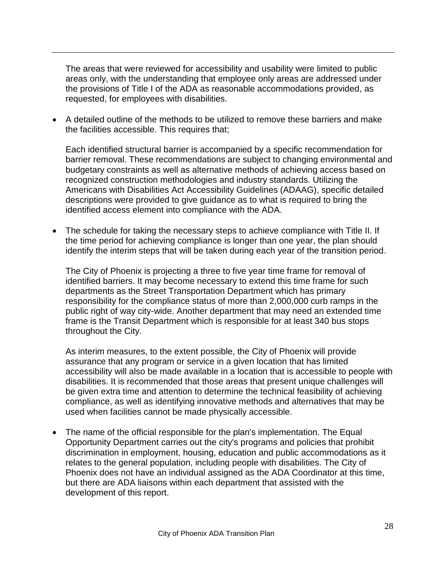The areas that were reviewed for accessibility and usability were limited to public areas only, with the understanding that employee only areas are addressed under the provisions of Title I of the ADA as reasonable accommodations provided, as requested, for employees with disabilities.

 A detailed outline of the methods to be utilized to remove these barriers and make the facilities accessible. This requires that;

Each identified structural barrier is accompanied by a specific recommendation for barrier removal. These recommendations are subject to changing environmental and budgetary constraints as well as alternative methods of achieving access based on recognized construction methodologies and industry standards. Utilizing the Americans with Disabilities Act Accessibility Guidelines (ADAAG), specific detailed descriptions were provided to give guidance as to what is required to bring the identified access element into compliance with the ADA.

 The schedule for taking the necessary steps to achieve compliance with Title II. If the time period for achieving compliance is longer than one year, the plan should identify the interim steps that will be taken during each year of the transition period.

The City of Phoenix is projecting a three to five year time frame for removal of identified barriers. It may become necessary to extend this time frame for such departments as the Street Transportation Department which has primary responsibility for the compliance status of more than 2,000,000 curb ramps in the public right of way city-wide. Another department that may need an extended time frame is the Transit Department which is responsible for at least 340 bus stops throughout the City.

As interim measures, to the extent possible, the City of Phoenix will provide assurance that any program or service in a given location that has limited accessibility will also be made available in a location that is accessible to people with disabilities. It is recommended that those areas that present unique challenges will be given extra time and attention to determine the technical feasibility of achieving compliance, as well as identifying innovative methods and alternatives that may be used when facilities cannot be made physically accessible.

 The name of the official responsible for the plan's implementation. The Equal Opportunity Department carries out the city's programs and policies that prohibit discrimination in employment, housing, education and public accommodations as it relates to the general population, including people with disabilities. The City of Phoenix does not have an individual assigned as the ADA Coordinator at this time, but there are ADA liaisons within each department that assisted with the development of this report.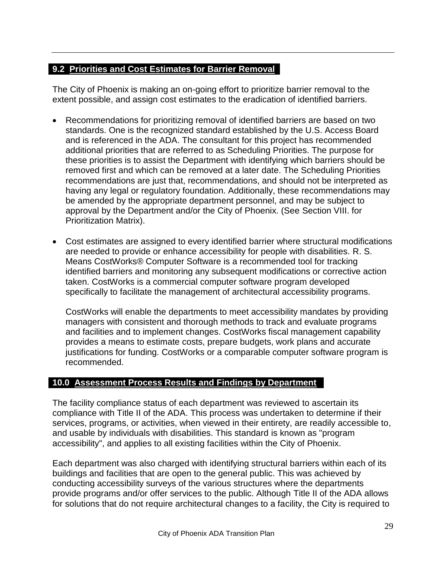## **9.2 Priorities and Cost Estimates for Barrier Removal**

The City of Phoenix is making an on-going effort to prioritize barrier removal to the extent possible, and assign cost estimates to the eradication of identified barriers.

- Recommendations for prioritizing removal of identified barriers are based on two standards. One is the recognized standard established by the U.S. Access Board and is referenced in the ADA. The consultant for this project has recommended additional priorities that are referred to as Scheduling Priorities. The purpose for these priorities is to assist the Department with identifying which barriers should be removed first and which can be removed at a later date. The Scheduling Priorities recommendations are just that, recommendations, and should not be interpreted as having any legal or regulatory foundation. Additionally, these recommendations may be amended by the appropriate department personnel, and may be subject to approval by the Department and/or the City of Phoenix. (See Section VIII. for Prioritization Matrix).
- Cost estimates are assigned to every identified barrier where structural modifications are needed to provide or enhance accessibility for people with disabilities. R. S. Means CostWorks® Computer Software is a recommended tool for tracking identified barriers and monitoring any subsequent modifications or corrective action taken. CostWorks is a commercial computer software program developed specifically to facilitate the management of architectural accessibility programs.

CostWorks will enable the departments to meet accessibility mandates by providing managers with consistent and thorough methods to track and evaluate programs and facilities and to implement changes. CostWorks fiscal management capability provides a means to estimate costs, prepare budgets, work plans and accurate justifications for funding. CostWorks or a comparable computer software program is recommended.

#### **10.0 Assessment Process Results and Findings by Department**

The facility compliance status of each department was reviewed to ascertain its compliance with Title II of the ADA. This process was undertaken to determine if their services, programs, or activities, when viewed in their entirety, are readily accessible to, and usable by individuals with disabilities. This standard is known as "program accessibility", and applies to all existing facilities within the City of Phoenix.

Each department was also charged with identifying structural barriers within each of its buildings and facilities that are open to the general public. This was achieved by conducting accessibility surveys of the various structures where the departments provide programs and/or offer services to the public. Although Title II of the ADA allows for solutions that do not require architectural changes to a facility, the City is required to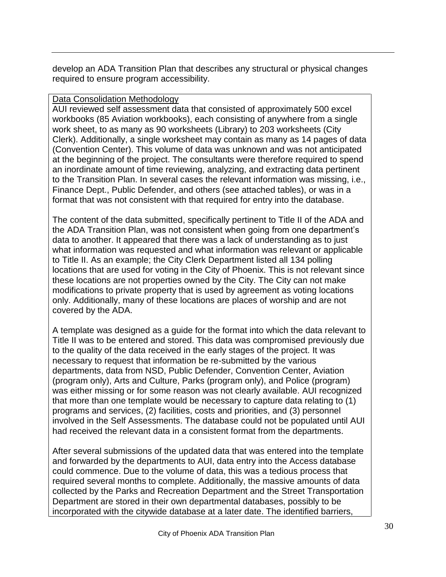develop an ADA Transition Plan that describes any structural or physical changes required to ensure program accessibility.

#### Data Consolidation Methodology

AUI reviewed self assessment data that consisted of approximately 500 excel workbooks (85 Aviation workbooks), each consisting of anywhere from a single work sheet, to as many as 90 worksheets (Library) to 203 worksheets (City Clerk). Additionally, a single worksheet may contain as many as 14 pages of data (Convention Center). This volume of data was unknown and was not anticipated at the beginning of the project. The consultants were therefore required to spend an inordinate amount of time reviewing, analyzing, and extracting data pertinent to the Transition Plan. In several cases the relevant information was missing, i.e., Finance Dept., Public Defender, and others (see attached tables), or was in a format that was not consistent with that required for entry into the database.

The content of the data submitted, specifically pertinent to Title II of the ADA and the ADA Transition Plan, was not consistent when going from one department's data to another. It appeared that there was a lack of understanding as to just what information was requested and what information was relevant or applicable to Title II. As an example; the City Clerk Department listed all 134 polling locations that are used for voting in the City of Phoenix. This is not relevant since these locations are not properties owned by the City. The City can not make modifications to private property that is used by agreement as voting locations only. Additionally, many of these locations are places of worship and are not covered by the ADA.

A template was designed as a guide for the format into which the data relevant to Title II was to be entered and stored. This data was compromised previously due to the quality of the data received in the early stages of the project. It was necessary to request that information be re-submitted by the various departments, data from NSD, Public Defender, Convention Center, Aviation (program only), Arts and Culture, Parks (program only), and Police (program) was either missing or for some reason was not clearly available. AUI recognized that more than one template would be necessary to capture data relating to (1) programs and services, (2) facilities, costs and priorities, and (3) personnel involved in the Self Assessments. The database could not be populated until AUI had received the relevant data in a consistent format from the departments.

After several submissions of the updated data that was entered into the template and forwarded by the departments to AUI, data entry into the Access database could commence. Due to the volume of data, this was a tedious process that required several months to complete. Additionally, the massive amounts of data collected by the Parks and Recreation Department and the Street Transportation Department are stored in their own departmental databases, possibly to be incorporated with the citywide database at a later date. The identified barriers,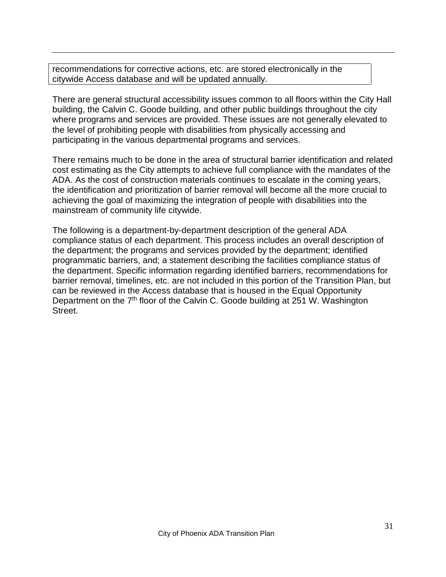recommendations for corrective actions, etc. are stored electronically in the citywide Access database and will be updated annually.

There are general structural accessibility issues common to all floors within the City Hall building, the Calvin C. Goode building, and other public buildings throughout the city where programs and services are provided. These issues are not generally elevated to the level of prohibiting people with disabilities from physically accessing and participating in the various departmental programs and services.

There remains much to be done in the area of structural barrier identification and related cost estimating as the City attempts to achieve full compliance with the mandates of the ADA. As the cost of construction materials continues to escalate in the coming years, the identification and prioritization of barrier removal will become all the more crucial to achieving the goal of maximizing the integration of people with disabilities into the mainstream of community life citywide.

The following is a department-by-department description of the general ADA compliance status of each department. This process includes an overall description of the department; the programs and services provided by the department; identified programmatic barriers, and; a statement describing the facilities compliance status of the department. Specific information regarding identified barriers, recommendations for barrier removal, timelines, etc. are not included in this portion of the Transition Plan, but can be reviewed in the Access database that is housed in the Equal Opportunity Department on the 7<sup>th</sup> floor of the Calvin C. Goode building at 251 W. Washington Street.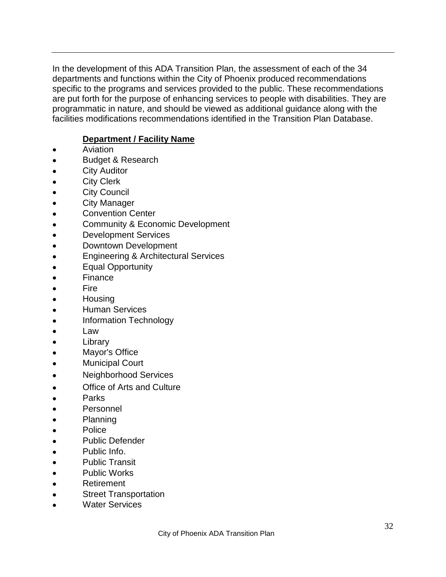In the development of this ADA Transition Plan, the assessment of each of the 34 departments and functions within the City of Phoenix produced recommendations specific to the programs and services provided to the public. These recommendations are put forth for the purpose of enhancing services to people with disabilities. They are programmatic in nature, and should be viewed as additional guidance along with the facilities modifications recommendations identified in the Transition Plan Database.

## **Department / Facility Name**

- Aviation
- Budget & Research
- City Auditor
- City Clerk
- City Council
- City Manager
- Convention Center
- Community & Economic Development
- Development Services
- Downtown Development
- **Engineering & Architectural Services**
- Equal Opportunity
- Finance
- Fire
- Housing
- Human Services
- Information Technology
- Law
- Library
- Mayor's Office
- Municipal Court
- Neighborhood Services
- Office of Arts and Culture
- Parks
- Personnel
- Planning
- Police
- Public Defender
- Public Info.
- Public Transit
- Public Works
- Retirement
- Street Transportation
- Water Services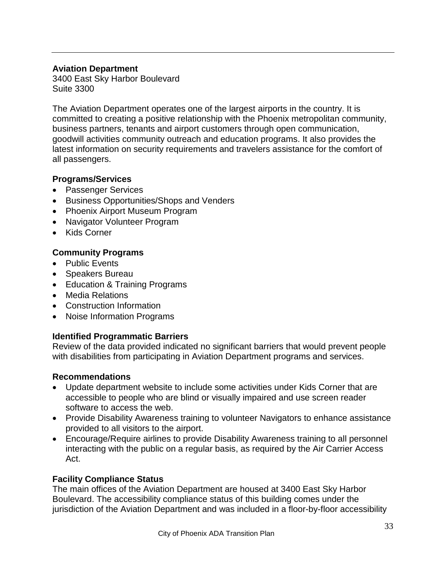## **Aviation Department**

3400 East Sky Harbor Boulevard Suite 3300

The Aviation Department operates one of the largest airports in the country. It is committed to creating a positive relationship with the Phoenix metropolitan community, business partners, tenants and airport customers through open communication, goodwill activities community outreach and education programs. It also provides the latest information on security requirements and travelers assistance for the comfort of all passengers.

#### **Programs/Services**

- Passenger Services
- Business Opportunities/Shops and Venders
- Phoenix Airport Museum Program
- Navigator Volunteer Program
- Kids Corner

#### **Community Programs**

- Public Events
- Speakers Bureau
- Education & Training Programs
- Media Relations
- Construction Information
- Noise Information Programs

## **Identified Programmatic Barriers**

Review of the data provided indicated no significant barriers that would prevent people with disabilities from participating in Aviation Department programs and services.

#### **Recommendations**

- Update department website to include some activities under Kids Corner that are accessible to people who are blind or visually impaired and use screen reader software to access the web.
- Provide Disability Awareness training to volunteer Navigators to enhance assistance provided to all visitors to the airport.
- Encourage/Require airlines to provide Disability Awareness training to all personnel interacting with the public on a regular basis, as required by the Air Carrier Access Act.

## **Facility Compliance Status**

The main offices of the Aviation Department are housed at 3400 East Sky Harbor Boulevard. The accessibility compliance status of this building comes under the jurisdiction of the Aviation Department and was included in a floor-by-floor accessibility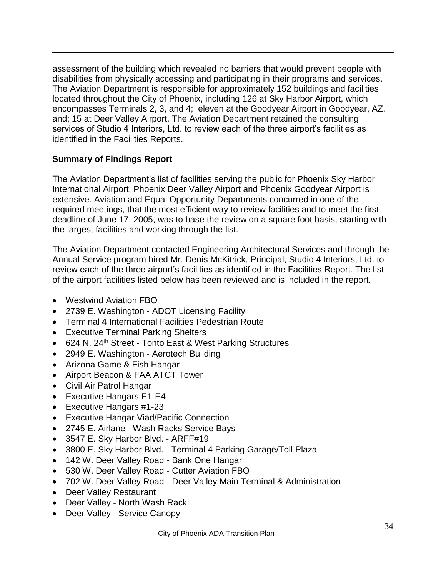assessment of the building which revealed no barriers that would prevent people with disabilities from physically accessing and participating in their programs and services. The Aviation Department is responsible for approximately 152 buildings and facilities located throughout the City of Phoenix, including 126 at Sky Harbor Airport, which encompasses Terminals 2, 3, and 4; eleven at the Goodyear Airport in Goodyear, AZ, and; 15 at Deer Valley Airport. The Aviation Department retained the consulting services of Studio 4 Interiors, Ltd. to review each of the three airport's facilities as identified in the Facilities Reports.

## **Summary of Findings Report**

The Aviation Department's list of facilities serving the public for Phoenix Sky Harbor International Airport, Phoenix Deer Valley Airport and Phoenix Goodyear Airport is extensive. Aviation and Equal Opportunity Departments concurred in one of the required meetings, that the most efficient way to review facilities and to meet the first deadline of June 17, 2005, was to base the review on a square foot basis, starting with the largest facilities and working through the list.

The Aviation Department contacted Engineering Architectural Services and through the Annual Service program hired Mr. Denis McKitrick, Principal, Studio 4 Interiors, Ltd. to review each of the three airport's facilities as identified in the Facilities Report. The list of the airport facilities listed below has been reviewed and is included in the report.

- Westwind Aviation FBO
- 2739 E. Washington ADOT Licensing Facility
- Terminal 4 International Facilities Pedestrian Route
- Executive Terminal Parking Shelters
- 624 N. 24<sup>th</sup> Street Tonto East & West Parking Structures
- 2949 E. Washington Aerotech Building
- Arizona Game & Fish Hangar
- Airport Beacon & FAA ATCT Tower
- Civil Air Patrol Hangar
- Executive Hangars E1-E4
- Executive Hangars #1-23
- Executive Hangar Viad/Pacific Connection
- 2745 E. Airlane Wash Racks Service Bays
- 3547 E. Sky Harbor Blvd. ARFF#19
- 3800 E. Sky Harbor Blvd. Terminal 4 Parking Garage/Toll Plaza
- 142 W. Deer Valley Road Bank One Hangar
- 530 W. Deer Valley Road Cutter Aviation FBO
- 702 W. Deer Valley Road Deer Valley Main Terminal & Administration
- Deer Valley Restaurant
- Deer Valley North Wash Rack
- Deer Valley Service Canopy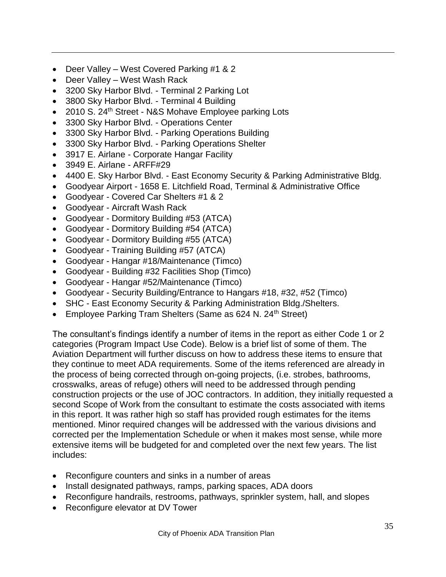- Deer Valley West Covered Parking #1 & 2
- Deer Valley West Wash Rack
- 3200 Sky Harbor Blvd. Terminal 2 Parking Lot
- 3800 Sky Harbor Blvd. Terminal 4 Building
- 2010 S. 24<sup>th</sup> Street N&S Mohave Employee parking Lots
- 3300 Sky Harbor Blvd. Operations Center
- 3300 Sky Harbor Blvd. Parking Operations Building
- 3300 Sky Harbor Blvd. Parking Operations Shelter
- 3917 E. Airlane Corporate Hangar Facility
- 3949 E. Airlane ARFF#29
- 4400 E. Sky Harbor Blvd. East Economy Security & Parking Administrative Bldg.
- Goodyear Airport 1658 E. Litchfield Road, Terminal & Administrative Office
- Goodyear Covered Car Shelters #1 & 2
- Goodyear Aircraft Wash Rack
- Goodyear Dormitory Building #53 (ATCA)
- Goodyear Dormitory Building #54 (ATCA)
- Goodyear Dormitory Building #55 (ATCA)
- Goodyear Training Building #57 (ATCA)
- Goodyear Hangar #18/Maintenance (Timco)
- Goodyear Building #32 Facilities Shop (Timco)
- Goodyear Hangar #52/Maintenance (Timco)
- Goodyear Security Building/Entrance to Hangars #18, #32, #52 (Timco)
- SHC East Economy Security & Parking Administration Bldg./Shelters.
- Employee Parking Tram Shelters (Same as 624 N. 24<sup>th</sup> Street)

The consultant's findings identify a number of items in the report as either Code 1 or 2 categories (Program Impact Use Code). Below is a brief list of some of them. The Aviation Department will further discuss on how to address these items to ensure that they continue to meet ADA requirements. Some of the items referenced are already in the process of being corrected through on-going projects, (i.e. strobes, bathrooms, crosswalks, areas of refuge) others will need to be addressed through pending construction projects or the use of JOC contractors. In addition, they initially requested a second Scope of Work from the consultant to estimate the costs associated with items in this report. It was rather high so staff has provided rough estimates for the items mentioned. Minor required changes will be addressed with the various divisions and corrected per the Implementation Schedule or when it makes most sense, while more extensive items will be budgeted for and completed over the next few years. The list includes:

- Reconfigure counters and sinks in a number of areas
- Install designated pathways, ramps, parking spaces, ADA doors
- Reconfigure handrails, restrooms, pathways, sprinkler system, hall, and slopes
- Reconfigure elevator at DV Tower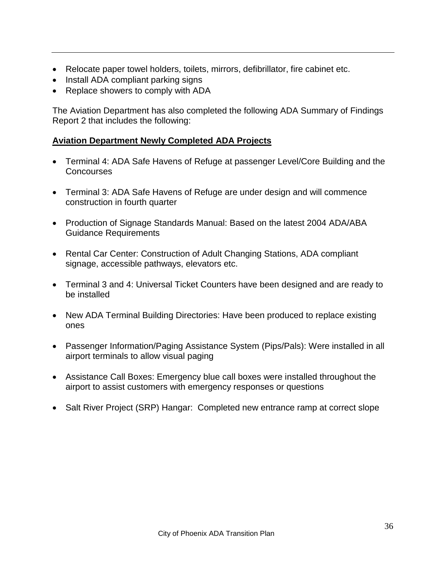- Relocate paper towel holders, toilets, mirrors, defibrillator, fire cabinet etc.
- Install ADA compliant parking signs
- Replace showers to comply with ADA

The Aviation Department has also completed the following ADA Summary of Findings Report 2 that includes the following:

# **Aviation Department Newly Completed ADA Projects**

- Terminal 4: ADA Safe Havens of Refuge at passenger Level/Core Building and the **Concourses**
- Terminal 3: ADA Safe Havens of Refuge are under design and will commence construction in fourth quarter
- Production of Signage Standards Manual: Based on the latest 2004 ADA/ABA Guidance Requirements
- Rental Car Center: Construction of Adult Changing Stations, ADA compliant signage, accessible pathways, elevators etc.
- Terminal 3 and 4: Universal Ticket Counters have been designed and are ready to be installed
- New ADA Terminal Building Directories: Have been produced to replace existing ones
- Passenger Information/Paging Assistance System (Pips/Pals): Were installed in all airport terminals to allow visual paging
- Assistance Call Boxes: Emergency blue call boxes were installed throughout the airport to assist customers with emergency responses or questions
- Salt River Project (SRP) Hangar: Completed new entrance ramp at correct slope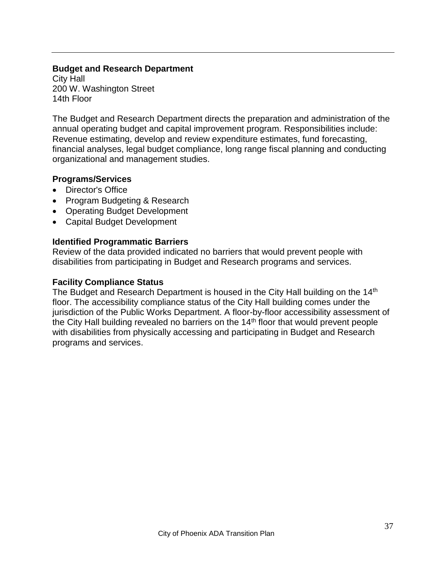#### **Budget and Research Department**

City Hall 200 W. Washington Street 14th Floor

The Budget and Research Department directs the preparation and administration of the annual operating budget and capital improvement program. Responsibilities include: Revenue estimating, develop and review expenditure estimates, fund forecasting, financial analyses, legal budget compliance, long range fiscal planning and conducting organizational and management studies.

# **Programs/Services**

- Director's Office
- Program Budgeting & Research
- Operating Budget Development
- Capital Budget Development

# **Identified Programmatic Barriers**

Review of the data provided indicated no barriers that would prevent people with disabilities from participating in Budget and Research programs and services.

# **Facility Compliance Status**

The Budget and Research Department is housed in the City Hall building on the 14<sup>th</sup> floor. The accessibility compliance status of the City Hall building comes under the jurisdiction of the Public Works Department. A floor-by-floor accessibility assessment of the City Hall building revealed no barriers on the  $14<sup>th</sup>$  floor that would prevent people with disabilities from physically accessing and participating in Budget and Research programs and services.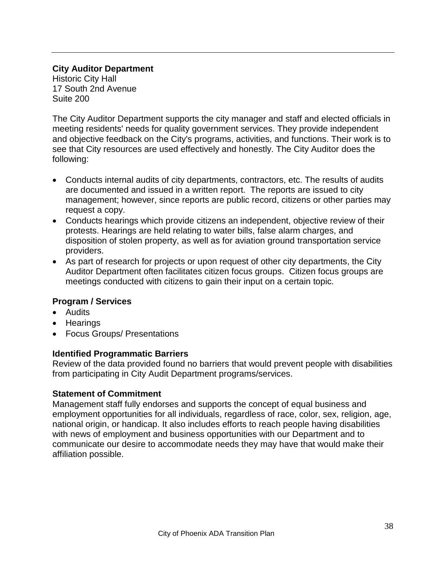# **City Auditor Department**

Historic City Hall 17 South 2nd Avenue Suite 200

The City Auditor Department supports the city manager and staff and elected officials in meeting residents' needs for quality government services. They provide independent and objective feedback on the City's programs, activities, and functions. Their work is to see that City resources are used effectively and honestly. The City Auditor does the following:

- Conducts internal audits of city departments, contractors, etc. The results of audits are documented and issued in a written report. The reports are issued to city management; however, since reports are public record, citizens or other parties may request a copy.
- Conducts hearings which provide citizens an independent, objective review of their protests. Hearings are held relating to water bills, false alarm charges, and disposition of stolen property, as well as for aviation ground transportation service providers.
- As part of research for projects or upon request of other city departments, the City Auditor Department often facilitates citizen focus groups. Citizen focus groups are meetings conducted with citizens to gain their input on a certain topic.

# **Program / Services**

- Audits
- Hearings
- Focus Groups/ Presentations

# **Identified Programmatic Barriers**

Review of the data provided found no barriers that would prevent people with disabilities from participating in City Audit Department programs/services.

# **Statement of Commitment**

Management staff fully endorses and supports the concept of equal business and employment opportunities for all individuals, regardless of race, color, sex, religion, age, national origin, or handicap. It also includes efforts to reach people having disabilities with news of employment and business opportunities with our Department and to communicate our desire to accommodate needs they may have that would make their affiliation possible.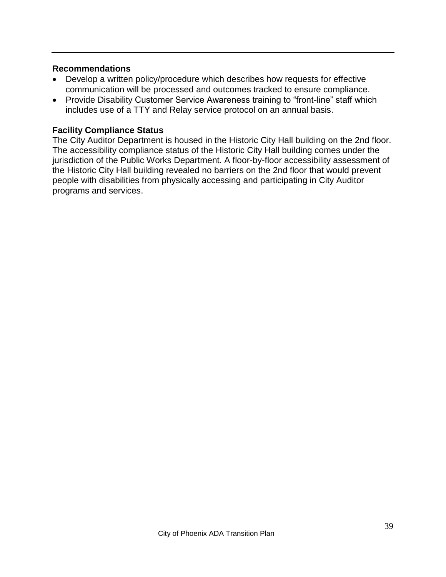#### **Recommendations**

- Develop a written policy/procedure which describes how requests for effective communication will be processed and outcomes tracked to ensure compliance.
- Provide Disability Customer Service Awareness training to "front-line" staff which includes use of a TTY and Relay service protocol on an annual basis.

# **Facility Compliance Status**

The City Auditor Department is housed in the Historic City Hall building on the 2nd floor. The accessibility compliance status of the Historic City Hall building comes under the jurisdiction of the Public Works Department. A floor-by-floor accessibility assessment of the Historic City Hall building revealed no barriers on the 2nd floor that would prevent people with disabilities from physically accessing and participating in City Auditor programs and services.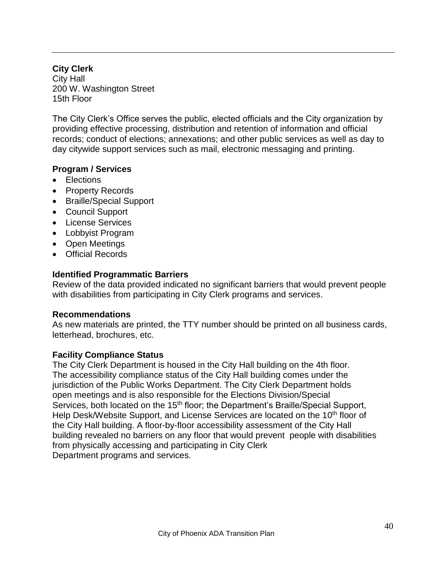# **City Clerk**

City Hall 200 W. Washington Street 15th Floor

The City Clerk's Office serves the public, elected officials and the City organization by providing effective processing, distribution and retention of information and official records; conduct of elections; annexations; and other public services as well as day to day citywide support services such as mail, electronic messaging and printing.

# **Program / Services**

- Elections
- Property Records
- Braille/Special Support
- Council Support
- License Services
- Lobbyist Program
- Open Meetings
- Official Records

# **Identified Programmatic Barriers**

Review of the data provided indicated no significant barriers that would prevent people with disabilities from participating in City Clerk programs and services.

# **Recommendations**

As new materials are printed, the TTY number should be printed on all business cards, letterhead, brochures, etc.

# **Facility Compliance Status**

The City Clerk Department is housed in the City Hall building on the 4th floor. The accessibility compliance status of the City Hall building comes under the jurisdiction of the Public Works Department. The City Clerk Department holds open meetings and is also responsible for the Elections Division/Special Services, both located on the 15<sup>th</sup> floor; the Department's Braille/Special Support, Help Desk/Website Support, and License Services are located on the 10<sup>th</sup> floor of the City Hall building. A floor-by-floor accessibility assessment of the City Hall building revealed no barriers on any floor that would prevent people with disabilities from physically accessing and participating in City Clerk Department programs and services.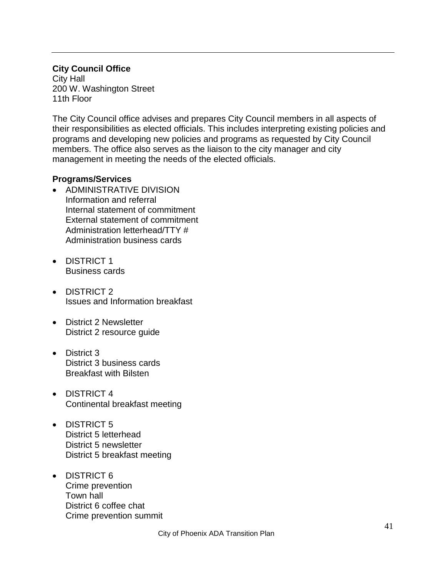# **City Council Office**

City Hall 200 W. Washington Street 11th Floor

The City Council office advises and prepares City Council members in all aspects of their responsibilities as elected officials. This includes interpreting existing policies and programs and developing new policies and programs as requested by City Council members. The office also serves as the liaison to the city manager and city management in meeting the needs of the elected officials.

#### **Programs/Services**

- **ADMINISTRATIVE DIVISION** Information and referral Internal statement of commitment External statement of commitment Administration letterhead/TTY # Administration business cards
- DISTRICT 1 Business cards
- DISTRICT 2 Issues and Information breakfast
- District 2 Newsletter District 2 resource guide
- District 3 District 3 business cards Breakfast with Bilsten
- DISTRICT 4 Continental breakfast meeting
- DISTRICT 5 District 5 letterhead District 5 newsletter District 5 breakfast meeting
- DISTRICT 6 Crime prevention Town hall District 6 coffee chat Crime prevention summit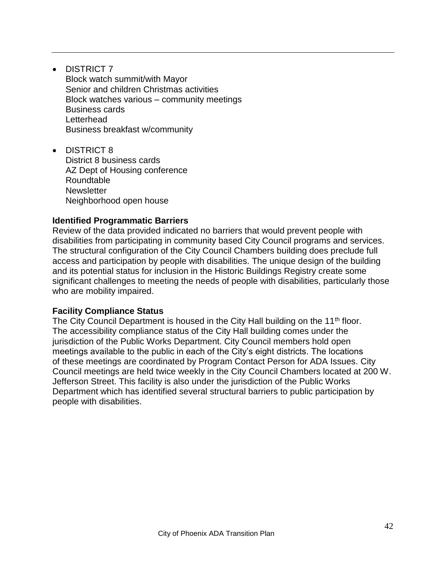- DISTRICT 7 Block watch summit/with Mayor Senior and children Christmas activities Block watches various – community meetings Business cards **Letterhead** Business breakfast w/community
- DISTRICT 8 District 8 business cards AZ Dept of Housing conference Roundtable **Newsletter** Neighborhood open house

#### **Identified Programmatic Barriers**

Review of the data provided indicated no barriers that would prevent people with disabilities from participating in community based City Council programs and services. The structural configuration of the City Council Chambers building does preclude full access and participation by people with disabilities. The unique design of the building and its potential status for inclusion in the Historic Buildings Registry create some significant challenges to meeting the needs of people with disabilities, particularly those who are mobility impaired.

#### **Facility Compliance Status**

The City Council Department is housed in the City Hall building on the 11<sup>th</sup> floor. The accessibility compliance status of the City Hall building comes under the jurisdiction of the Public Works Department. City Council members hold open meetings available to the public in each of the City's eight districts. The locations of these meetings are coordinated by Program Contact Person for ADA Issues. City Council meetings are held twice weekly in the City Council Chambers located at 200 W. Jefferson Street. This facility is also under the jurisdiction of the Public Works Department which has identified several structural barriers to public participation by people with disabilities.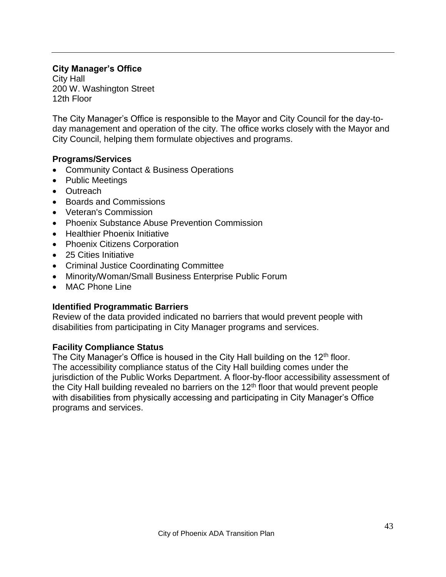# **City Manager's Office**

City Hall 200 W. Washington Street 12th Floor

The City Manager's Office is responsible to the Mayor and City Council for the day-today management and operation of the city. The office works closely with the Mayor and City Council, helping them formulate objectives and programs.

#### **Programs/Services**

- Community Contact & Business Operations
- Public Meetings
- Outreach
- Boards and Commissions
- Veteran's Commission
- Phoenix Substance Abuse Prevention Commission
- Healthier Phoenix Initiative
- Phoenix Citizens Corporation
- 25 Cities Initiative
- Criminal Justice Coordinating Committee
- Minority/Woman/Small Business Enterprise Public Forum
- MAC Phone Line

# **Identified Programmatic Barriers**

Review of the data provided indicated no barriers that would prevent people with disabilities from participating in City Manager programs and services.

# **Facility Compliance Status**

The City Manager's Office is housed in the City Hall building on the 12<sup>th</sup> floor. The accessibility compliance status of the City Hall building comes under the jurisdiction of the Public Works Department. A floor-by-floor accessibility assessment of the City Hall building revealed no barriers on the  $12<sup>th</sup>$  floor that would prevent people with disabilities from physically accessing and participating in City Manager's Office programs and services.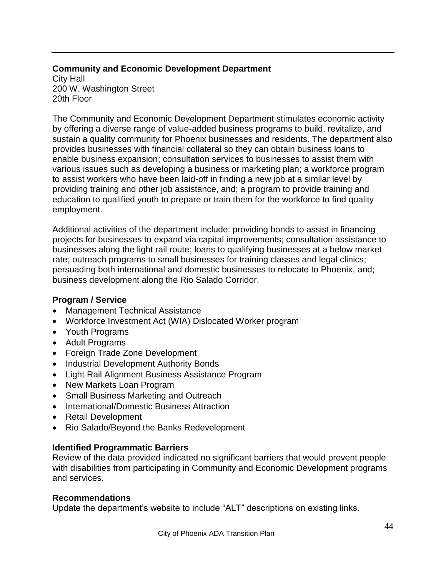# **Community and Economic Development Department**

City Hall 200 W. Washington Street 20th Floor

The Community and Economic Development Department stimulates economic activity by offering a diverse range of value-added business programs to build, revitalize, and sustain a quality community for Phoenix businesses and residents. The department also provides businesses with financial collateral so they can obtain business loans to enable business expansion; consultation services to businesses to assist them with various issues such as developing a business or marketing plan; a workforce program to assist workers who have been laid-off in finding a new job at a similar level by providing training and other job assistance, and; a program to provide training and education to qualified youth to prepare or train them for the workforce to find quality employment.

Additional activities of the department include: providing bonds to assist in financing projects for businesses to expand via capital improvements; consultation assistance to businesses along the light rail route; loans to qualifying businesses at a below market rate; outreach programs to small businesses for training classes and legal clinics; persuading both international and domestic businesses to relocate to Phoenix, and; business development along the Rio Salado Corridor.

# **Program / Service**

- Management Technical Assistance
- Workforce Investment Act (WIA) Dislocated Worker program
- Youth Programs
- Adult Programs
- Foreign Trade Zone Development
- Industrial Development Authority Bonds
- Light Rail Alignment Business Assistance Program
- New Markets Loan Program
- Small Business Marketing and Outreach
- International/Domestic Business Attraction
- Retail Development
- Rio Salado/Beyond the Banks Redevelopment

# **Identified Programmatic Barriers**

Review of the data provided indicated no significant barriers that would prevent people with disabilities from participating in Community and Economic Development programs and services.

# **Recommendations**

Update the department's website to include "ALT" descriptions on existing links.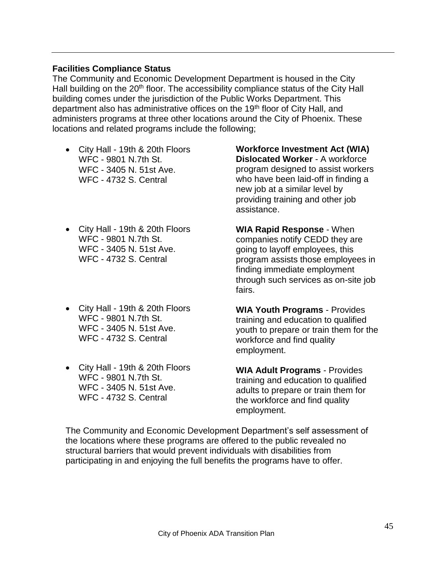#### **Facilities Compliance Status**

The Community and Economic Development Department is housed in the City Hall building on the  $20<sup>th</sup>$  floor. The accessibility compliance status of the City Hall building comes under the jurisdiction of the Public Works Department. This department also has administrative offices on the 19<sup>th</sup> floor of City Hall, and administers programs at three other locations around the City of Phoenix. These locations and related programs include the following;

- City Hall 19th & 20th Floors WFC - 9801 N.7th St. WFC - 3405 N. 51st Ave. WFC - 4732 S. Central
- **Workforce Investment Act (WIA) Dislocated Worker** - A workforce program designed to assist workers who have been laid-off in finding a new job at a similar level by providing training and other job assistance.
- City Hall 19th & 20th Floors WFC - 9801 N.7th St. WFC - 3405 N. 51st Ave. WFC - 4732 S. Central
- City Hall 19th & 20th Floors WFC - 9801 N.7th St. WFC - 3405 N. 51st Ave. WFC - 4732 S. Central
- City Hall 19th & 20th Floors WFC - 9801 N.7th St. WFC - 3405 N. 51st Ave. WFC - 4732 S. Central

**WIA Rapid Response** - When companies notify CEDD they are going to layoff employees, this program assists those employees in finding immediate employment through such services as on-site job fairs.

**WIA Youth Programs** - Provides training and education to qualified youth to prepare or train them for the workforce and find quality employment.

**WIA Adult Programs** - Provides training and education to qualified adults to prepare or train them for the workforce and find quality employment.

The Community and Economic Development Department's self assessment of the locations where these programs are offered to the public revealed no structural barriers that would prevent individuals with disabilities from participating in and enjoying the full benefits the programs have to offer.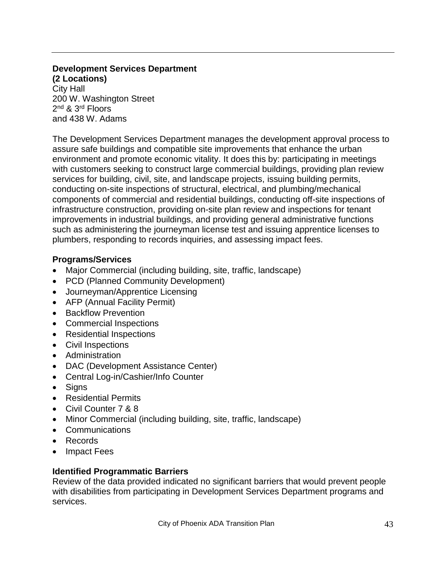# **Development Services Department**

**(2 Locations)** City Hall 200 W. Washington Street 2<sup>nd</sup> & 3<sup>rd</sup> Floors and 438 W. Adams

The Development Services Department manages the development approval process to assure safe buildings and compatible site improvements that enhance the urban environment and promote economic vitality. It does this by: participating in meetings with customers seeking to construct large commercial buildings, providing plan review services for building, civil, site, and landscape projects, issuing building permits, conducting on-site inspections of structural, electrical, and plumbing/mechanical components of commercial and residential buildings, conducting off-site inspections of infrastructure construction, providing on-site plan review and inspections for tenant improvements in industrial buildings, and providing general administrative functions such as administering the journeyman license test and issuing apprentice licenses to plumbers, responding to records inquiries, and assessing impact fees.

# **Programs/Services**

- Major Commercial (including building, site, traffic, landscape)
- PCD (Planned Community Development)
- Journeyman/Apprentice Licensing
- AFP (Annual Facility Permit)
- Backflow Prevention
- Commercial Inspections
- Residential Inspections
- Civil Inspections
- Administration
- DAC (Development Assistance Center)
- Central Log-in/Cashier/Info Counter
- Signs
- Residential Permits
- Civil Counter 7 & 8
- Minor Commercial (including building, site, traffic, landscape)
- Communications
- Records
- Impact Fees

# **Identified Programmatic Barriers**

Review of the data provided indicated no significant barriers that would prevent people with disabilities from participating in Development Services Department programs and services.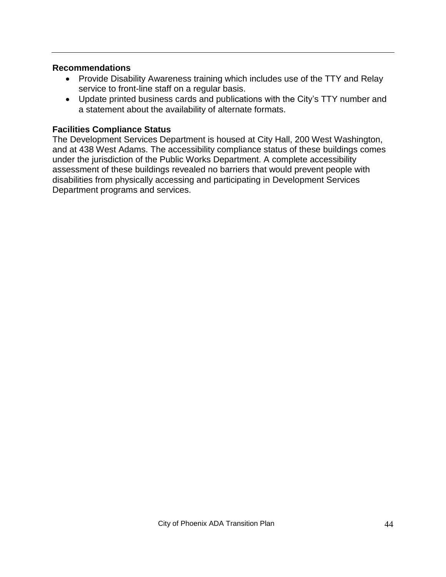#### **Recommendations**

- Provide Disability Awareness training which includes use of the TTY and Relay service to front-line staff on a regular basis.
- Update printed business cards and publications with the City's TTY number and a statement about the availability of alternate formats.

# **Facilities Compliance Status**

The Development Services Department is housed at City Hall, 200 West Washington, and at 438 West Adams. The accessibility compliance status of these buildings comes under the jurisdiction of the Public Works Department. A complete accessibility assessment of these buildings revealed no barriers that would prevent people with disabilities from physically accessing and participating in Development Services Department programs and services.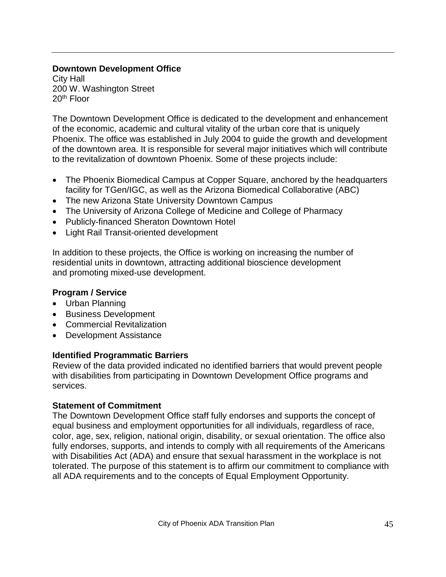# **Downtown Development Office**

City Hall 200 W. Washington Street 20th Floor

The Downtown Development Office is dedicated to the development and enhancement of the economic, academic and cultural vitality of the urban core that is uniquely Phoenix. The office was established in July 2004 to guide the growth and development of the downtown area. It is responsible for several major initiatives which will contribute to the revitalization of downtown Phoenix. Some of these projects include:

- The Phoenix Biomedical Campus at Copper Square, anchored by the headquarters facility for TGen/IGC, as well as the Arizona Biomedical Collaborative (ABC)
- The new Arizona State University Downtown Campus
- The University of Arizona College of Medicine and College of Pharmacy
- Publicly-financed Sheraton Downtown Hotel
- Light Rail Transit-oriented development

In addition to these projects, the Office is working on increasing the number of residential units in downtown, attracting additional bioscience development and promoting mixed-use development.

# **Program / Service**

- Urban Planning
- Business Development
- Commercial Revitalization
- Development Assistance

# **Identified Programmatic Barriers**

Review of the data provided indicated no identified barriers that would prevent people with disabilities from participating in Downtown Development Office programs and services.

# **Statement of Commitment**

The Downtown Development Office staff fully endorses and supports the concept of equal business and employment opportunities for all individuals, regardless of race, color, age, sex, religion, national origin, disability, or sexual orientation. The office also fully endorses, supports, and intends to comply with all requirements of the Americans with Disabilities Act (ADA) and ensure that sexual harassment in the workplace is not tolerated. The purpose of this statement is to affirm our commitment to compliance with all ADA requirements and to the concepts of Equal Employment Opportunity.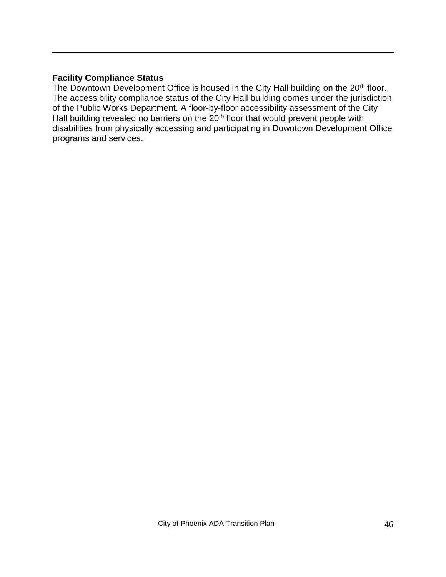# **Facility Compliance Status**

The Downtown Development Office is housed in the City Hall building on the 20<sup>th</sup> floor. The accessibility compliance status of the City Hall building comes under the jurisdiction of the Public Works Department. A floor-by-floor accessibility assessment of the City Hall building revealed no barriers on the 20<sup>th</sup> floor that would prevent people with disabilities from physically accessing and participating in Downtown Development Office programs and services.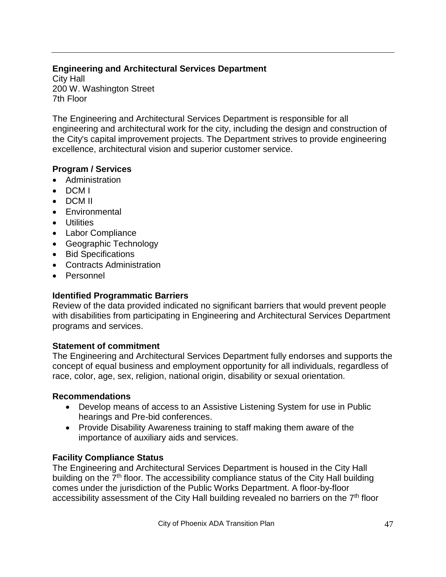# **Engineering and Architectural Services Department**

City Hall 200 W. Washington Street 7th Floor

The Engineering and Architectural Services Department is responsible for all engineering and architectural work for the city, including the design and construction of the City's capital improvement projects. The Department strives to provide engineering excellence, architectural vision and superior customer service.

# **Program / Services**

- Administration
- $\bullet$  DCM I
- DCM II
- Environmental
- Utilities
- Labor Compliance
- Geographic Technology
- Bid Specifications
- Contracts Administration
- Personnel

# **Identified Programmatic Barriers**

Review of the data provided indicated no significant barriers that would prevent people with disabilities from participating in Engineering and Architectural Services Department programs and services.

# **Statement of commitment**

The Engineering and Architectural Services Department fully endorses and supports the concept of equal business and employment opportunity for all individuals, regardless of race, color, age, sex, religion, national origin, disability or sexual orientation.

# **Recommendations**

- Develop means of access to an Assistive Listening System for use in Public hearings and Pre-bid conferences.
- Provide Disability Awareness training to staff making them aware of the importance of auxiliary aids and services.

# **Facility Compliance Status**

The Engineering and Architectural Services Department is housed in the City Hall building on the 7<sup>th</sup> floor. The accessibility compliance status of the City Hall building comes under the jurisdiction of the Public Works Department. A floor-by-floor accessibility assessment of the City Hall building revealed no barriers on the 7<sup>th</sup> floor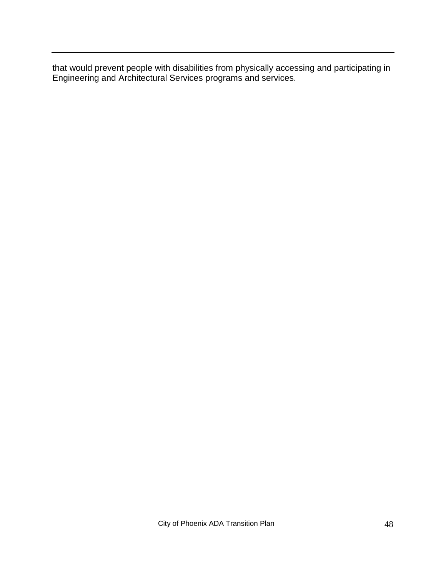that would prevent people with disabilities from physically accessing and participating in Engineering and Architectural Services programs and services.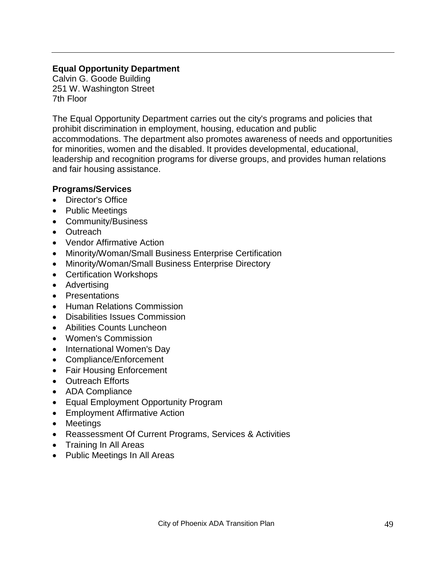# **Equal Opportunity Department**

Calvin G. Goode Building 251 W. Washington Street 7th Floor

The Equal Opportunity Department carries out the city's programs and policies that prohibit discrimination in employment, housing, education and public accommodations. The department also promotes awareness of needs and opportunities for minorities, women and the disabled. It provides developmental, educational, leadership and recognition programs for diverse groups, and provides human relations and fair housing assistance.

# **Programs/Services**

- Director's Office
- Public Meetings
- Community/Business
- Outreach
- Vendor Affirmative Action
- Minority/Woman/Small Business Enterprise Certification
- Minority/Woman/Small Business Enterprise Directory
- Certification Workshops
- Advertising
- Presentations
- **Human Relations Commission**
- Disabilities Issues Commission
- Abilities Counts Luncheon
- Women's Commission
- International Women's Day
- Compliance/Enforcement
- Fair Housing Enforcement
- Outreach Efforts
- ADA Compliance
- Equal Employment Opportunity Program
- Employment Affirmative Action
- Meetings
- Reassessment Of Current Programs, Services & Activities
- Training In All Areas
- Public Meetings In All Areas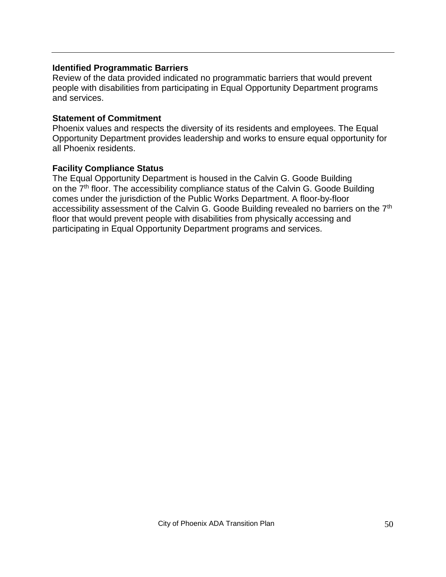# **Identified Programmatic Barriers**

Review of the data provided indicated no programmatic barriers that would prevent people with disabilities from participating in Equal Opportunity Department programs and services.

# **Statement of Commitment**

Phoenix values and respects the diversity of its residents and employees. The Equal Opportunity Department provides leadership and works to ensure equal opportunity for all Phoenix residents.

# **Facility Compliance Status**

The Equal Opportunity Department is housed in the Calvin G. Goode Building on the 7<sup>th</sup> floor. The accessibility compliance status of the Calvin G. Goode Building comes under the jurisdiction of the Public Works Department. A floor-by-floor accessibility assessment of the Calvin G. Goode Building revealed no barriers on the 7<sup>th</sup> floor that would prevent people with disabilities from physically accessing and participating in Equal Opportunity Department programs and services.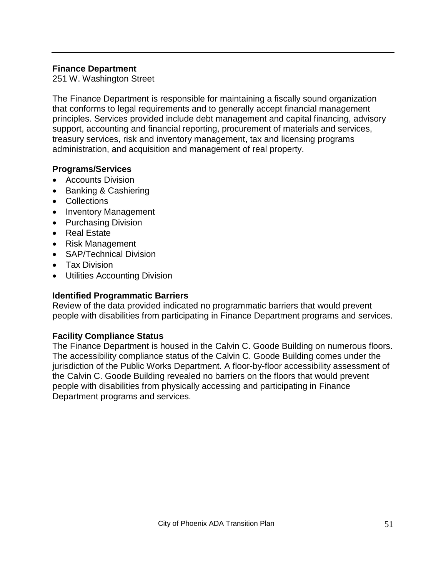# **Finance Department**

251 W. Washington Street

The Finance Department is responsible for maintaining a fiscally sound organization that conforms to legal requirements and to generally accept financial management principles. Services provided include debt management and capital financing, advisory support, accounting and financial reporting, procurement of materials and services, treasury services, risk and inventory management, tax and licensing programs administration, and acquisition and management of real property.

# **Programs/Services**

- Accounts Division
- Banking & Cashiering
- Collections
- Inventory Management
- Purchasing Division
- Real Estate
- Risk Management
- SAP/Technical Division
- **•** Tax Division
- Utilities Accounting Division

# **Identified Programmatic Barriers**

Review of the data provided indicated no programmatic barriers that would prevent people with disabilities from participating in Finance Department programs and services.

# **Facility Compliance Status**

The Finance Department is housed in the Calvin C. Goode Building on numerous floors. The accessibility compliance status of the Calvin C. Goode Building comes under the jurisdiction of the Public Works Department. A floor-by-floor accessibility assessment of the Calvin C. Goode Building revealed no barriers on the floors that would prevent people with disabilities from physically accessing and participating in Finance Department programs and services.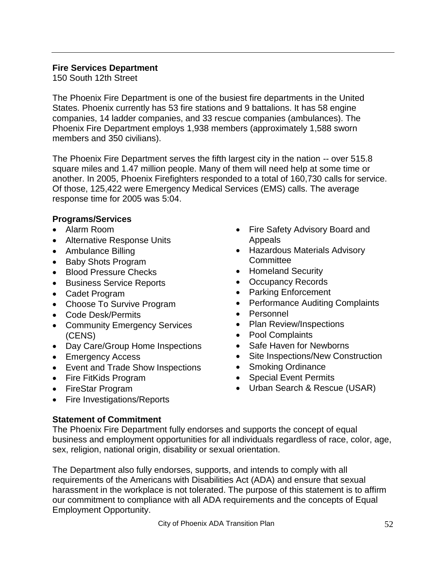# **Fire Services Department**

150 South 12th Street

The Phoenix Fire Department is one of the busiest fire departments in the United States. Phoenix currently has 53 fire stations and 9 battalions. It has 58 engine companies, 14 ladder companies, and 33 rescue companies (ambulances). The Phoenix Fire Department employs 1,938 members (approximately 1,588 sworn members and 350 civilians).

The Phoenix Fire Department serves the fifth largest city in the nation -- over 515.8 square miles and 1.47 million people. Many of them will need help at some time or another. In 2005, Phoenix Firefighters responded to a total of 160,730 calls for service. Of those, 125,422 were Emergency Medical Services (EMS) calls. The average response time for 2005 was 5:04.

# **Programs/Services**

- Alarm Room
- Alternative Response Units
- Ambulance Billing
- Baby Shots Program
- Blood Pressure Checks
- Business Service Reports
- Cadet Program
- Choose To Survive Program
- Code Desk/Permits
- Community Emergency Services (CENS)
- Day Care/Group Home Inspections
- Emergency Access
- Event and Trade Show Inspections
- Fire FitKids Program
- FireStar Program
- Fire Investigations/Reports
- **Statement of Commitment**
- Fire Safety Advisory Board and Appeals
- Hazardous Materials Advisory **Committee**
- Homeland Security
- Occupancy Records
- Parking Enforcement
- Performance Auditing Complaints
- Personnel
- Plan Review/Inspections
- Pool Complaints
- Safe Haven for Newborns
- Site Inspections/New Construction
- Smoking Ordinance
- Special Event Permits
- Urban Search & Rescue (USAR)

The Phoenix Fire Department fully endorses and supports the concept of equal business and employment opportunities for all individuals regardless of race, color, age, sex, religion, national origin, disability or sexual orientation.

The Department also fully endorses, supports, and intends to comply with all requirements of the Americans with Disabilities Act (ADA) and ensure that sexual harassment in the workplace is not tolerated. The purpose of this statement is to affirm our commitment to compliance with all ADA requirements and the concepts of Equal Employment Opportunity.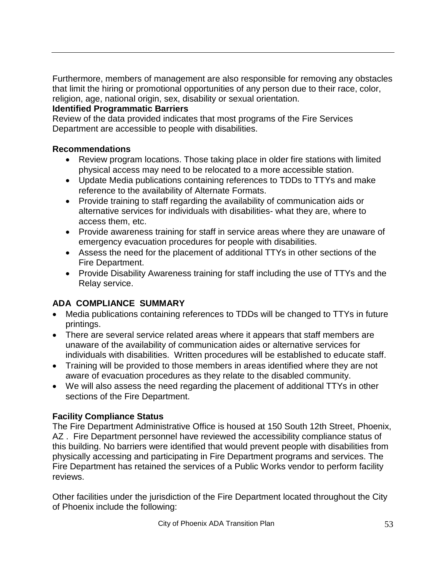Furthermore, members of management are also responsible for removing any obstacles that limit the hiring or promotional opportunities of any person due to their race, color, religion, age, national origin, sex, disability or sexual orientation.

# **Identified Programmatic Barriers**

Review of the data provided indicates that most programs of the Fire Services Department are accessible to people with disabilities.

# **Recommendations**

- Review program locations. Those taking place in older fire stations with limited physical access may need to be relocated to a more accessible station.
- Update Media publications containing references to TDDs to TTYs and make reference to the availability of Alternate Formats.
- Provide training to staff regarding the availability of communication aids or alternative services for individuals with disabilities- what they are, where to access them, etc.
- Provide awareness training for staff in service areas where they are unaware of emergency evacuation procedures for people with disabilities.
- Assess the need for the placement of additional TTYs in other sections of the Fire Department.
- Provide Disability Awareness training for staff including the use of TTYs and the Relay service.

# **ADA COMPLIANCE SUMMARY**

- Media publications containing references to TDDs will be changed to TTYs in future printings.
- There are several service related areas where it appears that staff members are unaware of the availability of communication aides or alternative services for individuals with disabilities. Written procedures will be established to educate staff.
- Training will be provided to those members in areas identified where they are not aware of evacuation procedures as they relate to the disabled community.
- We will also assess the need regarding the placement of additional TTYs in other sections of the Fire Department.

# **Facility Compliance Status**

The Fire Department Administrative Office is housed at 150 South 12th Street, Phoenix, AZ . Fire Department personnel have reviewed the accessibility compliance status of this building. No barriers were identified that would prevent people with disabilities from physically accessing and participating in Fire Department programs and services. The Fire Department has retained the services of a Public Works vendor to perform facility reviews.

Other facilities under the jurisdiction of the Fire Department located throughout the City of Phoenix include the following: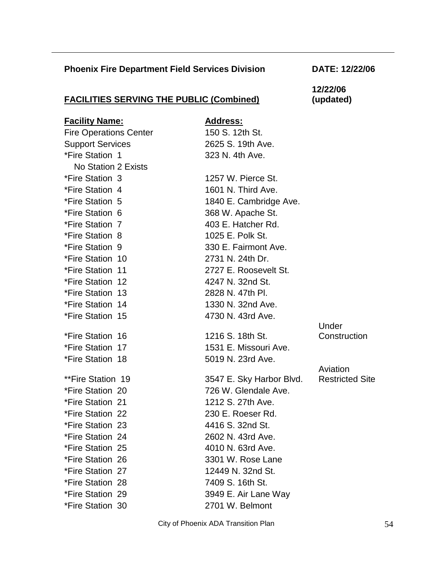#### **Phoenix Fire Department Field Services Division DATE: 12/22/06**

# **FACILITIES SERVING THE PUBLIC (Combined)**

# **12/22/06 (updated)**

# **Facility Name: Address:** Fire Operations Center 150 S. 12th St. Support Services 2625 S. 19th Ave. \*Fire Station 1 323 N. 4th Ave. No Station 2 Exists \*Fire Station 3 1257 W. Pierce St. \*Fire Station 4 1601 N. Third Ave. \*Fire Station 6 368 W. Apache St. \*Fire Station 7 403 E. Hatcher Rd. \*Fire Station 8 1025 E. Polk St. \*Fire Station 10 2731 N. 24th Dr. \*Fire Station 12 4247 N. 32nd St. \*Fire Station 13 2828 N. 47th Pl. \*Fire Station 14 1330 N. 32nd Ave. \*Fire Station 15 4730 N. 43rd Ave. \*Fire Station 16 1216 S. 18th St. \*Fire Station 18 5019 N. 23rd Ave. \*Fire Station 21 1212 S. 27th Ave. \*Fire Station 22 230 E. Roeser Rd. \*Fire Station 23 4416 S. 32nd St. \*Fire Station 24 2602 N. 43rd Ave. \*Fire Station 25 4010 N. 63rd Ave. \*Fire Station 26 3301 W. Rose Lane \*Fire Station 27 12449 N. 32nd St. \*Fire Station 28 7409 S. 16th St. \*Fire Station 29 3949 E. Air Lane Way \*Fire Station 30 2701 W. Belmont

\*Fire Station 5 1840 E. Cambridge Ave. \*Fire Station 9 330 E. Fairmont Ave. \*Fire Station 11 2727 E. Roosevelt St. \*Fire Station 17 1531 E. Missouri Ave. \*\*Fire Station 19 3547 E. Sky Harbor Blvd. \*Fire Station 20 726 W. Glendale Ave.

Under **Construction** 

Aviation Restricted Site

City of Phoenix ADA Transition Plan 54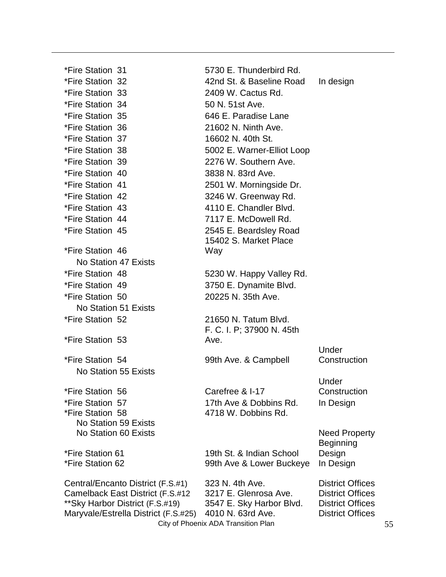\*Fire Station 33 2409 W. Cactus Rd. \*Fire Station 34 50 N. 51st Ave. \*Fire Station 36 21602 N. Ninth Ave. \*Fire Station 37 16602 N. 40th St. \*Fire Station 40 3838 N. 83rd Ave. \*Fire Station 46 No Station 47 Exists \*Fire Station 50 20225 N. 35th Ave. No Station 51 Exists \*Fire Station 53 No Station 55 Exists \*Fire Station 56 Carefree & I-17 No Station 59 Exists

\*Fire Station 31 5730 E. Thunderbird Rd. \*Fire Station 32 42nd St. & Baseline Road In design \*Fire Station 35 646 E. Paradise Lane \*Fire Station 38 5002 E. Warner-Elliot Loop \*Fire Station 39 2276 W. Southern Ave. \*Fire Station 41 2501 W. Morningside Dr. \*Fire Station 42 3246 W. Greenway Rd. \*Fire Station 43 4110 E. Chandler Blvd. \*Fire Station 44 7117 E. McDowell Rd. \*Fire Station 45 2545 E. Beardsley Road 15402 S. Market Place Way \*Fire Station 48 5230 W. Happy Valley Rd. \*Fire Station 49 3750 E. Dynamite Blvd. \*Fire Station 52 21650 N. Tatum Blvd. F. C. I. P; 37900 N. 45th Ave. \*Fire Station 54 99th Ave. & Campbell Under **Construction** Under **Construction** \*Fire Station 57 17th Ave & Dobbins Rd. In Design \*Fire Station 58 4718 W. Dobbins Rd. No Station 60 Exists Need Property \*Fire Station 61 19th St. & Indian School Beginning Design \*Fire Station 62 99th Ave & Lower Buckeye In Design Central/Encanto District (F.S.#1) 323 N. 4th Ave. District Offices Camelback East District (F.S.#12 3217 E. Glenrosa Ave. District Offices

City of Phoenix ADA Transition Plan 55 \*\*Sky Harbor District (F.S.#19) 3547 E. Sky Harbor Blvd. District Offices Maryvale/Estrella District (F.S.#25) 4010 N. 63rd Ave. District Offices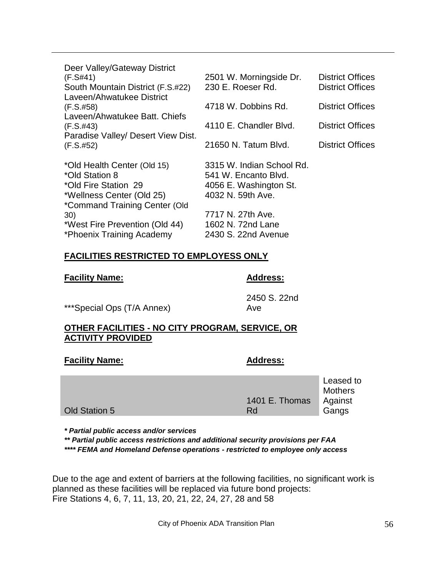| Deer Valley/Gateway District<br>(F.S#41)<br>South Mountain District (F.S.#22)<br>Laveen/Ahwatukee District<br>(F.S.#58)<br>Laveen/Ahwatukee Batt. Chiefs<br>(F.S. #43)<br>Paradise Valley/ Desert View Dist.<br>(F.S.#52) | 2501 W. Morningside Dr.<br>230 E. Roeser Rd.                                                     | <b>District Offices</b><br><b>District Offices</b>                            |
|---------------------------------------------------------------------------------------------------------------------------------------------------------------------------------------------------------------------------|--------------------------------------------------------------------------------------------------|-------------------------------------------------------------------------------|
|                                                                                                                                                                                                                           | 4718 W. Dobbins Rd.<br>4110 E. Chandler Blvd.<br>21650 N. Tatum Blvd.                            | <b>District Offices</b><br><b>District Offices</b><br><b>District Offices</b> |
| *Old Health Center (Old 15)<br>*Old Station 8<br>*Old Fire Station 29<br>*Wellness Center (Old 25)<br>*Command Training Center (Old                                                                                       | 3315 W. Indian School Rd.<br>541 W. Encanto Blvd.<br>4056 E. Washington St.<br>4032 N. 59th Ave. |                                                                               |
| 30)<br>*West Fire Prevention (Old 44)<br>*Phoenix Training Academy                                                                                                                                                        | 7717 N. 27th Ave.<br>1602 N. 72nd Lane<br>2430 S. 22nd Avenue                                    |                                                                               |

# **FACILITIES RESTRICTED TO EMPLOYESS ONLY**

#### **Facility Name: Address:**

Ave

2450 S. 22nd

\*\*\*Special Ops (T/A Annex)

#### **OTHER FACILITIES - NO CITY PROGRAM, SERVICE, OR ACTIVITY PROVIDED**

# **Facility Name:** Address:

|               |                | Leased to      |
|---------------|----------------|----------------|
|               |                | <b>Mothers</b> |
|               | 1401 E. Thomas | Against        |
| Old Station 5 | Rd             | Gangs          |

*\* Partial public access and/or services* 

*\*\* Partial public access restrictions and additional security provisions per FAA*

*\*\*\*\* FEMA and Homeland Defense operations - restricted to employee only access*

Due to the age and extent of barriers at the following facilities, no significant work is planned as these facilities will be replaced via future bond projects: Fire Stations 4, 6, 7, 11, 13, 20, 21, 22, 24, 27, 28 and 58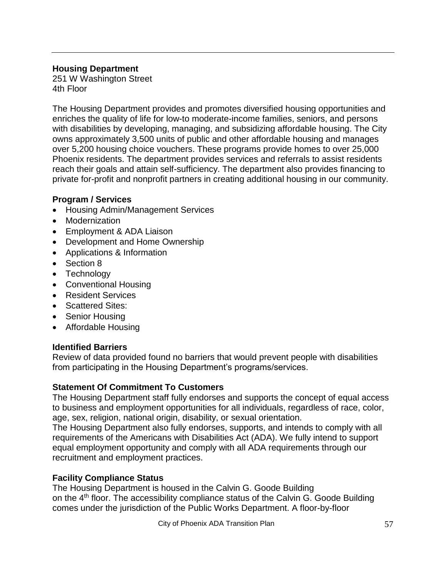# **Housing Department**

251 W Washington Street 4th Floor

The Housing Department provides and promotes diversified housing opportunities and enriches the quality of life for low-to moderate-income families, seniors, and persons with disabilities by developing, managing, and subsidizing affordable housing. The City owns approximately 3,500 units of public and other affordable housing and manages over 5,200 housing choice vouchers. These programs provide homes to over 25,000 Phoenix residents. The department provides services and referrals to assist residents reach their goals and attain self-sufficiency. The department also provides financing to private for-profit and nonprofit partners in creating additional housing in our community.

# **Program / Services**

- Housing Admin/Management Services
- Modernization
- Employment & ADA Liaison
- Development and Home Ownership
- Applications & Information
- Section 8
- Technology
- Conventional Housing
- Resident Services
- Scattered Sites:
- Senior Housing
- Affordable Housing

# **Identified Barriers**

Review of data provided found no barriers that would prevent people with disabilities from participating in the Housing Department's programs/services.

# **Statement Of Commitment To Customers**

The Housing Department staff fully endorses and supports the concept of equal access to business and employment opportunities for all individuals, regardless of race, color, age, sex, religion, national origin, disability, or sexual orientation.

The Housing Department also fully endorses, supports, and intends to comply with all requirements of the Americans with Disabilities Act (ADA). We fully intend to support equal employment opportunity and comply with all ADA requirements through our recruitment and employment practices.

# **Facility Compliance Status**

The Housing Department is housed in the Calvin G. Goode Building on the 4<sup>th</sup> floor. The accessibility compliance status of the Calvin G. Goode Building comes under the jurisdiction of the Public Works Department. A floor-by-floor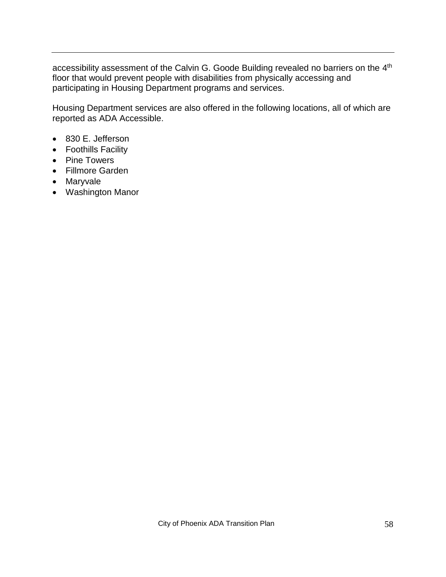accessibility assessment of the Calvin G. Goode Building revealed no barriers on the 4<sup>th</sup> floor that would prevent people with disabilities from physically accessing and participating in Housing Department programs and services.

Housing Department services are also offered in the following locations, all of which are reported as ADA Accessible.

- 830 E. Jefferson
- Foothills Facility
- Pine Towers
- Fillmore Garden
- Maryvale
- Washington Manor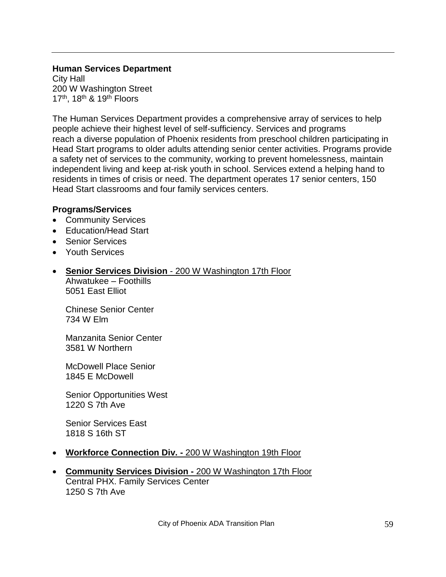#### **Human Services Department**

City Hall 200 W Washington Street 17<sup>th</sup>, 18<sup>th</sup> & 19<sup>th</sup> Floors

The Human Services Department provides a comprehensive array of services to help people achieve their highest level of self-sufficiency. Services and programs reach a diverse population of Phoenix residents from preschool children participating in Head Start programs to older adults attending senior center activities. Programs provide a safety net of services to the community, working to prevent homelessness, maintain independent living and keep at-risk youth in school. Services extend a helping hand to residents in times of crisis or need. The department operates 17 senior centers, 150 Head Start classrooms and four family services centers.

# **Programs/Services**

- Community Services
- Education/Head Start
- **•** Senior Services
- Youth Services

#### **Senior Services Division** - 200 W Washington 17th Floor Ahwatukee – Foothills

5051 East Elliot

Chinese Senior Center 734 W Elm

Manzanita Senior Center 3581 W Northern

McDowell Place Senior 1845 E McDowell

Senior Opportunities West 1220 S 7th Ave

Senior Services East 1818 S 16th ST

- **Workforce Connection Div. -** 200 W Washington 19th Floor
- **Community Services Division -** 200 W Washington 17th Floor Central PHX. Family Services Center 1250 S 7th Ave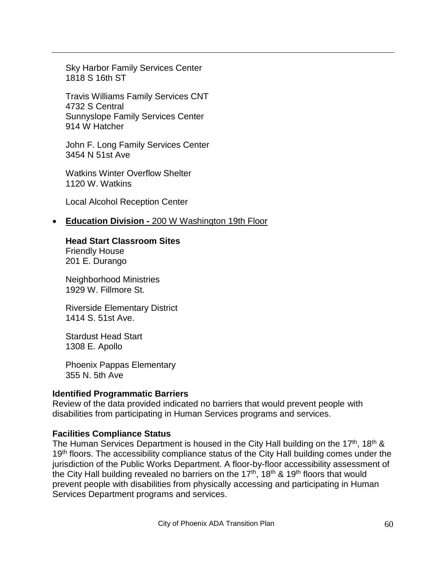Sky Harbor Family Services Center 1818 S 16th ST

Travis Williams Family Services CNT 4732 S Central Sunnyslope Family Services Center 914 W Hatcher

John F. Long Family Services Center 3454 N 51st Ave

Watkins Winter Overflow Shelter 1120 W. Watkins

Local Alcohol Reception Center

#### **Education Division -** 200 W Washington 19th Floor

#### **Head Start Classroom Sites**

Friendly House 201 E. Durango

Neighborhood Ministries 1929 W. Fillmore St.

Riverside Elementary District 1414 S. 51st Ave.

Stardust Head Start 1308 E. Apollo

Phoenix Pappas Elementary 355 N. 5th Ave

# **Identified Programmatic Barriers**

Review of the data provided indicated no barriers that would prevent people with disabilities from participating in Human Services programs and services.

# **Facilities Compliance Status**

The Human Services Department is housed in the City Hall building on the 17<sup>th</sup>, 18<sup>th</sup> & 19<sup>th</sup> floors. The accessibility compliance status of the City Hall building comes under the jurisdiction of the Public Works Department. A floor-by-floor accessibility assessment of the City Hall building revealed no barriers on the 17<sup>th</sup>, 18<sup>th</sup> & 19<sup>th</sup> floors that would prevent people with disabilities from physically accessing and participating in Human Services Department programs and services.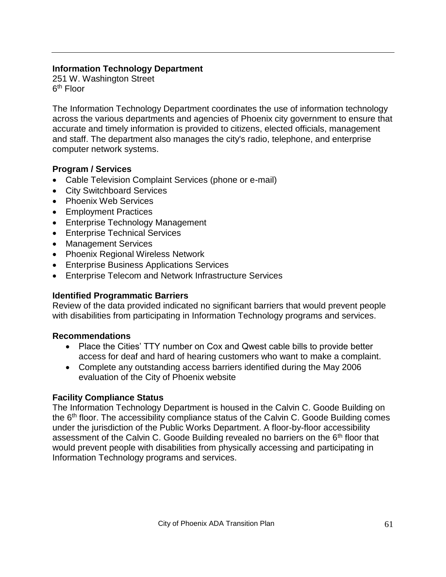# **Information Technology Department**

251 W. Washington Street 6<sup>th</sup> Floor

The Information Technology Department coordinates the use of information technology across the various departments and agencies of Phoenix city government to ensure that accurate and timely information is provided to citizens, elected officials, management and staff. The department also manages the city's radio, telephone, and enterprise computer network systems.

# **Program / Services**

- Cable Television Complaint Services (phone or e-mail)
- City Switchboard Services
- Phoenix Web Services
- Employment Practices
- Enterprise Technology Management
- Enterprise Technical Services
- Management Services
- Phoenix Regional Wireless Network
- Enterprise Business Applications Services
- Enterprise Telecom and Network Infrastructure Services

# **Identified Programmatic Barriers**

Review of the data provided indicated no significant barriers that would prevent people with disabilities from participating in Information Technology programs and services.

# **Recommendations**

- Place the Cities' TTY number on Cox and Qwest cable bills to provide better access for deaf and hard of hearing customers who want to make a complaint.
- Complete any outstanding access barriers identified during the May 2006 evaluation of the City of Phoenix website

# **Facility Compliance Status**

The Information Technology Department is housed in the Calvin C. Goode Building on the 6<sup>th</sup> floor. The accessibility compliance status of the Calvin C. Goode Building comes under the jurisdiction of the Public Works Department. A floor-by-floor accessibility assessment of the Calvin C. Goode Building revealed no barriers on the 6<sup>th</sup> floor that would prevent people with disabilities from physically accessing and participating in Information Technology programs and services.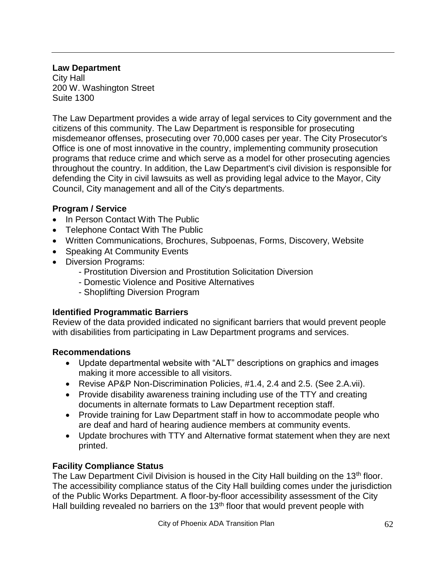# **Law Department**

City Hall 200 W. Washington Street Suite 1300

The Law Department provides a wide array of legal services to City government and the citizens of this community. The Law Department is responsible for prosecuting misdemeanor offenses, prosecuting over 70,000 cases per year. The City Prosecutor's Office is one of most innovative in the country, implementing community prosecution programs that reduce crime and which serve as a model for other prosecuting agencies throughout the country. In addition, the Law Department's civil division is responsible for defending the City in civil lawsuits as well as providing legal advice to the Mayor, City Council, City management and all of the City's departments.

# **Program / Service**

- In Person Contact With The Public
- Telephone Contact With The Public
- Written Communications, Brochures, Subpoenas, Forms, Discovery, Website
- Speaking At Community Events
- Diversion Programs:
	- Prostitution Diversion and Prostitution Solicitation Diversion
	- Domestic Violence and Positive Alternatives
	- Shoplifting Diversion Program

# **Identified Programmatic Barriers**

Review of the data provided indicated no significant barriers that would prevent people with disabilities from participating in Law Department programs and services.

# **Recommendations**

- Update departmental website with "ALT" descriptions on graphics and images making it more accessible to all visitors.
- Revise AP&P Non-Discrimination Policies, #1.4, 2.4 and 2.5. (See 2.A.vii).
- Provide disability awareness training including use of the TTY and creating documents in alternate formats to Law Department reception staff.
- Provide training for Law Department staff in how to accommodate people who are deaf and hard of hearing audience members at community events.
- Update brochures with TTY and Alternative format statement when they are next printed.

# **Facility Compliance Status**

The Law Department Civil Division is housed in the City Hall building on the 13<sup>th</sup> floor. The accessibility compliance status of the City Hall building comes under the jurisdiction of the Public Works Department. A floor-by-floor accessibility assessment of the City Hall building revealed no barriers on the  $13<sup>th</sup>$  floor that would prevent people with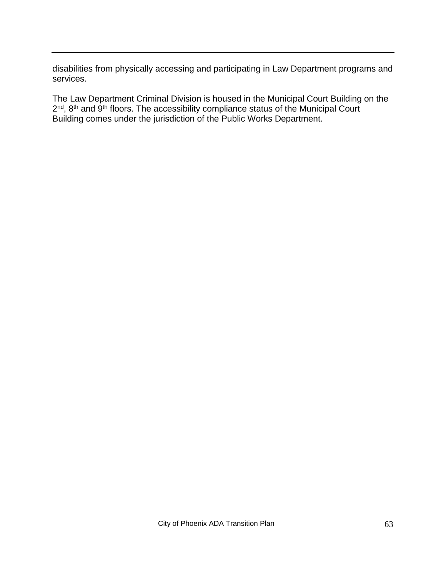disabilities from physically accessing and participating in Law Department programs and services.

The Law Department Criminal Division is housed in the Municipal Court Building on the 2<sup>nd</sup>, 8<sup>th</sup> and 9<sup>th</sup> floors. The accessibility compliance status of the Municipal Court Building comes under the jurisdiction of the Public Works Department.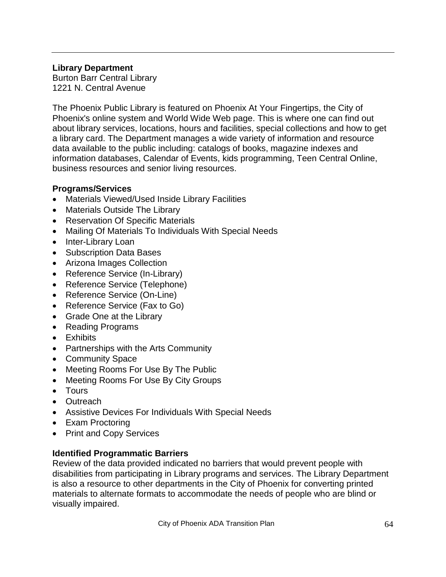# **Library Department**

Burton Barr Central Library 1221 N. Central Avenue

The Phoenix Public Library is featured on Phoenix At Your Fingertips, the City of Phoenix's online system and World Wide Web page. This is where one can find out about library services, locations, hours and facilities, special collections and how to get a library card. The Department manages a wide variety of information and resource data available to the public including: catalogs of books, magazine indexes and information databases, Calendar of Events, kids programming, Teen Central Online, business resources and senior living resources.

# **Programs/Services**

- Materials Viewed/Used Inside Library Facilities
- Materials Outside The Library
- Reservation Of Specific Materials
- Mailing Of Materials To Individuals With Special Needs
- Inter-Library Loan
- Subscription Data Bases
- Arizona Images Collection
- Reference Service (In-Library)
- Reference Service (Telephone)
- Reference Service (On-Line)
- Reference Service (Fax to Go)
- Grade One at the Library
- Reading Programs
- Exhibits
- Partnerships with the Arts Community
- Community Space
- Meeting Rooms For Use By The Public
- Meeting Rooms For Use By City Groups
- Tours
- Outreach
- Assistive Devices For Individuals With Special Needs
- Exam Proctoring
- Print and Copy Services

# **Identified Programmatic Barriers**

Review of the data provided indicated no barriers that would prevent people with disabilities from participating in Library programs and services. The Library Department is also a resource to other departments in the City of Phoenix for converting printed materials to alternate formats to accommodate the needs of people who are blind or visually impaired.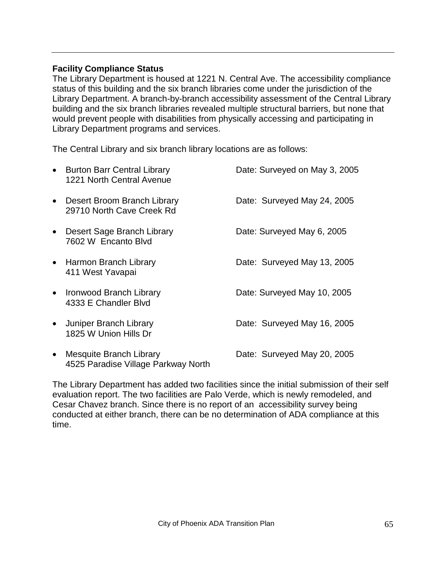# **Facility Compliance Status**

The Library Department is housed at 1221 N. Central Ave. The accessibility compliance status of this building and the six branch libraries come under the jurisdiction of the Library Department. A branch-by-branch accessibility assessment of the Central Library building and the six branch libraries revealed multiple structural barriers, but none that would prevent people with disabilities from physically accessing and participating in Library Department programs and services.

The Central Library and six branch library locations are as follows:

|           | • Burton Barr Central Library<br>1221 North Central Avenue     | Date: Surveyed on May 3, 2005 |
|-----------|----------------------------------------------------------------|-------------------------------|
|           | • Desert Broom Branch Library<br>29710 North Cave Creek Rd     | Date: Surveyed May 24, 2005   |
| $\bullet$ | Desert Sage Branch Library<br>7602 W Encanto Blvd              | Date: Surveyed May 6, 2005    |
|           | • Harmon Branch Library<br>411 West Yavapai                    | Date: Surveyed May 13, 2005   |
| $\bullet$ | Ironwood Branch Library<br>4333 E Chandler Blvd                | Date: Surveyed May 10, 2005   |
|           | • Juniper Branch Library<br>1825 W Union Hills Dr              | Date: Surveyed May 16, 2005   |
| $\bullet$ | Mesquite Branch Library<br>4525 Paradise Village Parkway North | Date: Surveyed May 20, 2005   |

The Library Department has added two facilities since the initial submission of their self evaluation report. The two facilities are Palo Verde, which is newly remodeled, and Cesar Chavez branch. Since there is no report of an accessibility survey being conducted at either branch, there can be no determination of ADA compliance at this time.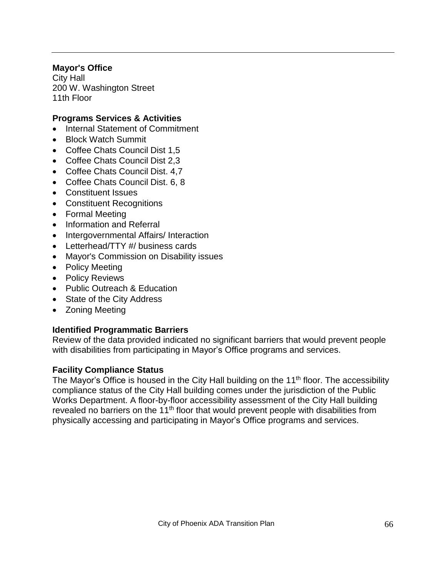# **Mayor's Office**

City Hall 200 W. Washington Street 11th Floor

# **Programs Services & Activities**

- Internal Statement of Commitment
- Block Watch Summit
- Coffee Chats Council Dist 1.5
- Coffee Chats Council Dist 2,3
- Coffee Chats Council Dist. 4,7
- Coffee Chats Council Dist. 6, 8
- Constituent Issues
- Constituent Recognitions
- Formal Meeting
- Information and Referral
- Intergovernmental Affairs/ Interaction
- Letterhead/TTY #/ business cards
- Mayor's Commission on Disability issues
- Policy Meeting
- Policy Reviews
- Public Outreach & Education
- State of the City Address
- Zoning Meeting

# **Identified Programmatic Barriers**

Review of the data provided indicated no significant barriers that would prevent people with disabilities from participating in Mayor's Office programs and services.

# **Facility Compliance Status**

The Mayor's Office is housed in the City Hall building on the 11<sup>th</sup> floor. The accessibility compliance status of the City Hall building comes under the jurisdiction of the Public Works Department. A floor-by-floor accessibility assessment of the City Hall building revealed no barriers on the 11<sup>th</sup> floor that would prevent people with disabilities from physically accessing and participating in Mayor's Office programs and services.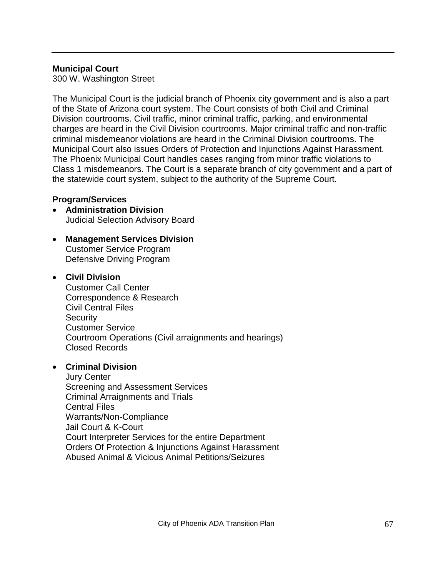# **Municipal Court**

300 W. Washington Street

The Municipal Court is the judicial branch of Phoenix city government and is also a part of the State of Arizona court system. The Court consists of both Civil and Criminal Division courtrooms. Civil traffic, minor criminal traffic, parking, and environmental charges are heard in the Civil Division courtrooms. Major criminal traffic and non-traffic criminal misdemeanor violations are heard in the Criminal Division courtrooms. The Municipal Court also issues Orders of Protection and Injunctions Against Harassment. The Phoenix Municipal Court handles cases ranging from minor traffic violations to Class 1 misdemeanors. The Court is a separate branch of city government and a part of the statewide court system, subject to the authority of the Supreme Court.

# **Program/Services**

- **Administration Division** Judicial Selection Advisory Board
- **Management Services Division** Customer Service Program Defensive Driving Program

# **Civil Division**

Customer Call Center Correspondence & Research Civil Central Files **Security** Customer Service Courtroom Operations (Civil arraignments and hearings) Closed Records

# **Criminal Division**

Jury Center Screening and Assessment Services Criminal Arraignments and Trials Central Files Warrants/Non-Compliance Jail Court & K-Court Court Interpreter Services for the entire Department Orders Of Protection & Injunctions Against Harassment Abused Animal & Vicious Animal Petitions/Seizures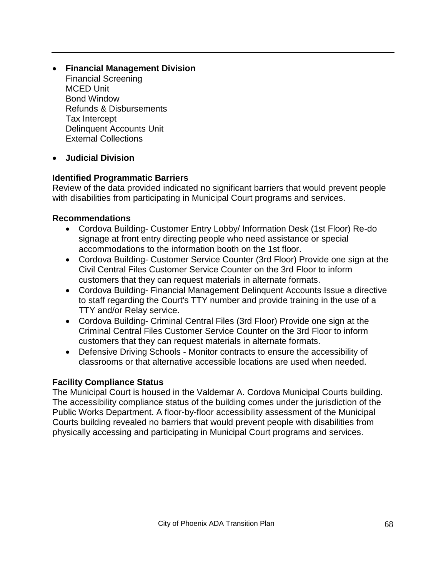- **Financial Management Division**
	- Financial Screening MCED Unit Bond Window Refunds & Disbursements Tax Intercept Delinquent Accounts Unit External Collections
- **Judicial Division**

## **Identified Programmatic Barriers**

Review of the data provided indicated no significant barriers that would prevent people with disabilities from participating in Municipal Court programs and services.

#### **Recommendations**

- Cordova Building- Customer Entry Lobby/ Information Desk (1st Floor) Re-do signage at front entry directing people who need assistance or special accommodations to the information booth on the 1st floor.
- Cordova Building- Customer Service Counter (3rd Floor) Provide one sign at the Civil Central Files Customer Service Counter on the 3rd Floor to inform customers that they can request materials in alternate formats.
- Cordova Building- Financial Management Delinquent Accounts Issue a directive to staff regarding the Court's TTY number and provide training in the use of a TTY and/or Relay service.
- Cordova Building- Criminal Central Files (3rd Floor) Provide one sign at the Criminal Central Files Customer Service Counter on the 3rd Floor to inform customers that they can request materials in alternate formats.
- Defensive Driving Schools Monitor contracts to ensure the accessibility of classrooms or that alternative accessible locations are used when needed.

#### **Facility Compliance Status**

The Municipal Court is housed in the Valdemar A. Cordova Municipal Courts building. The accessibility compliance status of the building comes under the jurisdiction of the Public Works Department. A floor-by-floor accessibility assessment of the Municipal Courts building revealed no barriers that would prevent people with disabilities from physically accessing and participating in Municipal Court programs and services.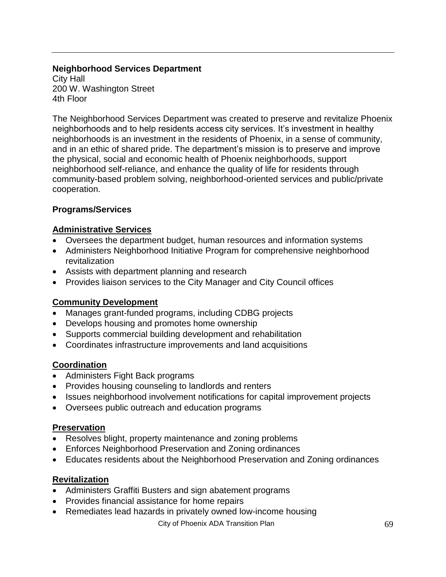### **Neighborhood Services Department**

City Hall 200 W. Washington Street 4th Floor

The Neighborhood Services Department was created to preserve and revitalize Phoenix neighborhoods and to help residents access city services. It's investment in healthy neighborhoods is an investment in the residents of Phoenix, in a sense of community, and in an ethic of shared pride. The department's mission is to preserve and improve the physical, social and economic health of Phoenix neighborhoods, support neighborhood self-reliance, and enhance the quality of life for residents through community-based problem solving, neighborhood-oriented services and public/private cooperation.

## **Programs/Services**

## **Administrative Services**

- Oversees the department budget, human resources and information systems
- Administers Neighborhood Initiative Program for comprehensive neighborhood revitalization
- Assists with department planning and research
- Provides liaison services to the City Manager and City Council offices

## **Community Development**

- $\overline{\bullet}$  Manages grant-funded programs, including CDBG projects
- Develops housing and promotes home ownership
- Supports commercial building development and rehabilitation
- Coordinates infrastructure improvements and land acquisitions

## **Coordination**

- Administers Fight Back programs
- Provides housing counseling to landlords and renters
- Issues neighborhood involvement notifications for capital improvement projects
- Oversees public outreach and education programs

#### **Preservation**

- Resolves blight, property maintenance and zoning problems
- Enforces Neighborhood Preservation and Zoning ordinances
- Educates residents about the Neighborhood Preservation and Zoning ordinances

## **Revitalization**

- Administers Graffiti Busters and sign abatement programs
- Provides financial assistance for home repairs
- Remediates lead hazards in privately owned low-income housing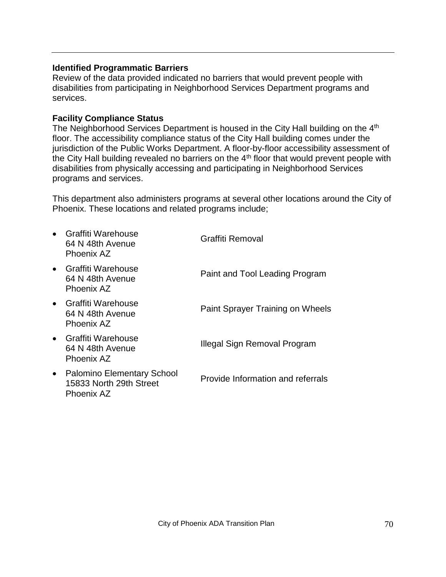### **Identified Programmatic Barriers**

Review of the data provided indicated no barriers that would prevent people with disabilities from participating in Neighborhood Services Department programs and services.

## **Facility Compliance Status**

The Neighborhood Services Department is housed in the City Hall building on the 4<sup>th</sup> floor. The accessibility compliance status of the City Hall building comes under the jurisdiction of the Public Works Department. A floor-by-floor accessibility assessment of the City Hall building revealed no barriers on the  $4<sup>th</sup>$  floor that would prevent people with disabilities from physically accessing and participating in Neighborhood Services programs and services.

This department also administers programs at several other locations around the City of Phoenix. These locations and related programs include;

|           | Graffiti Warehouse<br>64 N 48th Avenue<br>Phoenix AZ                       | Graffiti Removal                  |
|-----------|----------------------------------------------------------------------------|-----------------------------------|
|           | • Graffiti Warehouse<br>64 N 48th Avenue<br>Phoenix AZ                     | Paint and Tool Leading Program    |
| $\bullet$ | <b>Graffiti Warehouse</b><br>64 N 48th Avenue<br>Phoenix AZ                | Paint Sprayer Training on Wheels  |
|           | • Graffiti Warehouse<br>64 N 48th Avenue<br>Phoenix AZ                     | Illegal Sign Removal Program      |
| $\bullet$ | <b>Palomino Elementary School</b><br>15833 North 29th Street<br>Phoenix AZ | Provide Information and referrals |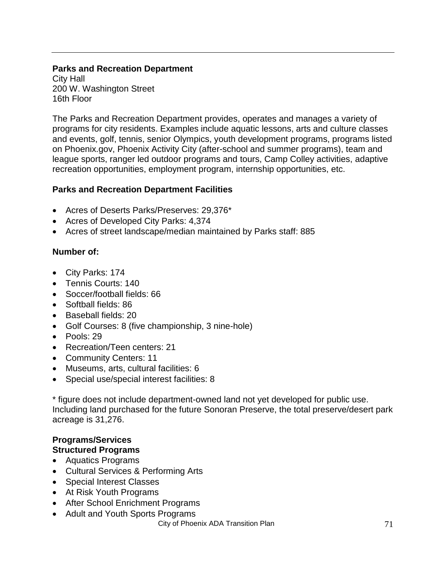### **Parks and Recreation Department**

City Hall 200 W. Washington Street 16th Floor

The Parks and Recreation Department provides, operates and manages a variety of programs for city residents. Examples include aquatic lessons, arts and culture classes and events, golf, tennis, senior Olympics, youth development programs, programs listed on Phoenix.gov, Phoenix Activity City (after-school and summer programs), team and league sports, ranger led outdoor programs and tours, Camp Colley activities, adaptive recreation opportunities, employment program, internship opportunities, etc.

## **Parks and Recreation Department Facilities**

- Acres of Deserts Parks/Preserves: 29,376\*
- Acres of Developed City Parks: 4,374
- Acres of street landscape/median maintained by Parks staff: 885

## **Number of:**

- City Parks: 174
- Tennis Courts: 140
- Soccer/football fields: 66
- Softball fields: 86
- Baseball fields: 20
- Golf Courses: 8 (five championship, 3 nine-hole)
- Pools: 29
- Recreation/Teen centers: 21
- Community Centers: 11
- Museums, arts, cultural facilities: 6
- Special use/special interest facilities: 8

\* figure does not include department-owned land not yet developed for public use. Including land purchased for the future Sonoran Preserve, the total preserve/desert park acreage is 31,276.

## **Programs/Services Structured Programs**

- Aquatics Programs
- Cultural Services & Performing Arts
- Special Interest Classes
- At Risk Youth Programs
- After School Enrichment Programs
- Adult and Youth Sports Programs

City of Phoenix ADA Transition Plan 71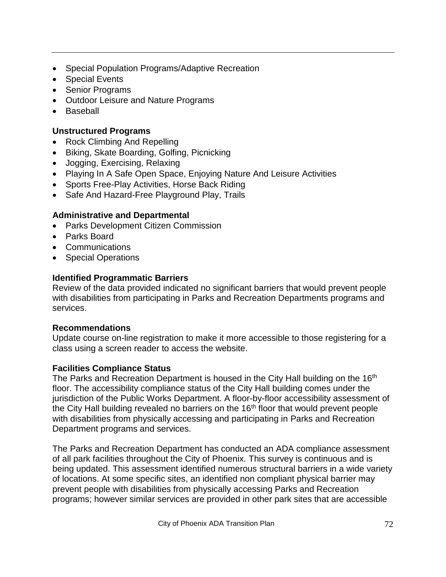- Special Population Programs/Adaptive Recreation
- Special Events
- Senior Programs
- Outdoor Leisure and Nature Programs
- Baseball

## **Unstructured Programs**

- Rock Climbing And Repelling
- Biking, Skate Boarding, Golfing, Picnicking
- Jogging, Exercising, Relaxing
- Playing In A Safe Open Space, Enjoying Nature And Leisure Activities
- Sports Free-Play Activities, Horse Back Riding
- Safe And Hazard-Free Playground Play, Trails

## **Administrative and Departmental**

- Parks Development Citizen Commission
- Parks Board
- Communications
- Special Operations

## **Identified Programmatic Barriers**

Review of the data provided indicated no significant barriers that would prevent people with disabilities from participating in Parks and Recreation Departments programs and services.

## **Recommendations**

Update course on-line registration to make it more accessible to those registering for a class using a screen reader to access the website.

# **Facilities Compliance Status**

The Parks and Recreation Department is housed in the City Hall building on the 16<sup>th</sup> floor. The accessibility compliance status of the City Hall building comes under the jurisdiction of the Public Works Department. A floor-by-floor accessibility assessment of the City Hall building revealed no barriers on the  $16<sup>th</sup>$  floor that would prevent people with disabilities from physically accessing and participating in Parks and Recreation Department programs and services.

The Parks and Recreation Department has conducted an ADA compliance assessment of all park facilities throughout the City of Phoenix. This survey is continuous and is being updated. This assessment identified numerous structural barriers in a wide variety of locations. At some specific sites, an identified non compliant physical barrier may prevent people with disabilities from physically accessing Parks and Recreation programs; however similar services are provided in other park sites that are accessible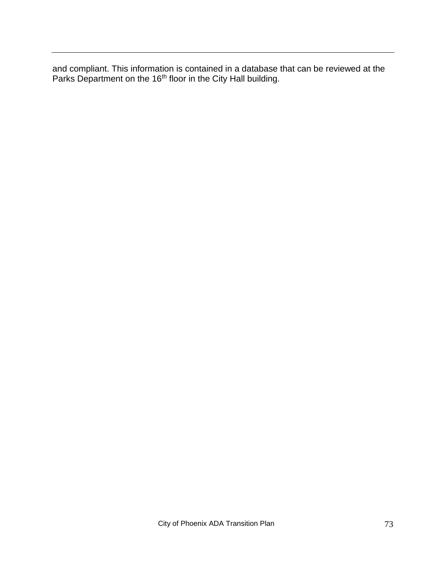and compliant. This information is contained in a database that can be reviewed at the Parks Department on the 16<sup>th</sup> floor in the City Hall building.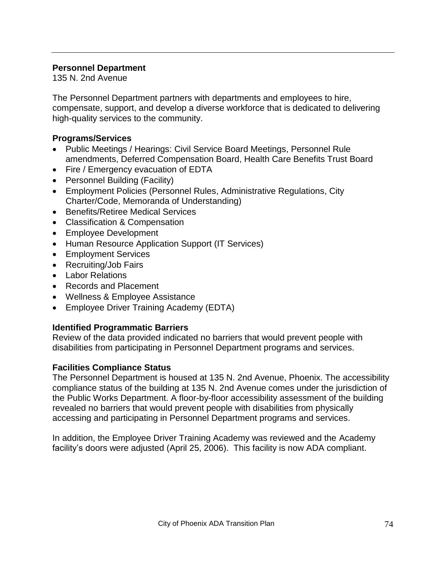### **Personnel Department**

135 N. 2nd Avenue

The Personnel Department partners with departments and employees to hire, compensate, support, and develop a diverse workforce that is dedicated to delivering high-quality services to the community.

### **Programs/Services**

- Public Meetings / Hearings: Civil Service Board Meetings, Personnel Rule amendments, Deferred Compensation Board, Health Care Benefits Trust Board
- Fire / Emergency evacuation of EDTA
- Personnel Building (Facility)
- Employment Policies (Personnel Rules, Administrative Regulations, City Charter/Code, Memoranda of Understanding)
- Benefits/Retiree Medical Services
- Classification & Compensation
- Employee Development
- Human Resource Application Support (IT Services)
- Employment Services
- Recruiting/Job Fairs
- Labor Relations
- Records and Placement
- Wellness & Employee Assistance
- Employee Driver Training Academy (EDTA)

## **Identified Programmatic Barriers**

Review of the data provided indicated no barriers that would prevent people with disabilities from participating in Personnel Department programs and services.

#### **Facilities Compliance Status**

The Personnel Department is housed at 135 N. 2nd Avenue, Phoenix. The accessibility compliance status of the building at 135 N. 2nd Avenue comes under the jurisdiction of the Public Works Department. A floor-by-floor accessibility assessment of the building revealed no barriers that would prevent people with disabilities from physically accessing and participating in Personnel Department programs and services.

In addition, the Employee Driver Training Academy was reviewed and the Academy facility's doors were adjusted (April 25, 2006). This facility is now ADA compliant.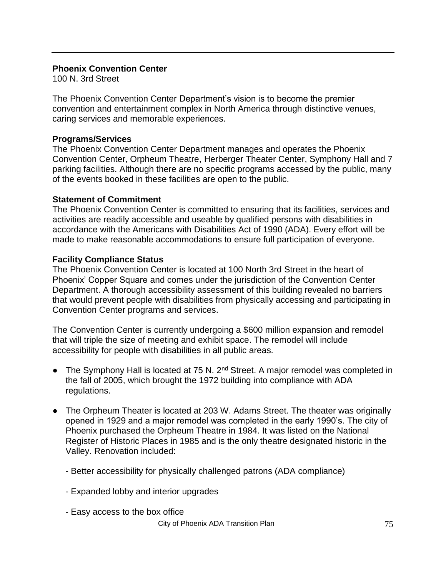#### **Phoenix Convention Center**

100 N. 3rd Street

The Phoenix Convention Center Department's vision is to become the premier convention and entertainment complex in North America through distinctive venues, caring services and memorable experiences.

#### **Programs/Services**

The Phoenix Convention Center Department manages and operates the Phoenix Convention Center, Orpheum Theatre, Herberger Theater Center, Symphony Hall and 7 parking facilities. Although there are no specific programs accessed by the public, many of the events booked in these facilities are open to the public.

#### **Statement of Commitment**

The Phoenix Convention Center is committed to ensuring that its facilities, services and activities are readily accessible and useable by qualified persons with disabilities in accordance with the Americans with Disabilities Act of 1990 (ADA). Every effort will be made to make reasonable accommodations to ensure full participation of everyone.

#### **Facility Compliance Status**

The Phoenix Convention Center is located at 100 North 3rd Street in the heart of Phoenix' Copper Square and comes under the jurisdiction of the Convention Center Department. A thorough accessibility assessment of this building revealed no barriers that would prevent people with disabilities from physically accessing and participating in Convention Center programs and services.

The Convention Center is currently undergoing a \$600 million expansion and remodel that will triple the size of meeting and exhibit space. The remodel will include accessibility for people with disabilities in all public areas.

- The Symphony Hall is located at 75 N. 2<sup>nd</sup> Street. A major remodel was completed in the fall of 2005, which brought the 1972 building into compliance with ADA regulations.
- The Orpheum Theater is located at 203 W. Adams Street. The theater was originally opened in 1929 and a major remodel was completed in the early 1990's. The city of Phoenix purchased the Orpheum Theatre in 1984. It was listed on the National Register of Historic Places in 1985 and is the only theatre designated historic in the Valley. Renovation included:
	- Better accessibility for physically challenged patrons (ADA compliance)
	- Expanded lobby and interior upgrades
	- Easy access to the box office

City of Phoenix ADA Transition Plan 75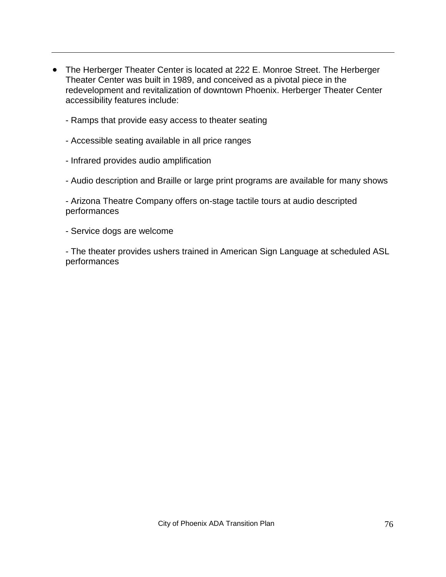- The Herberger Theater Center is located at 222 E. Monroe Street. The Herberger Theater Center was built in 1989, and conceived as a pivotal piece in the redevelopment and revitalization of downtown Phoenix. Herberger Theater Center accessibility features include:
	- Ramps that provide easy access to theater seating
	- Accessible seating available in all price ranges
	- Infrared provides audio amplification
	- Audio description and Braille or large print programs are available for many shows

- Arizona Theatre Company offers on-stage tactile tours at audio descripted performances

- Service dogs are welcome

- The theater provides ushers trained in American Sign Language at scheduled ASL performances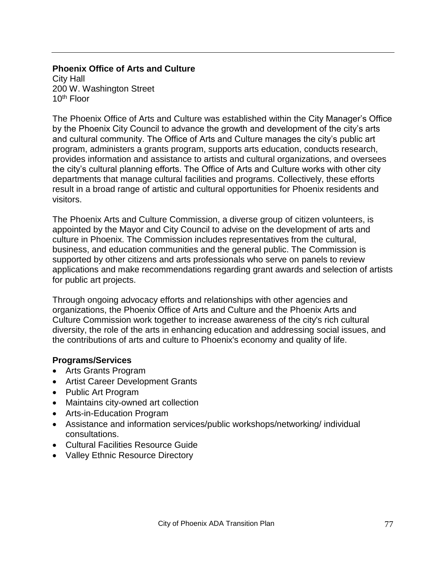# **Phoenix Office of Arts and Culture** City Hall

200 W. Washington Street  $10<sup>th</sup>$  Floor

The Phoenix Office of Arts and Culture was established within the City Manager's Office by the Phoenix City Council to advance the growth and development of the city's arts and cultural community. The Office of Arts and Culture manages the city's public art program, administers a grants program, supports arts education, conducts research, provides information and assistance to artists and cultural organizations, and oversees the city's cultural planning efforts. The Office of Arts and Culture works with other city departments that manage cultural facilities and programs. Collectively, these efforts result in a broad range of artistic and cultural opportunities for Phoenix residents and visitors.

The Phoenix Arts and Culture Commission, a diverse group of citizen volunteers, is appointed by the Mayor and City Council to advise on the development of arts and culture in Phoenix. The Commission includes representatives from the cultural, business, and education communities and the general public. The Commission is supported by other citizens and arts professionals who serve on panels to review applications and make recommendations regarding grant awards and selection of artists for public art projects.

Through ongoing advocacy efforts and relationships with other agencies and organizations, the Phoenix Office of Arts and Culture and the Phoenix Arts and Culture Commission work together to increase awareness of the city's rich cultural diversity, the role of the arts in enhancing education and addressing social issues, and the contributions of arts and culture to Phoenix's economy and quality of life.

## **Programs/Services**

- Arts Grants Program
- Artist Career Development Grants
- Public Art Program
- Maintains city-owned art collection
- Arts-in-Education Program
- Assistance and information services/public workshops/networking/ individual consultations.
- Cultural Facilities Resource Guide
- Valley Ethnic Resource Directory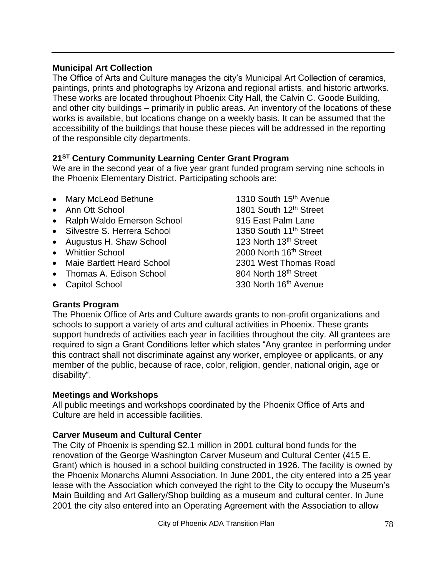## **Municipal Art Collection**

The Office of Arts and Culture manages the city's Municipal Art Collection of ceramics, paintings, prints and photographs by Arizona and regional artists, and historic artworks. These works are located throughout Phoenix City Hall, the Calvin C. Goode Building, and other city buildings – primarily in public areas. An inventory of the locations of these works is available, but locations change on a weekly basis. It can be assumed that the accessibility of the buildings that house these pieces will be addressed in the reporting of the responsible city departments.

## **21ST Century Community Learning Center Grant Program**

We are in the second year of a five year grant funded program serving nine schools in the Phoenix Elementary District. Participating schools are:

- Mary McLeod Bethune 1310 South 15<sup>th</sup> Avenue
- 
- Ralph Waldo Emerson School 915 East Palm Lane
- Silvestre S. Herrera School 1350 South 11<sup>th</sup> Street
- Augustus H. Shaw School 123 North 13<sup>th</sup> Street
- 
- Maie Bartlett Heard School 2301 West Thomas Road
- Thomas A. Edison School 804 North 18<sup>th</sup> Street
- 

• Ann Ott School 1801 South 12<sup>th</sup> Street • Whittier School 2000 North 16<sup>th</sup> Street • Capitol School 330 North 16<sup>th</sup> Avenue

## **Grants Program**

The Phoenix Office of Arts and Culture awards grants to non-profit organizations and schools to support a variety of arts and cultural activities in Phoenix. These grants support hundreds of activities each year in facilities throughout the city. All grantees are required to sign a Grant Conditions letter which states "Any grantee in performing under this contract shall not discriminate against any worker, employee or applicants, or any member of the public, because of race, color, religion, gender, national origin, age or disability".

#### **Meetings and Workshops**

All public meetings and workshops coordinated by the Phoenix Office of Arts and Culture are held in accessible facilities.

## **Carver Museum and Cultural Center**

The City of Phoenix is spending \$2.1 million in 2001 cultural bond funds for the renovation of the George Washington Carver Museum and Cultural Center (415 E. Grant) which is housed in a school building constructed in 1926. The facility is owned by the Phoenix Monarchs Alumni Association. In June 2001, the city entered into a 25 year lease with the Association which conveyed the right to the City to occupy the Museum's Main Building and Art Gallery/Shop building as a museum and cultural center. In June 2001 the city also entered into an Operating Agreement with the Association to allow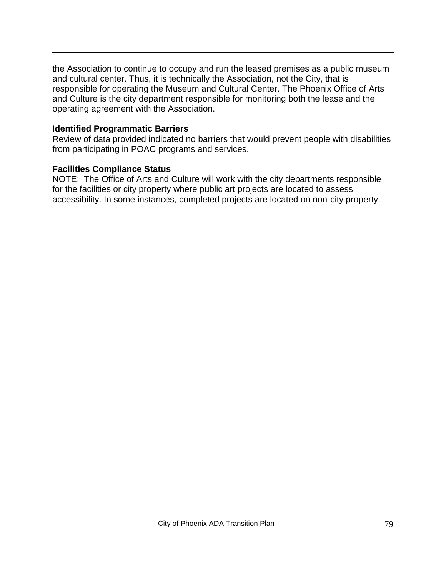the Association to continue to occupy and run the leased premises as a public museum and cultural center. Thus, it is technically the Association, not the City, that is responsible for operating the Museum and Cultural Center. The Phoenix Office of Arts and Culture is the city department responsible for monitoring both the lease and the operating agreement with the Association.

#### **Identified Programmatic Barriers**

Review of data provided indicated no barriers that would prevent people with disabilities from participating in POAC programs and services.

#### **Facilities Compliance Status**

NOTE: The Office of Arts and Culture will work with the city departments responsible for the facilities or city property where public art projects are located to assess accessibility. In some instances, completed projects are located on non-city property.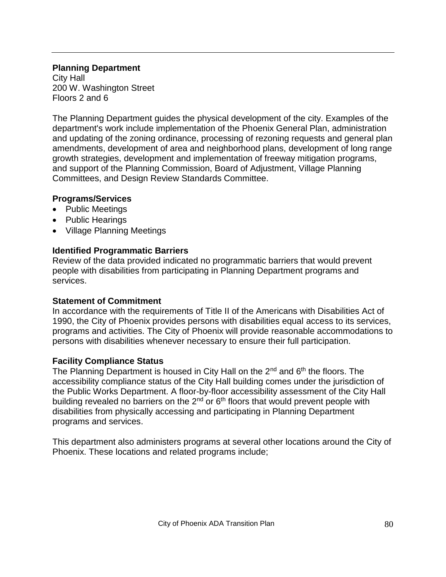## **Planning Department**

City Hall 200 W. Washington Street Floors 2 and 6

The Planning Department guides the physical development of the city. Examples of the department's work include implementation of the Phoenix General Plan, administration and updating of the zoning ordinance, processing of rezoning requests and general plan amendments, development of area and neighborhood plans, development of long range growth strategies, development and implementation of freeway mitigation programs, and support of the Planning Commission, Board of Adjustment, Village Planning Committees, and Design Review Standards Committee.

#### **Programs/Services**

- Public Meetings
- Public Hearings
- Village Planning Meetings

## **Identified Programmatic Barriers**

Review of the data provided indicated no programmatic barriers that would prevent people with disabilities from participating in Planning Department programs and services.

#### **Statement of Commitment**

In accordance with the requirements of Title II of the Americans with Disabilities Act of 1990, the City of Phoenix provides persons with disabilities equal access to its services, programs and activities. The City of Phoenix will provide reasonable accommodations to persons with disabilities whenever necessary to ensure their full participation.

#### **Facility Compliance Status**

The Planning Department is housed in City Hall on the  $2^{nd}$  and  $6^{th}$  the floors. The accessibility compliance status of the City Hall building comes under the jurisdiction of the Public Works Department. A floor-by-floor accessibility assessment of the City Hall building revealed no barriers on the  $2<sup>nd</sup>$  or  $6<sup>th</sup>$  floors that would prevent people with disabilities from physically accessing and participating in Planning Department programs and services.

This department also administers programs at several other locations around the City of Phoenix. These locations and related programs include;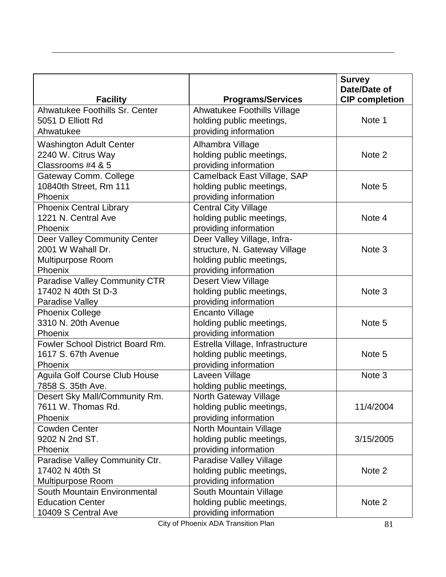| <b>Facility</b>                      | <b>Programs/Services</b>         | <b>Survey</b><br>Date/Date of<br><b>CIP completion</b> |
|--------------------------------------|----------------------------------|--------------------------------------------------------|
| Ahwatukee Foothills Sr. Center       | Ahwatukee Foothills Village      |                                                        |
| 5051 D Elliott Rd                    | holding public meetings,         | Note 1                                                 |
| Ahwatukee                            | providing information            |                                                        |
| <b>Washington Adult Center</b>       | Alhambra Village                 |                                                        |
| 2240 W. Citrus Way                   | holding public meetings,         | Note 2                                                 |
| Classrooms #4 & 5                    | providing information            |                                                        |
| Gateway Comm. College                | Camelback East Village, SAP      |                                                        |
| 10840th Street, Rm 111               | holding public meetings,         | Note 5                                                 |
| Phoenix                              | providing information            |                                                        |
| <b>Phoenix Central Library</b>       | <b>Central City Village</b>      |                                                        |
| 1221 N. Central Ave                  | holding public meetings,         | Note 4                                                 |
| Phoenix                              | providing information            |                                                        |
| Deer Valley Community Center         | Deer Valley Village, Infra-      |                                                        |
| 2001 W Wahall Dr.                    | structure, N. Gateway Village    | Note 3                                                 |
| <b>Multipurpose Room</b>             | holding public meetings,         |                                                        |
| Phoenix                              | providing information            |                                                        |
| <b>Paradise Valley Community CTR</b> | <b>Desert View Village</b>       |                                                        |
| 17402 N 40th St D-3                  | holding public meetings,         | Note <sub>3</sub>                                      |
| Paradise Valley                      | providing information            |                                                        |
| <b>Phoenix College</b>               | <b>Encanto Village</b>           |                                                        |
| 3310 N. 20th Avenue                  | holding public meetings,         | Note 5                                                 |
| Phoenix                              | providing information            |                                                        |
| Fowler School District Board Rm.     | Estrella Village, Infrastructure |                                                        |
| 1617 S. 67th Avenue                  | holding public meetings,         | Note 5                                                 |
| Phoenix                              | providing information            |                                                        |
| Aguila Golf Course Club House        | Laveen Village                   | Note 3                                                 |
| 7858 S. 35th Ave.                    | holding public meetings,         |                                                        |
| Desert Sky Mall/Community Rm.        | North Gateway Village            |                                                        |
| 7611 W. Thomas Rd.                   | holding public meetings,         | 11/4/2004                                              |
| Phoenix                              | providing information            |                                                        |
| <b>Cowden Center</b>                 | North Mountain Village           |                                                        |
| 9202 N 2nd ST.                       | holding public meetings,         | 3/15/2005                                              |
| Phoenix                              | providing information            |                                                        |
| Paradise Valley Community Ctr.       | <b>Paradise Valley Village</b>   |                                                        |
| 17402 N 40th St                      | holding public meetings,         | Note 2                                                 |
| <b>Multipurpose Room</b>             | providing information            |                                                        |
| South Mountain Environmental         | South Mountain Village           |                                                        |
| <b>Education Center</b>              | holding public meetings,         | Note 2                                                 |
| 10409 S Central Ave                  | providing information            |                                                        |

City of Phoenix ADA Transition Plan 81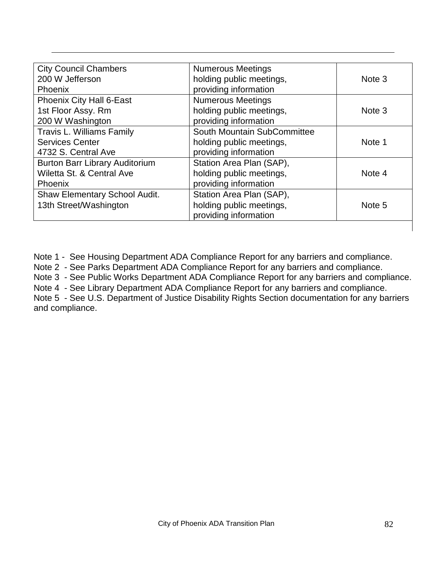| <b>City Council Chambers</b>          | <b>Numerous Meetings</b>    |        |
|---------------------------------------|-----------------------------|--------|
| 200 W Jefferson                       | holding public meetings,    | Note 3 |
| Phoenix                               | providing information       |        |
| Phoenix City Hall 6-East              | <b>Numerous Meetings</b>    |        |
| 1st Floor Assy. Rm                    | holding public meetings,    | Note 3 |
| 200 W Washington                      | providing information       |        |
| <b>Travis L. Williams Family</b>      | South Mountain SubCommittee |        |
| <b>Services Center</b>                | holding public meetings,    | Note 1 |
| 4732 S. Central Ave                   | providing information       |        |
| <b>Burton Barr Library Auditorium</b> | Station Area Plan (SAP),    |        |
| Wiletta St. & Central Ave             | holding public meetings,    | Note 4 |
| Phoenix                               | providing information       |        |
| Shaw Elementary School Audit.         | Station Area Plan (SAP),    |        |
| 13th Street/Washington                | holding public meetings,    | Note 5 |
|                                       | providing information       |        |
|                                       |                             |        |

Note 1 - See Housing Department ADA Compliance Report for any barriers and compliance.

Note 2 - See Parks Department ADA Compliance Report for any barriers and compliance.

Note 3 - See Public Works Department ADA Compliance Report for any barriers and compliance.

Note 4 - See Library Department ADA Compliance Report for any barriers and compliance.

Note 5 - See U.S. Department of Justice Disability Rights Section documentation for any barriers and compliance.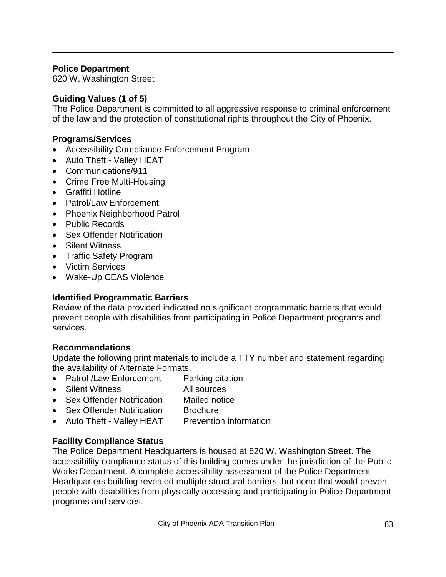### **Police Department**

620 W. Washington Street

## **Guiding Values (1 of 5)**

The Police Department is committed to all aggressive response to criminal enforcement of the law and the protection of constitutional rights throughout the City of Phoenix.

## **Programs/Services**

- Accessibility Compliance Enforcement Program
- Auto Theft Valley HEAT
- Communications/911
- Crime Free Multi-Housing
- Graffiti Hotline
- Patrol/Law Enforcement
- Phoenix Neighborhood Patrol
- Public Records
- Sex Offender Notification
- Silent Witness
- Traffic Safety Program
- Victim Services
- Wake-Up CEAS Violence

## **Identified Programmatic Barriers**

Review of the data provided indicated no significant programmatic barriers that would prevent people with disabilities from participating in Police Department programs and services.

#### **Recommendations**

Update the following print materials to include a TTY number and statement regarding the availability of Alternate Formats.

- Patrol /Law Enforcement Parking citation
- Silent Witness All sources
- Sex Offender Notification Mailed notice
- Sex Offender Notification Brochure
- Auto Theft Valley HEAT Prevention information

## **Facility Compliance Status**

The Police Department Headquarters is housed at 620 W. Washington Street. The accessibility compliance status of this building comes under the jurisdiction of the Public Works Department. A complete accessibility assessment of the Police Department Headquarters building revealed multiple structural barriers, but none that would prevent people with disabilities from physically accessing and participating in Police Department programs and services.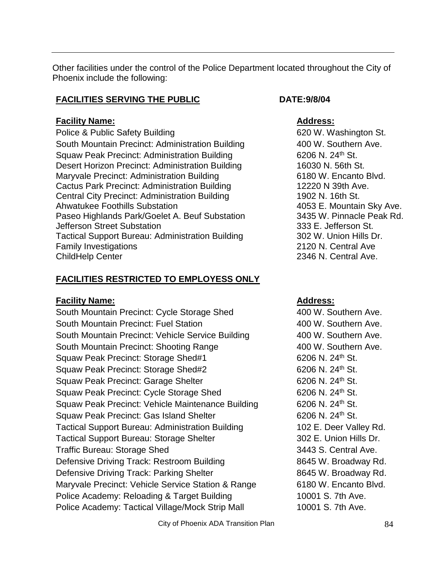Other facilities under the control of the Police Department located throughout the City of Phoenix include the following:

## **FACILITIES SERVING THE PUBLIC DATE:9/8/04**

## **Facility Name: Address: Address:**

Police & Public Safety Building **620 W. Washington St.** South Mountain Precinct: Administration Building 400 W. Southern Ave. Squaw Peak Precinct: Administration Building 6206 N. 24<sup>th</sup> St. Desert Horizon Precinct: Administration Building 16030 N. 56th St. Maryvale Precinct: Administration Building 6180 W. Encanto Blvd. Cactus Park Precinct: Administration Building 12220 N 39th Ave. Central City Precinct: Administration Building 1902 N. 16th St. Ahwatukee Foothills Substation **Accord Accord 4053 E. Mountain Sky Ave.** Paseo Highlands Park/Goelet A. Beuf Substation 3435 W. Pinnacle Peak Rd. Jefferson Street Substation 333 E. Jefferson St. Tactical Support Bureau: Administration Building 302 W. Union Hills Dr. Family Investigations 2120 N. Central Ave ChildHelp Center 2346 N. Central Ave.

## **FACILITIES RESTRICTED TO EMPLOYESS ONLY**

## **Facility Name: Address:**

South Mountain Precinct: Cycle Storage Shed 400 W. Southern Ave. South Mountain Precinct: Fuel Station 400 W. Southern Ave. South Mountain Precinct: Vehicle Service Building 400 W. Southern Ave. South Mountain Precinct: Shooting Range 400 W. Southern Ave. Squaw Peak Precinct: Storage Shed#1 6206 N. 24<sup>th</sup> St. Squaw Peak Precinct: Storage Shed#2 6206 N. 24<sup>th</sup> St. Squaw Peak Precinct: Garage Shelter 6206 N. 24th St. Squaw Peak Precinct: Cycle Storage Shed 6206 N. 24<sup>th</sup> St. Squaw Peak Precinct: Vehicle Maintenance Building 6206 N. 24<sup>th</sup> St. Squaw Peak Precinct: Gas Island Shelter 6206 N. 24<sup>th</sup> St. Tactical Support Bureau: Administration Building 102 E. Deer Valley Rd. Tactical Support Bureau: Storage Shelter 302 E. Union Hills Dr. Traffic Bureau: Storage Shed 3443 S. Central Ave. Defensive Driving Track: Restroom Building 8645 W. Broadway Rd. Defensive Driving Track: Parking Shelter 8645 W. Broadway Rd. Maryvale Precinct: Vehicle Service Station & Range 6180 W. Encanto Blvd. Police Academy: Reloading & Target Building 10001 S. 7th Ave. Police Academy: Tactical Village/Mock Strip Mall 10001 S. 7th Ave.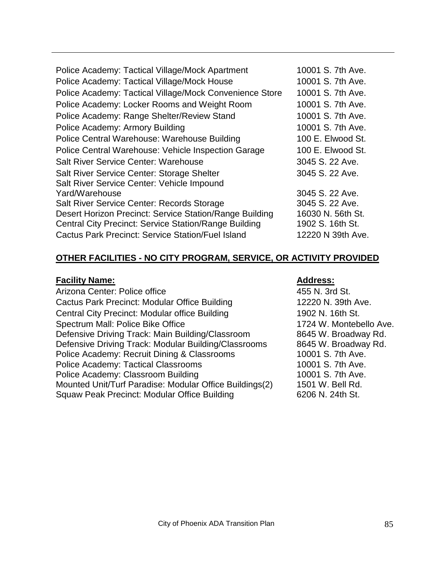| Police Academy: Tactical Village/Mock Apartment              | 10001 S. 7th Ave. |
|--------------------------------------------------------------|-------------------|
| Police Academy: Tactical Village/Mock House                  | 10001 S. 7th Ave. |
| Police Academy: Tactical Village/Mock Convenience Store      | 10001 S. 7th Ave. |
| Police Academy: Locker Rooms and Weight Room                 | 10001 S. 7th Ave. |
| Police Academy: Range Shelter/Review Stand                   | 10001 S. 7th Ave. |
| Police Academy: Armory Building                              | 10001 S. 7th Ave. |
| Police Central Warehouse: Warehouse Building                 | 100 E. Elwood St. |
| Police Central Warehouse: Vehicle Inspection Garage          | 100 E. Elwood St. |
| <b>Salt River Service Center: Warehouse</b>                  | 3045 S. 22 Ave.   |
| Salt River Service Center: Storage Shelter                   | 3045 S. 22 Ave.   |
| Salt River Service Center: Vehicle Impound                   |                   |
| Yard/Warehouse                                               | 3045 S. 22 Ave.   |
| Salt River Service Center: Records Storage                   | 3045 S. 22 Ave.   |
| Desert Horizon Precinct: Service Station/Range Building      | 16030 N. 56th St. |
| <b>Central City Precinct: Service Station/Range Building</b> | 1902 S. 16th St.  |
| <b>Cactus Park Precinct: Service Station/Fuel Island</b>     | 12220 N 39th Ave. |

## **OTHER FACILITIES - NO CITY PROGRAM, SERVICE, OR ACTIVITY PROVIDED**

#### **Facility Name:** Address:

Arizona Center: Police office 455 N. 3rd St. Cactus Park Precinct: Modular Office Building 12220 N. 39th Ave. Central City Precinct: Modular office Building 1902 N. 16th St. Spectrum Mall: Police Bike Office 1724 W. Montebello Ave. Defensive Driving Track: Main Building/Classroom 8645 W. Broadway Rd. Defensive Driving Track: Modular Building/Classrooms 8645 W. Broadway Rd. Police Academy: Recruit Dining & Classrooms 10001 S. 7th Ave. Police Academy: Tactical Classrooms 10001 S. 7th Ave. Police Academy: Classroom Building 10001 S. 7th Ave. Mounted Unit/Turf Paradise: Modular Office Buildings(2) 1501 W. Bell Rd. Squaw Peak Precinct: Modular Office Building 6206 N. 24th St.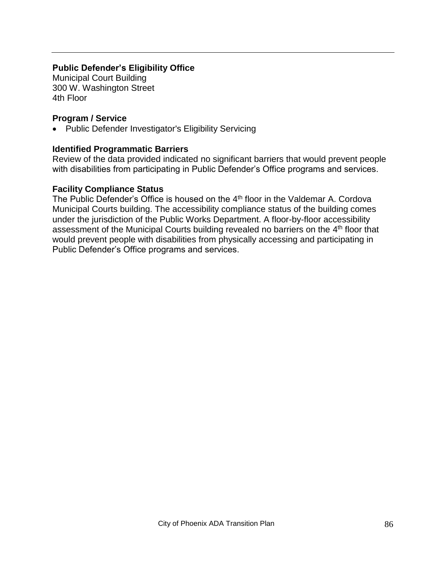## **Public Defender's Eligibility Office**

Municipal Court Building 300 W. Washington Street 4th Floor

### **Program / Service**

• Public Defender Investigator's Eligibility Servicing

#### **Identified Programmatic Barriers**

Review of the data provided indicated no significant barriers that would prevent people with disabilities from participating in Public Defender's Office programs and services.

#### **Facility Compliance Status**

The Public Defender's Office is housed on the 4<sup>th</sup> floor in the Valdemar A. Cordova Municipal Courts building. The accessibility compliance status of the building comes under the jurisdiction of the Public Works Department. A floor-by-floor accessibility assessment of the Municipal Courts building revealed no barriers on the 4<sup>th</sup> floor that would prevent people with disabilities from physically accessing and participating in Public Defender's Office programs and services.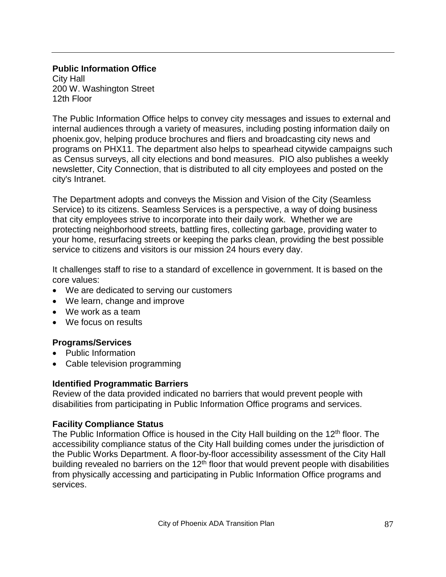#### **Public Information Office**

City Hall 200 W. Washington Street 12th Floor

The Public Information Office helps to convey city messages and issues to external and internal audiences through a variety of measures, including posting information daily on phoenix.gov, helping produce brochures and fliers and broadcasting city news and programs on PHX11. The department also helps to spearhead citywide campaigns such as Census surveys, all city elections and bond measures. PIO also publishes a weekly newsletter, City Connection, that is distributed to all city employees and posted on the city's Intranet.

The Department adopts and conveys the Mission and Vision of the City (Seamless Service) to its citizens. Seamless Services is a perspective, a way of doing business that city employees strive to incorporate into their daily work. Whether we are protecting neighborhood streets, battling fires, collecting garbage, providing water to your home, resurfacing streets or keeping the parks clean, providing the best possible service to citizens and visitors is our mission 24 hours every day.

It challenges staff to rise to a standard of excellence in government. It is based on the core values:

- We are dedicated to serving our customers
- We learn, change and improve
- We work as a team
- We focus on results

## **Programs/Services**

- Public Information
- Cable television programming

## **Identified Programmatic Barriers**

Review of the data provided indicated no barriers that would prevent people with disabilities from participating in Public Information Office programs and services.

## **Facility Compliance Status**

The Public Information Office is housed in the City Hall building on the  $12<sup>th</sup>$  floor. The accessibility compliance status of the City Hall building comes under the jurisdiction of the Public Works Department. A floor-by-floor accessibility assessment of the City Hall building revealed no barriers on the  $12<sup>th</sup>$  floor that would prevent people with disabilities from physically accessing and participating in Public Information Office programs and services.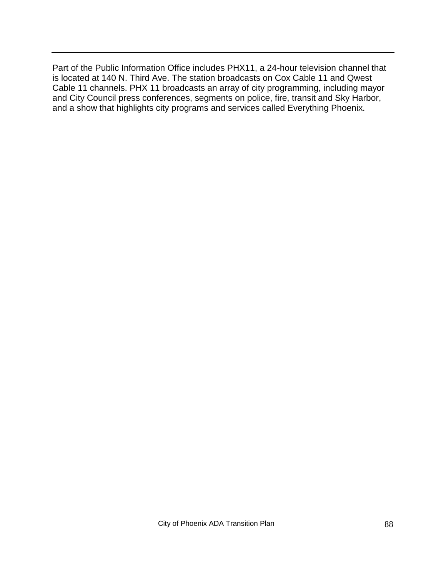Part of the Public Information Office includes PHX11, a 24-hour television channel that is located at 140 N. Third Ave. The station broadcasts on Cox Cable 11 and Qwest Cable 11 channels. PHX 11 broadcasts an array of city programming, including mayor and City Council press conferences, segments on police, fire, transit and Sky Harbor, and a show that highlights city programs and services called Everything Phoenix.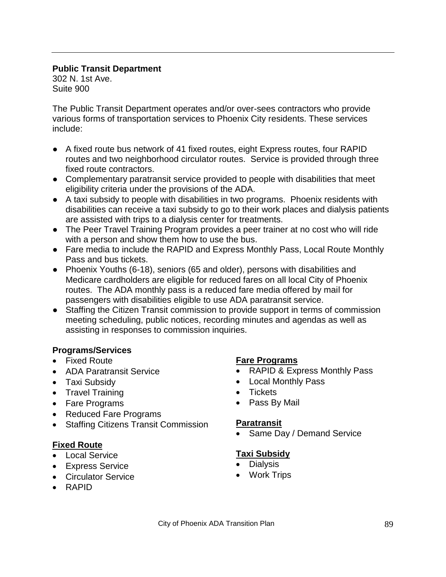### **Public Transit Department**

302 N. 1st Ave. Suite 900

The Public Transit Department operates and/or over-sees contractors who provide various forms of transportation services to Phoenix City residents. These services include:

- A fixed route bus network of 41 fixed routes, eight Express routes, four RAPID routes and two neighborhood circulator routes. Service is provided through three fixed route contractors.
- Complementary paratransit service provided to people with disabilities that meet eligibility criteria under the provisions of the ADA.
- A taxi subsidy to people with disabilities in two programs. Phoenix residents with disabilities can receive a taxi subsidy to go to their work places and dialysis patients are assisted with trips to a dialysis center for treatments.
- The Peer Travel Training Program provides a peer trainer at no cost who will ride with a person and show them how to use the bus.
- Fare media to include the RAPID and Express Monthly Pass, Local Route Monthly Pass and bus tickets.
- Phoenix Youths (6-18), seniors (65 and older), persons with disabilities and Medicare cardholders are eligible for reduced fares on all local City of Phoenix routes. The ADA monthly pass is a reduced fare media offered by mail for passengers with disabilities eligible to use ADA paratransit service.
- Staffing the Citizen Transit commission to provide support in terms of commission meeting scheduling, public notices, recording minutes and agendas as well as assisting in responses to commission inquiries.

## **Programs/Services**

- Fixed Route
- ADA Paratransit Service
- Taxi Subsidy
- Travel Training
- Fare Programs
- Reduced Fare Programs
- Staffing Citizens Transit Commission

# **Fixed Route**

- Local Service
- Express Service
- Circulator Service
- RAPID

# **Fare Programs**

- RAPID & Express Monthly Pass
- Local Monthly Pass
- Tickets
- Pass By Mail

# **Paratransit**

• Same Day / Demand Service

# **Taxi Subsidy**

- Dialysis
- Work Trips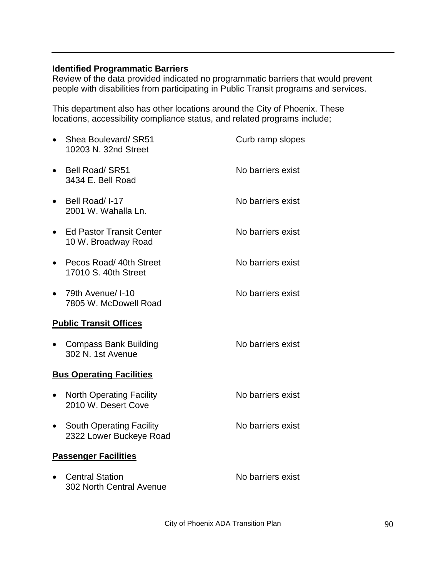#### **Identified Programmatic Barriers**

Review of the data provided indicated no programmatic barriers that would prevent people with disabilities from participating in Public Transit programs and services.

This department also has other locations around the City of Phoenix. These locations, accessibility compliance status, and related programs include;

|           | Shea Boulevard/ SR51<br>10203 N. 32nd Street               | Curb ramp slopes  |
|-----------|------------------------------------------------------------|-------------------|
|           | <b>Bell Road/SR51</b><br>3434 E. Bell Road                 | No barriers exist |
|           | Bell Road/ I-17<br>2001 W. Wahalla Ln.                     | No barriers exist |
|           | <b>Ed Pastor Transit Center</b><br>10 W. Broadway Road     | No barriers exist |
|           | Pecos Road/40th Street<br>17010 S. 40th Street             | No barriers exist |
|           | 79th Avenue/ I-10<br>7805 W. McDowell Road                 | No barriers exist |
|           | <b>Public Transit Offices</b>                              |                   |
|           | <b>Compass Bank Building</b><br>302 N. 1st Avenue          | No barriers exist |
|           | <b>Bus Operating Facilities</b>                            |                   |
| $\bullet$ | <b>North Operating Facility</b><br>2010 W. Desert Cove     | No barriers exist |
|           | <b>South Operating Facility</b><br>2322 Lower Buckeye Road | No barriers exist |
|           | <b>Passenger Facilities</b>                                |                   |
|           | <b>Central Station</b><br><b>302 North Central Avenue</b>  | No barriers exist |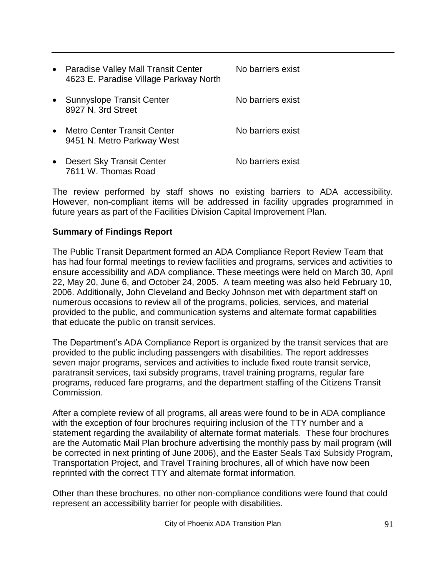|           | <b>Paradise Valley Mall Transit Center</b><br>4623 E. Paradise Village Parkway North | No barriers exist |
|-----------|--------------------------------------------------------------------------------------|-------------------|
|           | <b>Sunnyslope Transit Center</b><br>8927 N. 3rd Street                               | No barriers exist |
| $\bullet$ | Metro Center Transit Center<br>9451 N. Metro Parkway West                            | No barriers exist |
|           | <b>Desert Sky Transit Center</b><br>7611 W. Thomas Road                              | No barriers exist |

The review performed by staff shows no existing barriers to ADA accessibility. However, non-compliant items will be addressed in facility upgrades programmed in future years as part of the Facilities Division Capital Improvement Plan.

## **Summary of Findings Report**

The Public Transit Department formed an ADA Compliance Report Review Team that has had four formal meetings to review facilities and programs, services and activities to ensure accessibility and ADA compliance. These meetings were held on March 30, April 22, May 20, June 6, and October 24, 2005. A team meeting was also held February 10, 2006. Additionally, John Cleveland and Becky Johnson met with department staff on numerous occasions to review all of the programs, policies, services, and material provided to the public, and communication systems and alternate format capabilities that educate the public on transit services.

The Department's ADA Compliance Report is organized by the transit services that are provided to the public including passengers with disabilities. The report addresses seven major programs, services and activities to include fixed route transit service, paratransit services, taxi subsidy programs, travel training programs, regular fare programs, reduced fare programs, and the department staffing of the Citizens Transit Commission.

After a complete review of all programs, all areas were found to be in ADA compliance with the exception of four brochures requiring inclusion of the TTY number and a statement regarding the availability of alternate format materials. These four brochures are the Automatic Mail Plan brochure advertising the monthly pass by mail program (will be corrected in next printing of June 2006), and the Easter Seals Taxi Subsidy Program, Transportation Project, and Travel Training brochures, all of which have now been reprinted with the correct TTY and alternate format information.

Other than these brochures, no other non-compliance conditions were found that could represent an accessibility barrier for people with disabilities.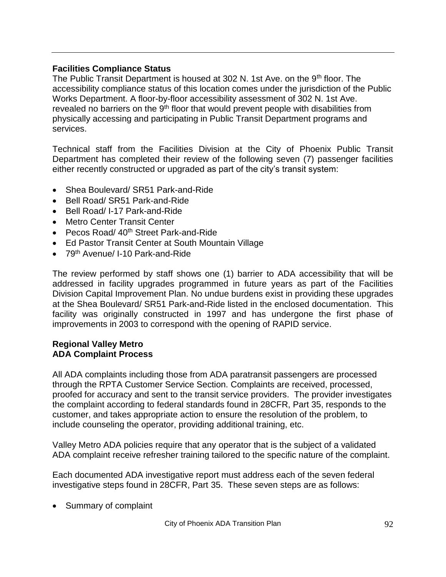## **Facilities Compliance Status**

The Public Transit Department is housed at 302 N. 1st Ave. on the 9<sup>th</sup> floor. The accessibility compliance status of this location comes under the jurisdiction of the Public Works Department. A floor-by-floor accessibility assessment of 302 N. 1st Ave. revealed no barriers on the 9<sup>th</sup> floor that would prevent people with disabilities from physically accessing and participating in Public Transit Department programs and services.

Technical staff from the Facilities Division at the City of Phoenix Public Transit Department has completed their review of the following seven (7) passenger facilities either recently constructed or upgraded as part of the city's transit system:

- Shea Boulevard/ SR51 Park-and-Ride
- Bell Road/ SR51 Park-and-Ride
- Bell Road/ I-17 Park-and-Ride
- Metro Center Transit Center
- Pecos Road/ 40<sup>th</sup> Street Park-and-Ride
- Ed Pastor Transit Center at South Mountain Village
- 79<sup>th</sup> Avenue/ I-10 Park-and-Ride

The review performed by staff shows one (1) barrier to ADA accessibility that will be addressed in facility upgrades programmed in future years as part of the Facilities Division Capital Improvement Plan. No undue burdens exist in providing these upgrades at the Shea Boulevard/ SR51 Park-and-Ride listed in the enclosed documentation. This facility was originally constructed in 1997 and has undergone the first phase of improvements in 2003 to correspond with the opening of RAPID service.

#### **Regional Valley Metro ADA Complaint Process**

All ADA complaints including those from ADA paratransit passengers are processed through the RPTA Customer Service Section. Complaints are received, processed, proofed for accuracy and sent to the transit service providers. The provider investigates the complaint according to federal standards found in 28CFR, Part 35, responds to the customer, and takes appropriate action to ensure the resolution of the problem, to include counseling the operator, providing additional training, etc.

Valley Metro ADA policies require that any operator that is the subject of a validated ADA complaint receive refresher training tailored to the specific nature of the complaint.

Each documented ADA investigative report must address each of the seven federal investigative steps found in 28CFR, Part 35. These seven steps are as follows:

• Summary of complaint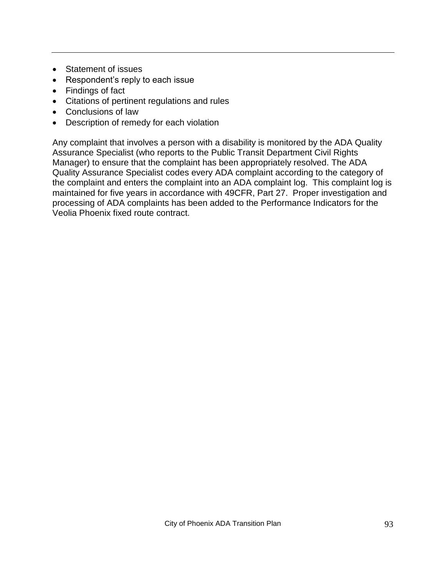- Statement of issues
- Respondent's reply to each issue
- Findings of fact
- Citations of pertinent regulations and rules
- Conclusions of law
- Description of remedy for each violation

Any complaint that involves a person with a disability is monitored by the ADA Quality Assurance Specialist (who reports to the Public Transit Department Civil Rights Manager) to ensure that the complaint has been appropriately resolved. The ADA Quality Assurance Specialist codes every ADA complaint according to the category of the complaint and enters the complaint into an ADA complaint log. This complaint log is maintained for five years in accordance with 49CFR, Part 27. Proper investigation and processing of ADA complaints has been added to the Performance Indicators for the Veolia Phoenix fixed route contract.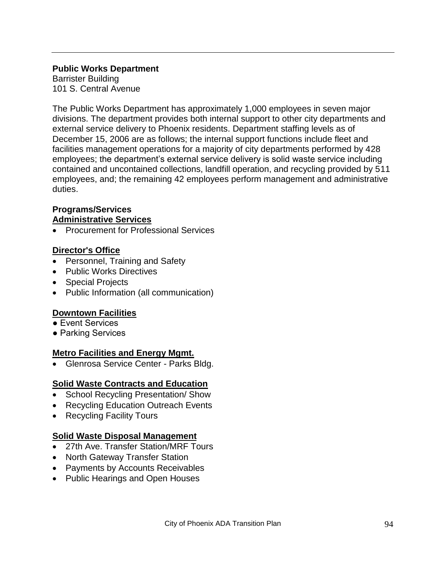#### **Public Works Department**

Barrister Building 101 S. Central Avenue

The Public Works Department has approximately 1,000 employees in seven major divisions. The department provides both internal support to other city departments and external service delivery to Phoenix residents. Department staffing levels as of December 15, 2006 are as follows; the internal support functions include fleet and facilities management operations for a majority of city departments performed by 428 employees; the department's external service delivery is solid waste service including contained and uncontained collections, landfill operation, and recycling provided by 511 employees, and; the remaining 42 employees perform management and administrative duties.

## **Programs/Services Administrative Services**

Procurement for Professional Services

## **Director's Office**

- Personnel, Training and Safety
- Public Works Directives
- Special Projects
- Public Information (all communication)

## **Downtown Facilities**

- Event Services
- Parking Services

## **Metro Facilities and Energy Mgmt.**

Glenrosa Service Center - Parks Bldg.

# **Solid Waste Contracts and Education**

- School Recycling Presentation/ Show
- Recycling Education Outreach Events
- Recycling Facility Tours

# **Solid Waste Disposal Management**

- 27th Ave. Transfer Station/MRF Tours
- North Gateway Transfer Station
- Payments by Accounts Receivables
- Public Hearings and Open Houses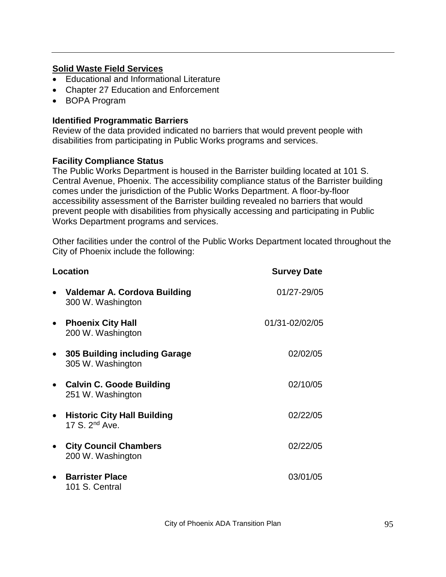## **Solid Waste Field Services**

- Educational and Informational Literature
- Chapter 27 Education and Enforcement
- BOPA Program

### **Identified Programmatic Barriers**

Review of the data provided indicated no barriers that would prevent people with disabilities from participating in Public Works programs and services.

## **Facility Compliance Status**

The Public Works Department is housed in the Barrister building located at 101 S. Central Avenue, Phoenix. The accessibility compliance status of the Barrister building comes under the jurisdiction of the Public Works Department. A floor-by-floor accessibility assessment of the Barrister building revealed no barriers that would prevent people with disabilities from physically accessing and participating in Public Works Department programs and services.

Other facilities under the control of the Public Works Department located throughout the City of Phoenix include the following:

| Location |                                                                  | <b>Survey Date</b> |
|----------|------------------------------------------------------------------|--------------------|
|          | Valdemar A. Cordova Building<br>300 W. Washington                | 01/27-29/05        |
|          | • Phoenix City Hall<br>200 W. Washington                         | 01/31-02/02/05     |
|          | 305 Building including Garage<br>305 W. Washington               | 02/02/05           |
|          | • Calvin C. Goode Building<br>251 W. Washington                  | 02/10/05           |
|          | <b>Historic City Hall Building</b><br>17 S. 2 <sup>nd</sup> Ave. | 02/22/05           |
|          | <b>City Council Chambers</b><br>200 W. Washington                | 02/22/05           |
|          | <b>Barrister Place</b><br>101 S. Central                         | 03/01/05           |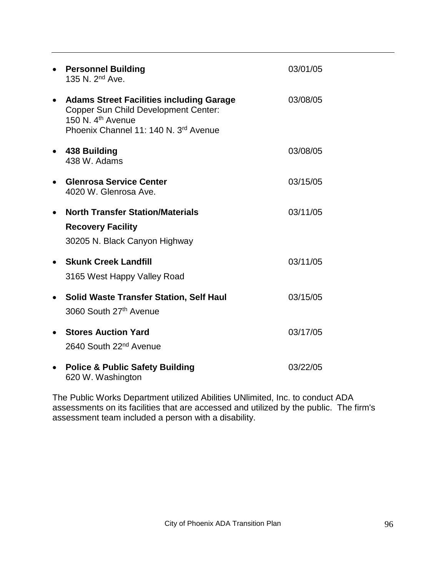|           | <b>Personnel Building</b><br>135 N. 2 <sup>nd</sup> Ave.                                                                                                                 | 03/01/05 |
|-----------|--------------------------------------------------------------------------------------------------------------------------------------------------------------------------|----------|
| $\bullet$ | <b>Adams Street Facilities including Garage</b><br><b>Copper Sun Child Development Center:</b><br>150 N. 4 <sup>th</sup> Avenue<br>Phoenix Channel 11: 140 N. 3rd Avenue | 03/08/05 |
|           | 438 Building<br>438 W. Adams                                                                                                                                             | 03/08/05 |
|           | <b>Glenrosa Service Center</b><br>4020 W. Glenrosa Ave.                                                                                                                  | 03/15/05 |
| $\bullet$ | <b>North Transfer Station/Materials</b><br><b>Recovery Facility</b><br>30205 N. Black Canyon Highway                                                                     | 03/11/05 |
| $\bullet$ | <b>Skunk Creek Landfill</b><br>3165 West Happy Valley Road                                                                                                               | 03/11/05 |
| $\bullet$ | <b>Solid Waste Transfer Station, Self Haul</b><br>3060 South 27th Avenue                                                                                                 | 03/15/05 |
|           | <b>Stores Auction Yard</b><br>2640 South 22 <sup>nd</sup> Avenue                                                                                                         | 03/17/05 |
| $\bullet$ | <b>Police &amp; Public Safety Building</b><br>620 W. Washington                                                                                                          | 03/22/05 |

The Public Works Department utilized Abilities UNlimited, Inc. to conduct ADA assessments on its facilities that are accessed and utilized by the public. The firm's assessment team included a person with a disability.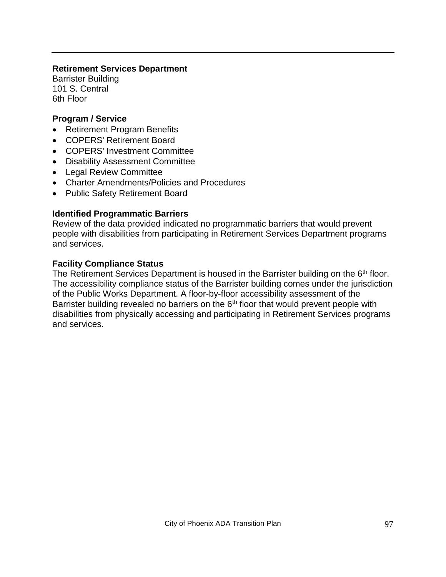### **Retirement Services Department**

Barrister Building 101 S. Central 6th Floor

## **Program / Service**

- Retirement Program Benefits
- COPERS' Retirement Board
- COPERS' Investment Committee
- Disability Assessment Committee
- Legal Review Committee
- Charter Amendments/Policies and Procedures
- Public Safety Retirement Board

## **Identified Programmatic Barriers**

Review of the data provided indicated no programmatic barriers that would prevent people with disabilities from participating in Retirement Services Department programs and services.

## **Facility Compliance Status**

The Retirement Services Department is housed in the Barrister building on the 6<sup>th</sup> floor. The accessibility compliance status of the Barrister building comes under the jurisdiction of the Public Works Department. A floor-by-floor accessibility assessment of the Barrister building revealed no barriers on the 6<sup>th</sup> floor that would prevent people with disabilities from physically accessing and participating in Retirement Services programs and services.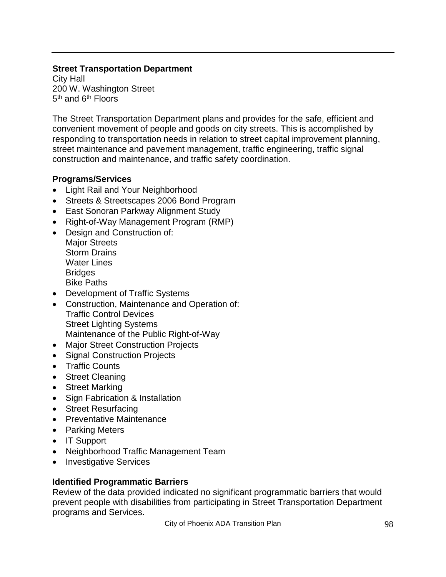## **Street Transportation Department**

City Hall 200 W. Washington Street 5<sup>th</sup> and 6<sup>th</sup> Floors

The Street Transportation Department plans and provides for the safe, efficient and convenient movement of people and goods on city streets. This is accomplished by responding to transportation needs in relation to street capital improvement planning, street maintenance and pavement management, traffic engineering, traffic signal construction and maintenance, and traffic safety coordination.

## **Programs/Services**

- Light Rail and Your Neighborhood
- Streets & Streetscapes 2006 Bond Program
- East Sonoran Parkway Alignment Study
- Right-of-Way Management Program (RMP)
- Design and Construction of: Major Streets Storm Drains Water Lines Bridges Bike Paths
- Development of Traffic Systems
- Construction, Maintenance and Operation of: Traffic Control Devices Street Lighting Systems Maintenance of the Public Right-of-Way
- Major Street Construction Projects
- Signal Construction Projects
- Traffic Counts
- Street Cleaning
- Street Marking
- Sign Fabrication & Installation
- Street Resurfacing
- Preventative Maintenance
- Parking Meters
- IT Support
- Neighborhood Traffic Management Team
- Investigative Services

#### **Identified Programmatic Barriers**

Review of the data provided indicated no significant programmatic barriers that would prevent people with disabilities from participating in Street Transportation Department programs and Services.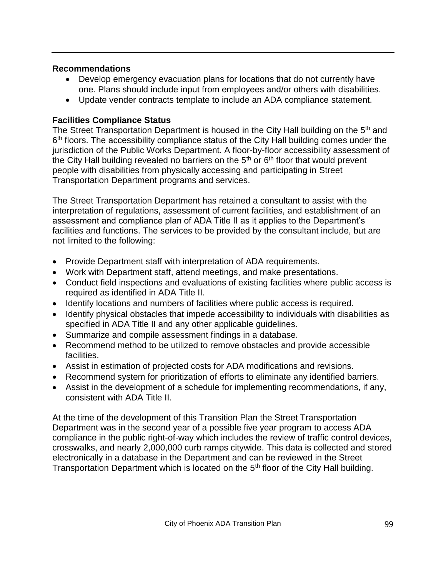## **Recommendations**

- Develop emergency evacuation plans for locations that do not currently have one. Plans should include input from employees and/or others with disabilities.
- Update vender contracts template to include an ADA compliance statement.

## **Facilities Compliance Status**

The Street Transportation Department is housed in the City Hall building on the 5<sup>th</sup> and 6<sup>th</sup> floors. The accessibility compliance status of the City Hall building comes under the jurisdiction of the Public Works Department. A floor-by-floor accessibility assessment of the City Hall building revealed no barriers on the  $5<sup>th</sup>$  or  $6<sup>th</sup>$  floor that would prevent people with disabilities from physically accessing and participating in Street Transportation Department programs and services.

The Street Transportation Department has retained a consultant to assist with the interpretation of regulations, assessment of current facilities, and establishment of an assessment and compliance plan of ADA Title II as it applies to the Department's facilities and functions. The services to be provided by the consultant include, but are not limited to the following:

- Provide Department staff with interpretation of ADA requirements.
- Work with Department staff, attend meetings, and make presentations.
- Conduct field inspections and evaluations of existing facilities where public access is required as identified in ADA Title II.
- $\bullet$  Identify locations and numbers of facilities where public access is required.
- Identify physical obstacles that impede accessibility to individuals with disabilities as specified in ADA Title II and any other applicable guidelines.
- Summarize and compile assessment findings in a database.
- Recommend method to be utilized to remove obstacles and provide accessible facilities.
- Assist in estimation of projected costs for ADA modifications and revisions.
- Recommend system for prioritization of efforts to eliminate any identified barriers.
- Assist in the development of a schedule for implementing recommendations, if any, consistent with ADA Title II.

At the time of the development of this Transition Plan the Street Transportation Department was in the second year of a possible five year program to access ADA compliance in the public right-of-way which includes the review of traffic control devices, crosswalks, and nearly 2,000,000 curb ramps citywide. This data is collected and stored electronically in a database in the Department and can be reviewed in the Street Transportation Department which is located on the 5th floor of the City Hall building.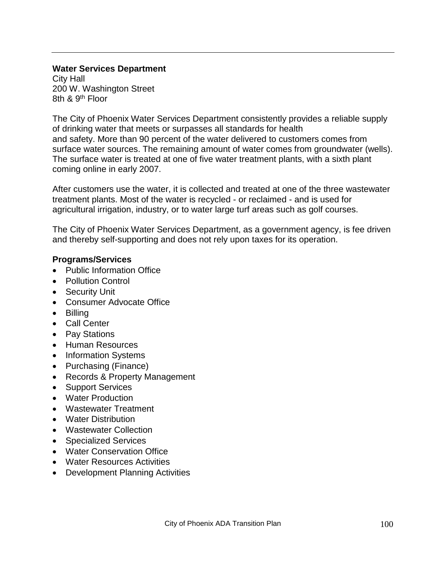#### **Water Services Department**

City Hall 200 W. Washington Street 8th & 9th Floor

The City of Phoenix Water Services Department consistently provides a reliable supply of drinking water that meets or surpasses all standards for health and safety. More than 90 percent of the water delivered to customers comes from surface water sources. The remaining amount of water comes from groundwater (wells). The surface water is treated at one of five water treatment plants, with a sixth plant coming online in early 2007.

After customers use the water, it is collected and treated at one of the three wastewater treatment plants. Most of the water is recycled - or reclaimed - and is used for agricultural irrigation, industry, or to water large turf areas such as golf courses.

The City of Phoenix Water Services Department, as a government agency, is fee driven and thereby self-supporting and does not rely upon taxes for its operation.

## **Programs/Services**

- Public Information Office
- Pollution Control
- Security Unit
- Consumer Advocate Office
- Billing
- Call Center
- Pav Stations
- Human Resources
- Information Systems
- Purchasing (Finance)
- Records & Property Management
- Support Services
- Water Production
- Wastewater Treatment
- Water Distribution
- Wastewater Collection
- Specialized Services
- Water Conservation Office
- Water Resources Activities
- Development Planning Activities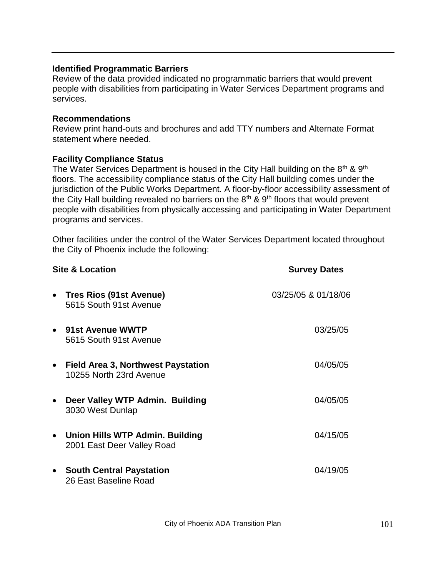#### **Identified Programmatic Barriers**

Review of the data provided indicated no programmatic barriers that would prevent people with disabilities from participating in Water Services Department programs and services.

#### **Recommendations**

Review print hand-outs and brochures and add TTY numbers and Alternate Format statement where needed.

#### **Facility Compliance Status**

The Water Services Department is housed in the City Hall building on the  $8<sup>th</sup>$  &  $9<sup>th</sup>$ floors. The accessibility compliance status of the City Hall building comes under the jurisdiction of the Public Works Department. A floor-by-floor accessibility assessment of the City Hall building revealed no barriers on the  $8<sup>th</sup>$  &  $9<sup>th</sup>$  floors that would prevent people with disabilities from physically accessing and participating in Water Department programs and services.

Other facilities under the control of the Water Services Department located throughout the City of Phoenix include the following:

| <b>Site &amp; Location</b> |                                                                      | <b>Survey Dates</b> |
|----------------------------|----------------------------------------------------------------------|---------------------|
| $\bullet$                  | <b>Tres Rios (91st Avenue)</b><br>5615 South 91st Avenue             | 03/25/05 & 01/18/06 |
|                            | • 91st Avenue WWTP<br>5615 South 91st Avenue                         | 03/25/05            |
| $\bullet$                  | <b>Field Area 3, Northwest Paystation</b><br>10255 North 23rd Avenue | 04/05/05            |
| $\bullet$                  | Deer Valley WTP Admin. Building<br>3030 West Dunlap                  | 04/05/05            |
| $\bullet$                  | Union Hills WTP Admin. Building<br>2001 East Deer Valley Road        | 04/15/05            |
|                            | • South Central Paystation<br>26 East Baseline Road                  | 04/19/05            |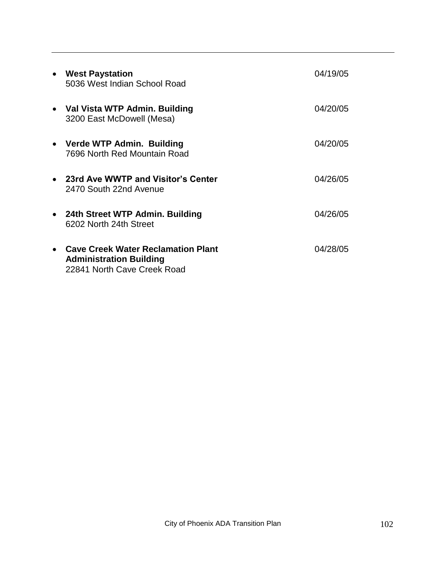| $\bullet$ | <b>West Paystation</b><br>5036 West Indian School Road                                                     | 04/19/05 |
|-----------|------------------------------------------------------------------------------------------------------------|----------|
|           | • Val Vista WTP Admin. Building<br>3200 East McDowell (Mesa)                                               | 04/20/05 |
| $\bullet$ | Verde WTP Admin. Building<br>7696 North Red Mountain Road                                                  | 04/20/05 |
|           | • 23rd Ave WWTP and Visitor's Center<br>2470 South 22nd Avenue                                             | 04/26/05 |
|           | • 24th Street WTP Admin. Building<br>6202 North 24th Street                                                | 04/26/05 |
| $\bullet$ | <b>Cave Creek Water Reclamation Plant</b><br><b>Administration Building</b><br>22841 North Cave Creek Road | 04/28/05 |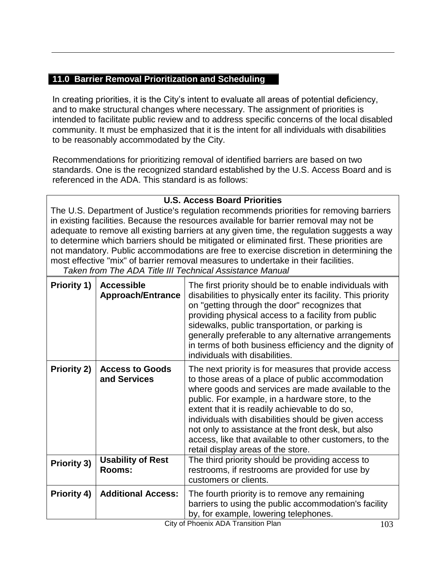# **11.0 Barrier Removal Prioritization and Scheduling**

In creating priorities, it is the City's intent to evaluate all areas of potential deficiency, and to make structural changes where necessary. The assignment of priorities is intended to facilitate public review and to address specific concerns of the local disabled community. It must be emphasized that it is the intent for all individuals with disabilities to be reasonably accommodated by the City.

Recommendations for prioritizing removal of identified barriers are based on two standards. One is the recognized standard established by the U.S. Access Board and is referenced in the ADA. This standard is as follows:

# **U.S. Access Board Priorities**

The U.S. Department of Justice's regulation recommends priorities for removing barriers in existing facilities. Because the resources available for barrier removal may not be adequate to remove all existing barriers at any given time, the regulation suggests a way to determine which barriers should be mitigated or eliminated first. These priorities are not mandatory. Public accommodations are free to exercise discretion in determining the most effective "mix" of barrier removal measures to undertake in their facilities.  *Taken from The ADA Title III Technical Assistance Manual*

| Priority 1)        | <b>Accessible</b><br><b>Approach/Entrance</b> | The first priority should be to enable individuals with<br>disabilities to physically enter its facility. This priority<br>on "getting through the door" recognizes that<br>providing physical access to a facility from public<br>sidewalks, public transportation, or parking is<br>generally preferable to any alternative arrangements<br>in terms of both business efficiency and the dignity of<br>individuals with disabilities.                                              |
|--------------------|-----------------------------------------------|--------------------------------------------------------------------------------------------------------------------------------------------------------------------------------------------------------------------------------------------------------------------------------------------------------------------------------------------------------------------------------------------------------------------------------------------------------------------------------------|
| <b>Priority 2)</b> | <b>Access to Goods</b><br>and Services        | The next priority is for measures that provide access<br>to those areas of a place of public accommodation<br>where goods and services are made available to the<br>public. For example, in a hardware store, to the<br>extent that it is readily achievable to do so,<br>individuals with disabilities should be given access<br>not only to assistance at the front desk, but also<br>access, like that available to other customers, to the<br>retail display areas of the store. |
| Priority 3)        | <b>Usability of Rest</b><br><b>Rooms:</b>     | The third priority should be providing access to<br>restrooms, if restrooms are provided for use by<br>customers or clients.                                                                                                                                                                                                                                                                                                                                                         |
| Priority 4)        | <b>Additional Access:</b>                     | The fourth priority is to remove any remaining<br>barriers to using the public accommodation's facility<br>by, for example, lowering telephones.                                                                                                                                                                                                                                                                                                                                     |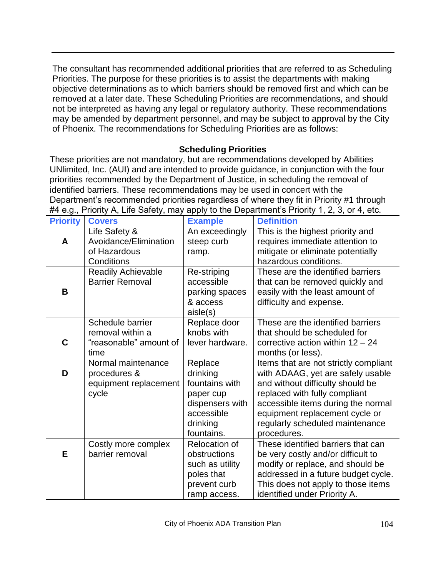The consultant has recommended additional priorities that are referred to as Scheduling Priorities. The purpose for these priorities is to assist the departments with making objective determinations as to which barriers should be removed first and which can be removed at a later date. These Scheduling Priorities are recommendations, and should not be interpreted as having any legal or regulatory authority. These recommendations may be amended by department personnel, and may be subject to approval by the City of Phoenix. The recommendations for Scheduling Priorities are as follows:

# **Scheduling Priorities**

These priorities are not mandatory, but are recommendations developed by Abilities UNlimited, Inc. (AUI) and are intended to provide guidance, in conjunction with the four priorities recommended by the Department of Justice, in scheduling the removal of identified barriers. These recommendations may be used in concert with the Department's recommended priorities regardless of where they fit in Priority #1 through #4 e.g., Priority A, Life Safety, may apply to the Department's Priority 1, 2, 3, or 4, etc.

|                           |                                                                                                                  | <b>Definition</b>                                                                                                                                                                                                                        |
|---------------------------|------------------------------------------------------------------------------------------------------------------|------------------------------------------------------------------------------------------------------------------------------------------------------------------------------------------------------------------------------------------|
|                           |                                                                                                                  | This is the highest priority and                                                                                                                                                                                                         |
|                           |                                                                                                                  | requires immediate attention to                                                                                                                                                                                                          |
| of Hazardous              | ramp.                                                                                                            | mitigate or eliminate potentially                                                                                                                                                                                                        |
| Conditions                |                                                                                                                  | hazardous conditions.                                                                                                                                                                                                                    |
| <b>Readily Achievable</b> | Re-striping                                                                                                      | These are the identified barriers                                                                                                                                                                                                        |
| <b>Barrier Removal</b>    | accessible                                                                                                       | that can be removed quickly and                                                                                                                                                                                                          |
|                           |                                                                                                                  | easily with the least amount of                                                                                                                                                                                                          |
|                           | & access                                                                                                         | difficulty and expense.                                                                                                                                                                                                                  |
|                           |                                                                                                                  |                                                                                                                                                                                                                                          |
| Schedule barrier          |                                                                                                                  | These are the identified barriers                                                                                                                                                                                                        |
| removal within a          | knobs with                                                                                                       | that should be scheduled for                                                                                                                                                                                                             |
| "reasonable" amount of    |                                                                                                                  | corrective action within $12 - 24$                                                                                                                                                                                                       |
| time                      |                                                                                                                  | months (or less).                                                                                                                                                                                                                        |
| Normal maintenance        | Replace                                                                                                          | Items that are not strictly compliant                                                                                                                                                                                                    |
| procedures &              |                                                                                                                  | with ADAAG, yet are safely usable                                                                                                                                                                                                        |
|                           | fountains with                                                                                                   | and without difficulty should be                                                                                                                                                                                                         |
|                           |                                                                                                                  | replaced with fully compliant                                                                                                                                                                                                            |
|                           |                                                                                                                  | accessible items during the normal                                                                                                                                                                                                       |
|                           | accessible                                                                                                       | equipment replacement cycle or                                                                                                                                                                                                           |
|                           |                                                                                                                  | regularly scheduled maintenance                                                                                                                                                                                                          |
|                           | fountains.                                                                                                       | procedures.                                                                                                                                                                                                                              |
|                           | <b>Relocation of</b>                                                                                             | These identified barriers that can                                                                                                                                                                                                       |
| barrier removal           |                                                                                                                  | be very costly and/or difficult to                                                                                                                                                                                                       |
|                           |                                                                                                                  | modify or replace, and should be                                                                                                                                                                                                         |
|                           |                                                                                                                  | addressed in a future budget cycle.                                                                                                                                                                                                      |
|                           |                                                                                                                  | This does not apply to those items                                                                                                                                                                                                       |
|                           | ramp access.                                                                                                     | identified under Priority A.                                                                                                                                                                                                             |
|                           | <b>Covers</b><br>Life Safety &<br>Avoidance/Elimination<br>equipment replacement<br>cycle<br>Costly more complex | <b>Example</b><br>An exceedingly<br>steep curb<br>parking spaces<br>aisle(s)<br>Replace door<br>lever hardware.<br>drinking<br>paper cup<br>dispensers with<br>drinking<br>obstructions<br>such as utility<br>poles that<br>prevent curb |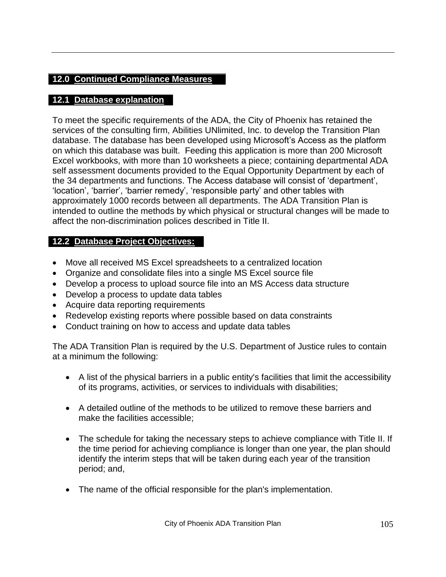### **12.0 Continued Compliance Measures**

### **12.1 Database explanation**

To meet the specific requirements of the ADA, the City of Phoenix has retained the services of the consulting firm, Abilities UNlimited, Inc. to develop the Transition Plan database. The database has been developed using Microsoft's Access as the platform on which this database was built. Feeding this application is more than 200 Microsoft Excel workbooks, with more than 10 worksheets a piece; containing departmental ADA self assessment documents provided to the Equal Opportunity Department by each of the 34 departments and functions. The Access database will consist of 'department', 'location', 'barrier', 'barrier remedy', 'responsible party' and other tables with approximately 1000 records between all departments. The ADA Transition Plan is intended to outline the methods by which physical or structural changes will be made to affect the non-discrimination polices described in Title II.

# **12.2 Database Project Objectives:**

- Move all received MS Excel spreadsheets to a centralized location
- Organize and consolidate files into a single MS Excel source file
- Develop a process to upload source file into an MS Access data structure
- Develop a process to update data tables
- Acquire data reporting requirements
- Redevelop existing reports where possible based on data constraints
- Conduct training on how to access and update data tables

The ADA Transition Plan is required by the U.S. Department of Justice rules to contain at a minimum the following:

- A list of the physical barriers in a public entity's facilities that limit the accessibility of its programs, activities, or services to individuals with disabilities;
- A detailed outline of the methods to be utilized to remove these barriers and make the facilities accessible;
- The schedule for taking the necessary steps to achieve compliance with Title II. If the time period for achieving compliance is longer than one year, the plan should identify the interim steps that will be taken during each year of the transition period; and,
- The name of the official responsible for the plan's implementation.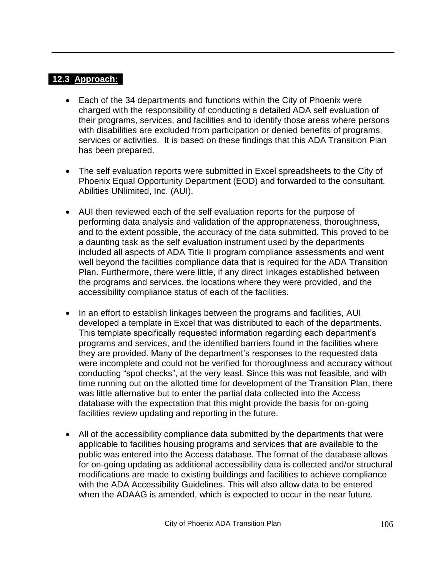#### **12.3 Approach:**

- Each of the 34 departments and functions within the City of Phoenix were charged with the responsibility of conducting a detailed ADA self evaluation of their programs, services, and facilities and to identify those areas where persons with disabilities are excluded from participation or denied benefits of programs, services or activities. It is based on these findings that this ADA Transition Plan has been prepared.
- The self evaluation reports were submitted in Excel spreadsheets to the City of Phoenix Equal Opportunity Department (EOD) and forwarded to the consultant, Abilities UNlimited, Inc. (AUI).
- AUI then reviewed each of the self evaluation reports for the purpose of performing data analysis and validation of the appropriateness, thoroughness, and to the extent possible, the accuracy of the data submitted. This proved to be a daunting task as the self evaluation instrument used by the departments included all aspects of ADA Title II program compliance assessments and went well beyond the facilities compliance data that is required for the ADA Transition Plan. Furthermore, there were little, if any direct linkages established between the programs and services, the locations where they were provided, and the accessibility compliance status of each of the facilities.
- In an effort to establish linkages between the programs and facilities, AUI developed a template in Excel that was distributed to each of the departments. This template specifically requested information regarding each department's programs and services, and the identified barriers found in the facilities where they are provided. Many of the department's responses to the requested data were incomplete and could not be verified for thoroughness and accuracy without conducting "spot checks", at the very least. Since this was not feasible, and with time running out on the allotted time for development of the Transition Plan, there was little alternative but to enter the partial data collected into the Access database with the expectation that this might provide the basis for on-going facilities review updating and reporting in the future.
- All of the accessibility compliance data submitted by the departments that were applicable to facilities housing programs and services that are available to the public was entered into the Access database. The format of the database allows for on-going updating as additional accessibility data is collected and/or structural modifications are made to existing buildings and facilities to achieve compliance with the ADA Accessibility Guidelines. This will also allow data to be entered when the ADAAG is amended, which is expected to occur in the near future.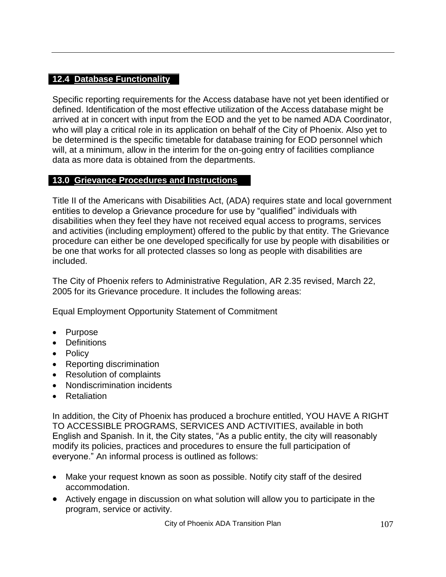### **12.4 Database Functionality**

Specific reporting requirements for the Access database have not yet been identified or defined. Identification of the most effective utilization of the Access database might be arrived at in concert with input from the EOD and the yet to be named ADA Coordinator, who will play a critical role in its application on behalf of the City of Phoenix. Also yet to be determined is the specific timetable for database training for EOD personnel which will, at a minimum, allow in the interim for the on-going entry of facilities compliance data as more data is obtained from the departments.

# **13.0 Grievance Procedures and Instructions**

Title II of the Americans with Disabilities Act, (ADA) requires state and local government entities to develop a Grievance procedure for use by "qualified" individuals with disabilities when they feel they have not received equal access to programs, services and activities (including employment) offered to the public by that entity. The Grievance procedure can either be one developed specifically for use by people with disabilities or be one that works for all protected classes so long as people with disabilities are included.

The City of Phoenix refers to Administrative Regulation, AR 2.35 revised, March 22, 2005 for its Grievance procedure. It includes the following areas:

Equal Employment Opportunity Statement of Commitment

- Purpose
- Definitions
- Policy
- Reporting discrimination
- Resolution of complaints
- Nondiscrimination incidents
- Retaliation

In addition, the City of Phoenix has produced a brochure entitled, YOU HAVE A RIGHT TO ACCESSIBLE PROGRAMS, SERVICES AND ACTIVITIES, available in both English and Spanish. In it, the City states, "As a public entity, the city will reasonably modify its policies, practices and procedures to ensure the full participation of everyone." An informal process is outlined as follows:

- Make your request known as soon as possible. Notify city staff of the desired accommodation.
- Actively engage in discussion on what solution will allow you to participate in the program, service or activity.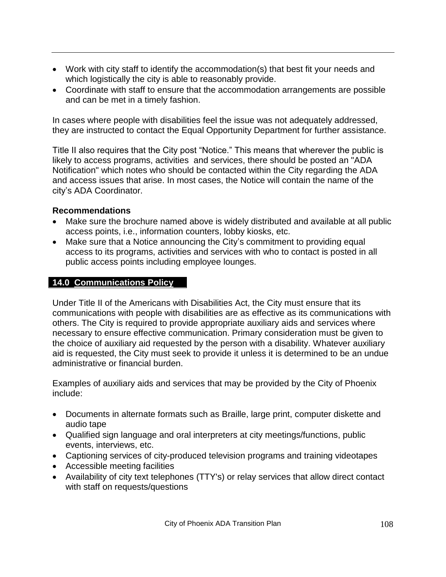- Work with city staff to identify the accommodation(s) that best fit your needs and which logistically the city is able to reasonably provide.
- Coordinate with staff to ensure that the accommodation arrangements are possible and can be met in a timely fashion.

In cases where people with disabilities feel the issue was not adequately addressed, they are instructed to contact the Equal Opportunity Department for further assistance.

Title II also requires that the City post "Notice." This means that wherever the public is likely to access programs, activities and services, there should be posted an "ADA Notification" which notes who should be contacted within the City regarding the ADA and access issues that arise. In most cases, the Notice will contain the name of the city's ADA Coordinator.

### **Recommendations**

- Make sure the brochure named above is widely distributed and available at all public access points, i.e., information counters, lobby kiosks, etc.
- Make sure that a Notice announcing the City's commitment to providing equal access to its programs, activities and services with who to contact is posted in all public access points including employee lounges.

#### **14.0 Communications Policy**

Under Title II of the Americans with Disabilities Act, the City must ensure that its communications with people with disabilities are as effective as its communications with others. The City is required to provide appropriate auxiliary aids and services where necessary to ensure effective communication. Primary consideration must be given to the choice of auxiliary aid requested by the person with a disability. Whatever auxiliary aid is requested, the City must seek to provide it unless it is determined to be an undue administrative or financial burden.

Examples of auxiliary aids and services that may be provided by the City of Phoenix include:

- Documents in alternate formats such as Braille, large print, computer diskette and audio tape
- Qualified sign language and oral interpreters at city meetings/functions, public events, interviews, etc.
- Captioning services of city-produced television programs and training videotapes
- Accessible meeting facilities
- Availability of city text telephones (TTY's) or relay services that allow direct contact with staff on requests/questions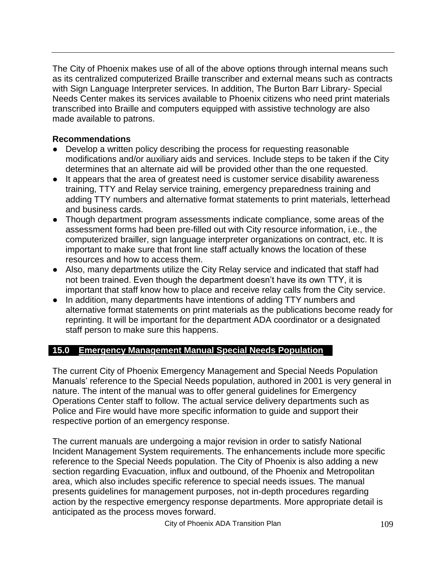The City of Phoenix makes use of all of the above options through internal means such as its centralized computerized Braille transcriber and external means such as contracts with Sign Language Interpreter services. In addition, The Burton Barr Library- Special Needs Center makes its services available to Phoenix citizens who need print materials transcribed into Braille and computers equipped with assistive technology are also made available to patrons.

# **Recommendations**

- Develop a written policy describing the process for requesting reasonable modifications and/or auxiliary aids and services. Include steps to be taken if the City determines that an alternate aid will be provided other than the one requested.
- It appears that the area of greatest need is customer service disability awareness training, TTY and Relay service training, emergency preparedness training and adding TTY numbers and alternative format statements to print materials, letterhead and business cards.
- Though department program assessments indicate compliance, some areas of the assessment forms had been pre-filled out with City resource information, i.e., the computerized brailler, sign language interpreter organizations on contract, etc. It is important to make sure that front line staff actually knows the location of these resources and how to access them.
- Also, many departments utilize the City Relay service and indicated that staff had not been trained. Even though the department doesn't have its own TTY, it is important that staff know how to place and receive relay calls from the City service.
- In addition, many departments have intentions of adding TTY numbers and alternative format statements on print materials as the publications become ready for reprinting. It will be important for the department ADA coordinator or a designated staff person to make sure this happens.

# **15.0 Emergency Management Manual Special Needs Population**

The current City of Phoenix Emergency Management and Special Needs Population Manuals' reference to the Special Needs population, authored in 2001 is very general in nature. The intent of the manual was to offer general guidelines for Emergency Operations Center staff to follow. The actual service delivery departments such as Police and Fire would have more specific information to guide and support their respective portion of an emergency response.

The current manuals are undergoing a major revision in order to satisfy National Incident Management System requirements. The enhancements include more specific reference to the Special Needs population. The City of Phoenix is also adding a new section regarding Evacuation, influx and outbound, of the Phoenix and Metropolitan area, which also includes specific reference to special needs issues. The manual presents guidelines for management purposes, not in-depth procedures regarding action by the respective emergency response departments. More appropriate detail is anticipated as the process moves forward.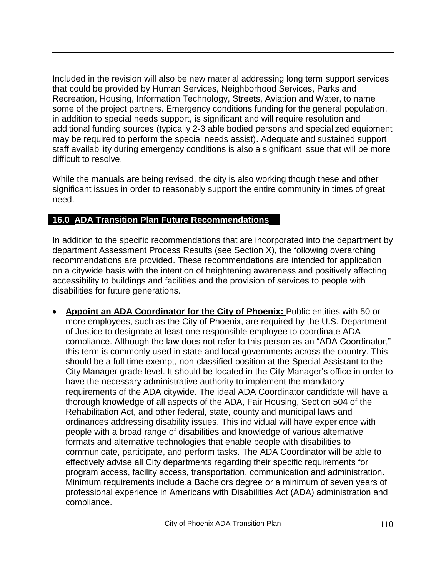Included in the revision will also be new material addressing long term support services that could be provided by Human Services, Neighborhood Services, Parks and Recreation, Housing, Information Technology, Streets, Aviation and Water, to name some of the project partners. Emergency conditions funding for the general population, in addition to special needs support, is significant and will require resolution and additional funding sources (typically 2-3 able bodied persons and specialized equipment may be required to perform the special needs assist). Adequate and sustained support staff availability during emergency conditions is also a significant issue that will be more difficult to resolve.

While the manuals are being revised, the city is also working though these and other significant issues in order to reasonably support the entire community in times of great need.

# **16.0 ADA Transition Plan Future Recommendations**

In addition to the specific recommendations that are incorporated into the department by department Assessment Process Results (see Section X), the following overarching recommendations are provided. These recommendations are intended for application on a citywide basis with the intention of heightening awareness and positively affecting accessibility to buildings and facilities and the provision of services to people with disabilities for future generations.

 **Appoint an ADA Coordinator for the City of Phoenix:** Public entities with 50 or more employees, such as the City of Phoenix, are required by the U.S. Department of Justice to designate at least one responsible employee to coordinate ADA compliance. Although the law does not refer to this person as an "ADA Coordinator," this term is commonly used in state and local governments across the country. This should be a full time exempt, non-classified position at the Special Assistant to the City Manager grade level. It should be located in the City Manager's office in order to have the necessary administrative authority to implement the mandatory requirements of the ADA citywide. The ideal ADA Coordinator candidate will have a thorough knowledge of all aspects of the ADA, Fair Housing, Section 504 of the Rehabilitation Act, and other federal, state, county and municipal laws and ordinances addressing disability issues. This individual will have experience with people with a broad range of disabilities and knowledge of various alternative formats and alternative technologies that enable people with disabilities to communicate, participate, and perform tasks. The ADA Coordinator will be able to effectively advise all City departments regarding their specific requirements for program access, facility access, transportation, communication and administration. Minimum requirements include a Bachelors degree or a minimum of seven years of professional experience in Americans with Disabilities Act (ADA) administration and compliance.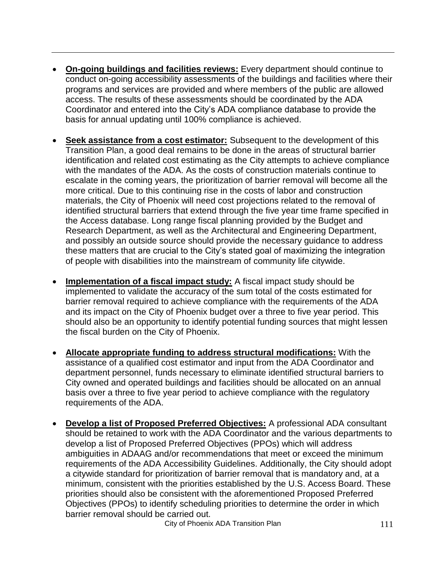- **On-going buildings and facilities reviews:** Every department should continue to conduct on-going accessibility assessments of the buildings and facilities where their programs and services are provided and where members of the public are allowed access. The results of these assessments should be coordinated by the ADA Coordinator and entered into the City's ADA compliance database to provide the basis for annual updating until 100% compliance is achieved.
- **Seek assistance from a cost estimator:** Subsequent to the development of this Transition Plan, a good deal remains to be done in the areas of structural barrier identification and related cost estimating as the City attempts to achieve compliance with the mandates of the ADA. As the costs of construction materials continue to escalate in the coming years, the prioritization of barrier removal will become all the more critical. Due to this continuing rise in the costs of labor and construction materials, the City of Phoenix will need cost projections related to the removal of identified structural barriers that extend through the five year time frame specified in the Access database. Long range fiscal planning provided by the Budget and Research Department, as well as the Architectural and Engineering Department, and possibly an outside source should provide the necessary guidance to address these matters that are crucial to the City's stated goal of maximizing the integration of people with disabilities into the mainstream of community life citywide.
- **Implementation of a fiscal impact study:** A fiscal impact study should be implemented to validate the accuracy of the sum total of the costs estimated for barrier removal required to achieve compliance with the requirements of the ADA and its impact on the City of Phoenix budget over a three to five year period. This should also be an opportunity to identify potential funding sources that might lessen the fiscal burden on the City of Phoenix.
- **Allocate appropriate funding to address structural modifications:** With the assistance of a qualified cost estimator and input from the ADA Coordinator and department personnel, funds necessary to eliminate identified structural barriers to City owned and operated buildings and facilities should be allocated on an annual basis over a three to five year period to achieve compliance with the regulatory requirements of the ADA.
- **Develop a list of Proposed Preferred Objectives:** A professional ADA consultant should be retained to work with the ADA Coordinator and the various departments to develop a list of Proposed Preferred Objectives (PPOs) which will address ambiguities in ADAAG and/or recommendations that meet or exceed the minimum requirements of the ADA Accessibility Guidelines. Additionally, the City should adopt a citywide standard for prioritization of barrier removal that is mandatory and, at a minimum, consistent with the priorities established by the U.S. Access Board. These priorities should also be consistent with the aforementioned Proposed Preferred Objectives (PPOs) to identify scheduling priorities to determine the order in which barrier removal should be carried out.

City of Phoenix ADA Transition Plan 111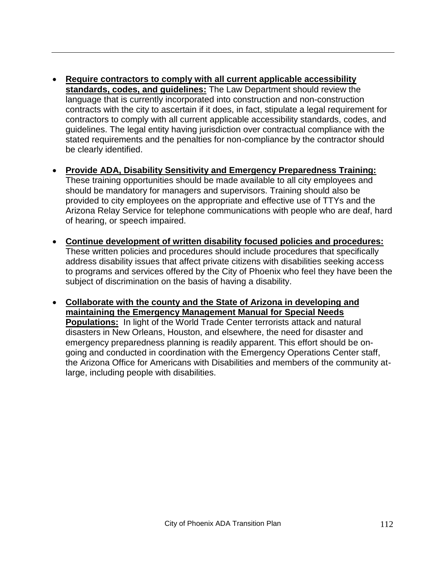- **Require contractors to comply with all current applicable accessibility standards, codes, and guidelines:** The Law Department should review the language that is currently incorporated into construction and non-construction contracts with the city to ascertain if it does, in fact, stipulate a legal requirement for contractors to comply with all current applicable accessibility standards, codes, and guidelines. The legal entity having jurisdiction over contractual compliance with the stated requirements and the penalties for non-compliance by the contractor should be clearly identified.
- **Provide ADA, Disability Sensitivity and Emergency Preparedness Training:** These training opportunities should be made available to all city employees and should be mandatory for managers and supervisors. Training should also be provided to city employees on the appropriate and effective use of TTYs and the Arizona Relay Service for telephone communications with people who are deaf, hard of hearing, or speech impaired.
- **Continue development of written disability focused policies and procedures:** These written policies and procedures should include procedures that specifically address disability issues that affect private citizens with disabilities seeking access to programs and services offered by the City of Phoenix who feel they have been the subject of discrimination on the basis of having a disability.
- **Collaborate with the county and the State of Arizona in developing and maintaining the Emergency Management Manual for Special Needs Populations:** In light of the World Trade Center terrorists attack and natural disasters in New Orleans, Houston, and elsewhere, the need for disaster and emergency preparedness planning is readily apparent. This effort should be ongoing and conducted in coordination with the Emergency Operations Center staff, the Arizona Office for Americans with Disabilities and members of the community atlarge, including people with disabilities.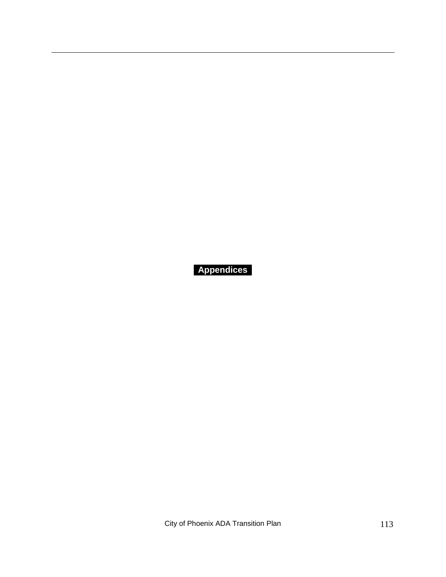**Appendices**

City of Phoenix ADA Transition Plan 113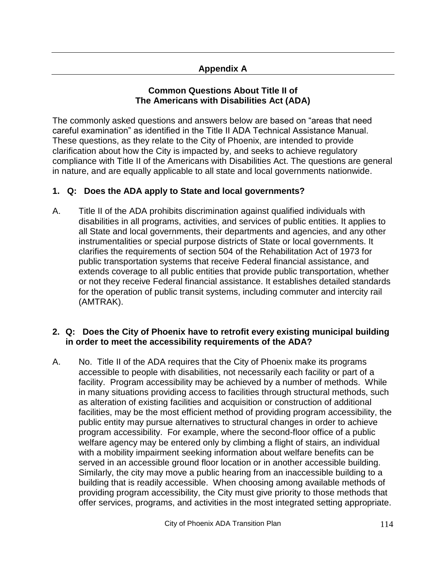# **Common Questions About Title II of The Americans with Disabilities Act (ADA)**

The commonly asked questions and answers below are based on "areas that need careful examination" as identified in the Title II ADA Technical Assistance Manual. These questions, as they relate to the City of Phoenix, are intended to provide clarification about how the City is impacted by, and seeks to achieve regulatory compliance with Title II of the Americans with Disabilities Act. The questions are general in nature, and are equally applicable to all state and local governments nationwide.

# **1. Q: Does the ADA apply to State and local governments?**

A. Title II of the ADA prohibits discrimination against qualified individuals with disabilities in all programs, activities, and services of public entities. It applies to all State and local governments, their departments and agencies, and any other instrumentalities or special purpose districts of State or local governments. It clarifies the requirements of section 504 of the Rehabilitation Act of 1973 for public transportation systems that receive Federal financial assistance, and extends coverage to all public entities that provide public transportation, whether or not they receive Federal financial assistance. It establishes detailed standards for the operation of public transit systems, including commuter and intercity rail (AMTRAK).

# **2. Q: Does the City of Phoenix have to retrofit every existing municipal building in order to meet the accessibility requirements of the ADA?**

A. No. Title II of the ADA requires that the City of Phoenix make its programs accessible to people with disabilities, not necessarily each facility or part of a facility. Program accessibility may be achieved by a number of methods. While in many situations providing access to facilities through structural methods, such as alteration of existing facilities and acquisition or construction of additional facilities, may be the most efficient method of providing program accessibility, the public entity may pursue alternatives to structural changes in order to achieve program accessibility. For example, where the second-floor office of a public welfare agency may be entered only by climbing a flight of stairs, an individual with a mobility impairment seeking information about welfare benefits can be served in an accessible ground floor location or in another accessible building. Similarly, the city may move a public hearing from an inaccessible building to a building that is readily accessible. When choosing among available methods of providing program accessibility, the City must give priority to those methods that offer services, programs, and activities in the most integrated setting appropriate.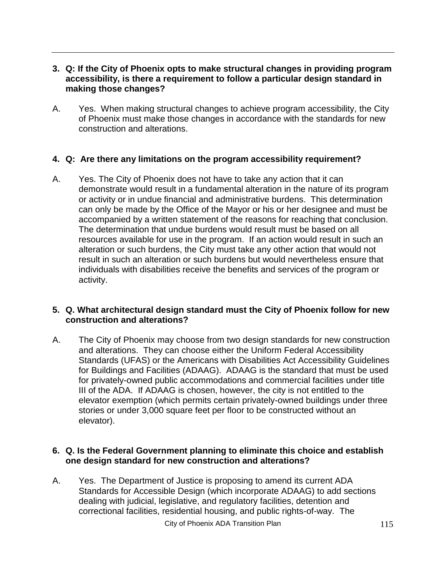#### **3. Q: If the City of Phoenix opts to make structural changes in providing program accessibility, is there a requirement to follow a particular design standard in making those changes?**

A. Yes. When making structural changes to achieve program accessibility, the City of Phoenix must make those changes in accordance with the standards for new construction and alterations.

# **4. Q: Are there any limitations on the program accessibility requirement?**

A. Yes. The City of Phoenix does not have to take any action that it can demonstrate would result in a fundamental alteration in the nature of its program or activity or in undue financial and administrative burdens. This determination can only be made by the Office of the Mayor or his or her designee and must be accompanied by a written statement of the reasons for reaching that conclusion. The determination that undue burdens would result must be based on all resources available for use in the program. If an action would result in such an alteration or such burdens, the City must take any other action that would not result in such an alteration or such burdens but would nevertheless ensure that individuals with disabilities receive the benefits and services of the program or activity.

#### **5. Q. What architectural design standard must the City of Phoenix follow for new construction and alterations?**

A. The City of Phoenix may choose from two design standards for new construction and alterations. They can choose either the Uniform Federal Accessibility Standards (UFAS) or the Americans with Disabilities Act Accessibility Guidelines for Buildings and Facilities (ADAAG). ADAAG is the standard that must be used for privately-owned public accommodations and commercial facilities under title III of the ADA. If ADAAG is chosen, however, the city is not entitled to the elevator exemption (which permits certain privately-owned buildings under three stories or under 3,000 square feet per floor to be constructed without an elevator).

### **6. Q. Is the Federal Government planning to eliminate this choice and establish one design standard for new construction and alterations?**

A. Yes. The Department of Justice is proposing to amend its current ADA Standards for Accessible Design (which incorporate ADAAG) to add sections dealing with judicial, legislative, and regulatory facilities, detention and correctional facilities, residential housing, and public rights-of-way. The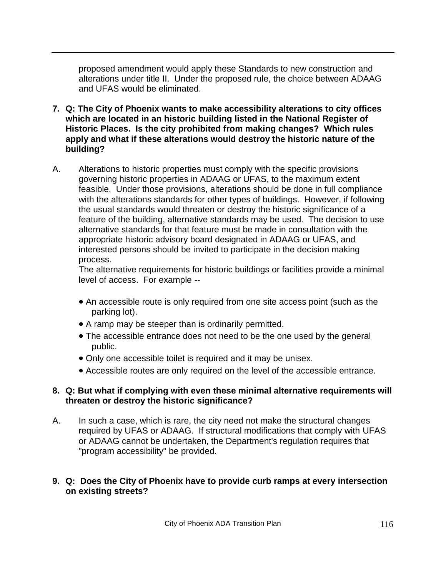proposed amendment would apply these Standards to new construction and alterations under title II. Under the proposed rule, the choice between ADAAG and UFAS would be eliminated.

- **7. Q: The City of Phoenix wants to make accessibility alterations to city offices which are located in an historic building listed in the National Register of Historic Places. Is the city prohibited from making changes? Which rules apply and what if these alterations would destroy the historic nature of the building?**
- A. Alterations to historic properties must comply with the specific provisions governing historic properties in ADAAG or UFAS, to the maximum extent feasible. Under those provisions, alterations should be done in full compliance with the alterations standards for other types of buildings. However, if following the usual standards would threaten or destroy the historic significance of a feature of the building, alternative standards may be used. The decision to use alternative standards for that feature must be made in consultation with the appropriate historic advisory board designated in ADAAG or UFAS, and interested persons should be invited to participate in the decision making process.

The alternative requirements for historic buildings or facilities provide a minimal level of access. For example --

- An accessible route is only required from one site access point (such as the parking lot).
- A ramp may be steeper than is ordinarily permitted.
- The accessible entrance does not need to be the one used by the general public.
- Only one accessible toilet is required and it may be unisex.
- Accessible routes are only required on the level of the accessible entrance.

# **8. Q: But what if complying with even these minimal alternative requirements will threaten or destroy the historic significance?**

- A. In such a case, which is rare, the city need not make the structural changes required by UFAS or ADAAG. If structural modifications that comply with UFAS or ADAAG cannot be undertaken, the Department's regulation requires that "program accessibility" be provided.
- **9. Q: Does the City of Phoenix have to provide curb ramps at every intersection on existing streets?**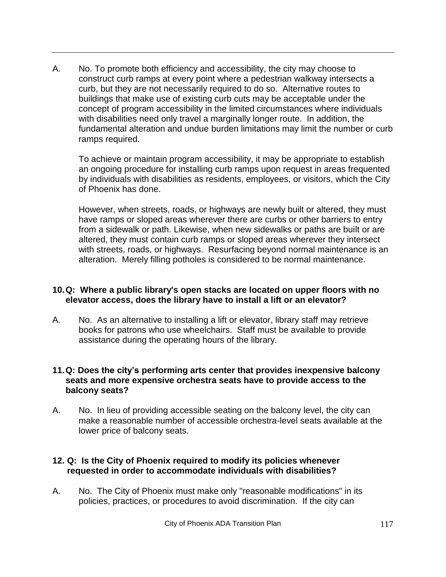A. No. To promote both efficiency and accessibility, the city may choose to construct curb ramps at every point where a pedestrian walkway intersects a curb, but they are not necessarily required to do so. Alternative routes to buildings that make use of existing curb cuts may be acceptable under the concept of program accessibility in the limited circumstances where individuals with disabilities need only travel a marginally longer route. In addition, the fundamental alteration and undue burden limitations may limit the number or curb ramps required.

To achieve or maintain program accessibility, it may be appropriate to establish an ongoing procedure for installing curb ramps upon request in areas frequented by individuals with disabilities as residents, employees, or visitors, which the City of Phoenix has done.

However, when streets, roads, or highways are newly built or altered, they must have ramps or sloped areas wherever there are curbs or other barriers to entry from a sidewalk or path. Likewise, when new sidewalks or paths are built or are altered, they must contain curb ramps or sloped areas wherever they intersect with streets, roads, or highways. Resurfacing beyond normal maintenance is an alteration. Merely filling potholes is considered to be normal maintenance.

### **10.Q: Where a public library's open stacks are located on upper floors with no elevator access, does the library have to install a lift or an elevator?**

A. No. As an alternative to installing a lift or elevator, library staff may retrieve books for patrons who use wheelchairs. Staff must be available to provide assistance during the operating hours of the library.

#### **11.Q: Does the city's performing arts center that provides inexpensive balcony seats and more expensive orchestra seats have to provide access to the balcony seats?**

A. No. In lieu of providing accessible seating on the balcony level, the city can make a reasonable number of accessible orchestra-level seats available at the lower price of balcony seats.

#### **12. Q: Is the City of Phoenix required to modify its policies whenever requested in order to accommodate individuals with disabilities?**

A. No. The City of Phoenix must make only "reasonable modifications" in its policies, practices, or procedures to avoid discrimination. If the city can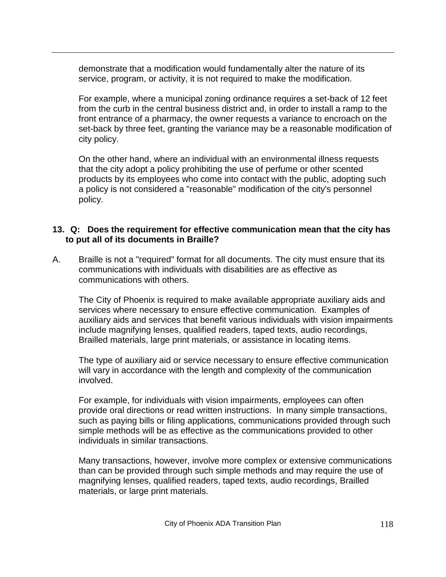demonstrate that a modification would fundamentally alter the nature of its service, program, or activity, it is not required to make the modification.

For example, where a municipal zoning ordinance requires a set-back of 12 feet from the curb in the central business district and, in order to install a ramp to the front entrance of a pharmacy, the owner requests a variance to encroach on the set-back by three feet, granting the variance may be a reasonable modification of city policy.

On the other hand, where an individual with an environmental illness requests that the city adopt a policy prohibiting the use of perfume or other scented products by its employees who come into contact with the public, adopting such a policy is not considered a "reasonable" modification of the city's personnel policy.

#### **13. Q: Does the requirement for effective communication mean that the city has to put all of its documents in Braille?**

A. Braille is not a "required" format for all documents. The city must ensure that its communications with individuals with disabilities are as effective as communications with others.

The City of Phoenix is required to make available appropriate auxiliary aids and services where necessary to ensure effective communication. Examples of auxiliary aids and services that benefit various individuals with vision impairments include magnifying lenses, qualified readers, taped texts, audio recordings, Brailled materials, large print materials, or assistance in locating items.

The type of auxiliary aid or service necessary to ensure effective communication will vary in accordance with the length and complexity of the communication involved.

For example, for individuals with vision impairments, employees can often provide oral directions or read written instructions. In many simple transactions, such as paying bills or filing applications, communications provided through such simple methods will be as effective as the communications provided to other individuals in similar transactions.

Many transactions, however, involve more complex or extensive communications than can be provided through such simple methods and may require the use of magnifying lenses, qualified readers, taped texts, audio recordings, Brailled materials, or large print materials.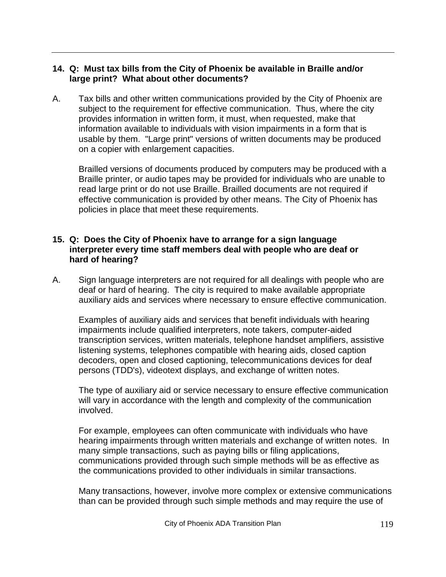### **14. Q: Must tax bills from the City of Phoenix be available in Braille and/or large print? What about other documents?**

A. Tax bills and other written communications provided by the City of Phoenix are subject to the requirement for effective communication. Thus, where the city provides information in written form, it must, when requested, make that information available to individuals with vision impairments in a form that is usable by them. "Large print" versions of written documents may be produced on a copier with enlargement capacities.

Brailled versions of documents produced by computers may be produced with a Braille printer, or audio tapes may be provided for individuals who are unable to read large print or do not use Braille. Brailled documents are not required if effective communication is provided by other means. The City of Phoenix has policies in place that meet these requirements.

### **15. Q: Does the City of Phoenix have to arrange for a sign language interpreter every time staff members deal with people who are deaf or hard of hearing?**

A. Sign language interpreters are not required for all dealings with people who are deaf or hard of hearing. The city is required to make available appropriate auxiliary aids and services where necessary to ensure effective communication.

Examples of auxiliary aids and services that benefit individuals with hearing impairments include qualified interpreters, note takers, computer-aided transcription services, written materials, telephone handset amplifiers, assistive listening systems, telephones compatible with hearing aids, closed caption decoders, open and closed captioning, telecommunications devices for deaf persons (TDD's), videotext displays, and exchange of written notes.

The type of auxiliary aid or service necessary to ensure effective communication will vary in accordance with the length and complexity of the communication involved.

For example, employees can often communicate with individuals who have hearing impairments through written materials and exchange of written notes. In many simple transactions, such as paying bills or filing applications, communications provided through such simple methods will be as effective as the communications provided to other individuals in similar transactions.

Many transactions, however, involve more complex or extensive communications than can be provided through such simple methods and may require the use of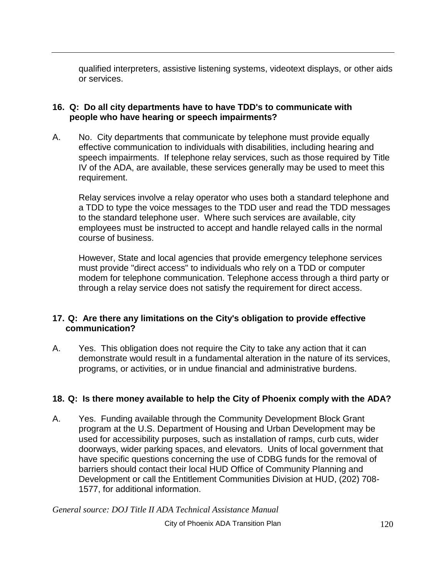qualified interpreters, assistive listening systems, videotext displays, or other aids or services.

### **16. Q: Do all city departments have to have TDD's to communicate with people who have hearing or speech impairments?**

A. No. City departments that communicate by telephone must provide equally effective communication to individuals with disabilities, including hearing and speech impairments. If telephone relay services, such as those required by Title IV of the ADA, are available, these services generally may be used to meet this requirement.

Relay services involve a relay operator who uses both a standard telephone and a TDD to type the voice messages to the TDD user and read the TDD messages to the standard telephone user. Where such services are available, city employees must be instructed to accept and handle relayed calls in the normal course of business.

However, State and local agencies that provide emergency telephone services must provide "direct access" to individuals who rely on a TDD or computer modem for telephone communication. Telephone access through a third party or through a relay service does not satisfy the requirement for direct access.

### **17. Q: Are there any limitations on the City's obligation to provide effective communication?**

A. Yes. This obligation does not require the City to take any action that it can demonstrate would result in a fundamental alteration in the nature of its services, programs, or activities, or in undue financial and administrative burdens.

# **18. Q: Is there money available to help the City of Phoenix comply with the ADA?**

A. Yes. Funding available through the Community Development Block Grant program at the U.S. Department of Housing and Urban Development may be used for accessibility purposes, such as installation of ramps, curb cuts, wider doorways, wider parking spaces, and elevators. Units of local government that have specific questions concerning the use of CDBG funds for the removal of barriers should contact their local HUD Office of Community Planning and Development or call the Entitlement Communities Division at HUD, (202) 708- 1577, for additional information.

*General source: DOJ Title II ADA Technical Assistance Manual*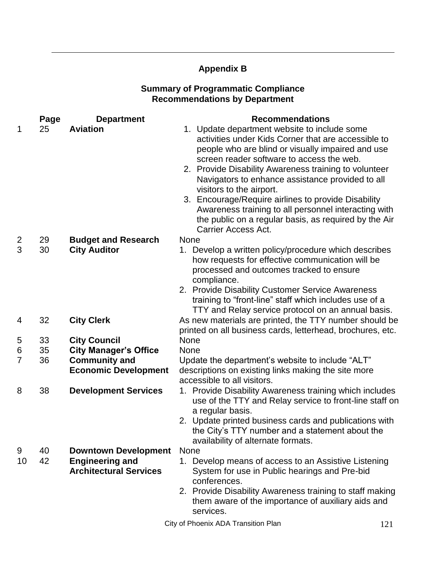# **Appendix B**

#### **Summary of Programmatic Compliance Recommendations by Department**

|                               | Page                 | <b>Department</b>                                                                                                                         | <b>Recommendations</b>                                                                                                                                                                                                                                                                                                                                                                                                                                                                                                                               |     |
|-------------------------------|----------------------|-------------------------------------------------------------------------------------------------------------------------------------------|------------------------------------------------------------------------------------------------------------------------------------------------------------------------------------------------------------------------------------------------------------------------------------------------------------------------------------------------------------------------------------------------------------------------------------------------------------------------------------------------------------------------------------------------------|-----|
| 1                             | 25                   | <b>Aviation</b>                                                                                                                           | 1. Update department website to include some<br>activities under Kids Corner that are accessible to<br>people who are blind or visually impaired and use<br>screen reader software to access the web.<br>2. Provide Disability Awareness training to volunteer<br>Navigators to enhance assistance provided to all<br>visitors to the airport.<br>3. Encourage/Require airlines to provide Disability<br>Awareness training to all personnel interacting with<br>the public on a regular basis, as required by the Air<br><b>Carrier Access Act.</b> |     |
| $\overline{2}$                | 29                   | <b>Budget and Research</b>                                                                                                                | None                                                                                                                                                                                                                                                                                                                                                                                                                                                                                                                                                 |     |
| 3                             | 30                   | <b>City Auditor</b>                                                                                                                       | 1. Develop a written policy/procedure which describes<br>how requests for effective communication will be<br>processed and outcomes tracked to ensure<br>compliance.<br>2. Provide Disability Customer Service Awareness<br>training to "front-line" staff which includes use of a<br>TTY and Relay service protocol on an annual basis.                                                                                                                                                                                                             |     |
| 4                             | 32                   | <b>City Clerk</b>                                                                                                                         | As new materials are printed, the TTY number should be                                                                                                                                                                                                                                                                                                                                                                                                                                                                                               |     |
| 5<br>6<br>$\overline{7}$<br>8 | 33<br>35<br>36<br>38 | <b>City Council</b><br><b>City Manager's Office</b><br><b>Community and</b><br><b>Economic Development</b><br><b>Development Services</b> | printed on all business cards, letterhead, brochures, etc.<br>None<br>None<br>Update the department's website to include "ALT"<br>descriptions on existing links making the site more<br>accessible to all visitors.<br>1. Provide Disability Awareness training which includes                                                                                                                                                                                                                                                                      |     |
|                               |                      |                                                                                                                                           | use of the TTY and Relay service to front-line staff on<br>a regular basis.<br>2. Update printed business cards and publications with<br>the City's TTY number and a statement about the<br>availability of alternate formats.                                                                                                                                                                                                                                                                                                                       |     |
| 9                             | 40                   | <b>Downtown Development</b>                                                                                                               | <b>None</b>                                                                                                                                                                                                                                                                                                                                                                                                                                                                                                                                          |     |
| 10                            | 42                   | <b>Engineering and</b><br><b>Architectural Services</b>                                                                                   | 1. Develop means of access to an Assistive Listening<br>System for use in Public hearings and Pre-bid<br>conferences.<br>2. Provide Disability Awareness training to staff making<br>them aware of the importance of auxiliary aids and<br>services.<br>City of Phoenix ADA Transition Plan                                                                                                                                                                                                                                                          | 121 |
|                               |                      |                                                                                                                                           |                                                                                                                                                                                                                                                                                                                                                                                                                                                                                                                                                      |     |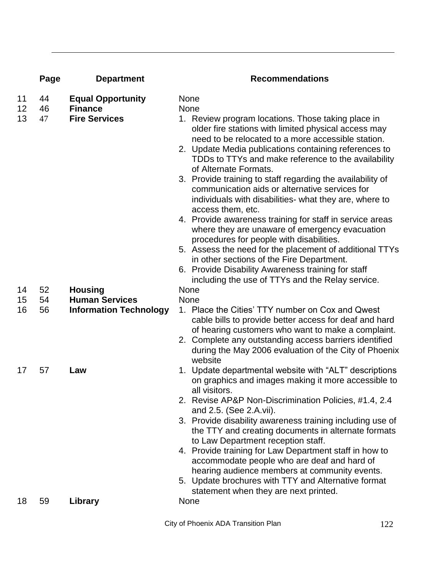|                | Page           | <b>Department</b>                                                  | <b>Recommendations</b>                                                                                                                                                                                                                                                                                                                                                                                                                                                                                                                                                                                                                                                                                                                                                                                                                                                                                             |
|----------------|----------------|--------------------------------------------------------------------|--------------------------------------------------------------------------------------------------------------------------------------------------------------------------------------------------------------------------------------------------------------------------------------------------------------------------------------------------------------------------------------------------------------------------------------------------------------------------------------------------------------------------------------------------------------------------------------------------------------------------------------------------------------------------------------------------------------------------------------------------------------------------------------------------------------------------------------------------------------------------------------------------------------------|
| 11<br>12<br>13 | 44<br>46<br>47 | <b>Equal Opportunity</b><br><b>Finance</b><br><b>Fire Services</b> | <b>None</b><br><b>None</b><br>1. Review program locations. Those taking place in<br>older fire stations with limited physical access may<br>need to be relocated to a more accessible station.<br>2. Update Media publications containing references to<br>TDDs to TTYs and make reference to the availability<br>of Alternate Formats.<br>3. Provide training to staff regarding the availability of<br>communication aids or alternative services for<br>individuals with disabilities- what they are, where to<br>access them, etc.<br>4. Provide awareness training for staff in service areas<br>where they are unaware of emergency evacuation<br>procedures for people with disabilities.<br>5. Assess the need for the placement of additional TTYs<br>in other sections of the Fire Department.<br>6. Provide Disability Awareness training for staff<br>including the use of TTYs and the Relay service. |
| 14<br>15       | 52<br>54       | <b>Housing</b><br><b>Human Services</b>                            | <b>None</b><br><b>None</b>                                                                                                                                                                                                                                                                                                                                                                                                                                                                                                                                                                                                                                                                                                                                                                                                                                                                                         |
| 16             | 56             | <b>Information Technology</b>                                      | 1. Place the Cities' TTY number on Cox and Qwest<br>cable bills to provide better access for deaf and hard<br>of hearing customers who want to make a complaint.<br>2. Complete any outstanding access barriers identified<br>during the May 2006 evaluation of the City of Phoenix<br>website                                                                                                                                                                                                                                                                                                                                                                                                                                                                                                                                                                                                                     |
| 17             | 57             | Law                                                                | 1. Update departmental website with "ALT" descriptions<br>on graphics and images making it more accessible to<br>all visitors.<br>2. Revise AP&P Non-Discrimination Policies, #1.4, 2.4<br>and 2.5. (See 2.A.vii).<br>3. Provide disability awareness training including use of<br>the TTY and creating documents in alternate formats<br>to Law Department reception staff.<br>4. Provide training for Law Department staff in how to<br>accommodate people who are deaf and hard of<br>hearing audience members at community events.<br>5. Update brochures with TTY and Alternative format<br>statement when they are next printed.                                                                                                                                                                                                                                                                             |
| 18             | 59             | Library                                                            | None                                                                                                                                                                                                                                                                                                                                                                                                                                                                                                                                                                                                                                                                                                                                                                                                                                                                                                               |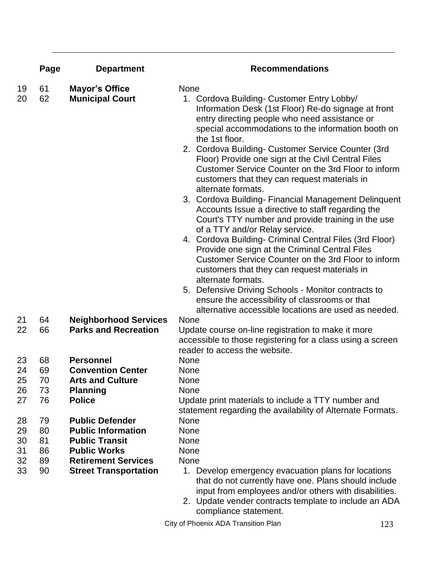|          | Page     | <b>Department</b>                                           | <b>Recommendations</b>                                                                                                                                                                                                                                                                                                                                                                                                                                                                                                                                                                                                                                                                                                                                                                                                                                                                                                                                                                                                                                                                             |
|----------|----------|-------------------------------------------------------------|----------------------------------------------------------------------------------------------------------------------------------------------------------------------------------------------------------------------------------------------------------------------------------------------------------------------------------------------------------------------------------------------------------------------------------------------------------------------------------------------------------------------------------------------------------------------------------------------------------------------------------------------------------------------------------------------------------------------------------------------------------------------------------------------------------------------------------------------------------------------------------------------------------------------------------------------------------------------------------------------------------------------------------------------------------------------------------------------------|
| 19<br>20 | 61<br>62 | <b>Mayor's Office</b><br><b>Municipal Court</b>             | <b>None</b><br>1. Cordova Building- Customer Entry Lobby/<br>Information Desk (1st Floor) Re-do signage at front<br>entry directing people who need assistance or<br>special accommodations to the information booth on<br>the 1st floor.<br>2. Cordova Building- Customer Service Counter (3rd<br>Floor) Provide one sign at the Civil Central Files<br>Customer Service Counter on the 3rd Floor to inform<br>customers that they can request materials in<br>alternate formats.<br>3. Cordova Building- Financial Management Delinquent<br>Accounts Issue a directive to staff regarding the<br>Court's TTY number and provide training in the use<br>of a TTY and/or Relay service.<br>4. Cordova Building- Criminal Central Files (3rd Floor)<br>Provide one sign at the Criminal Central Files<br>Customer Service Counter on the 3rd Floor to inform<br>customers that they can request materials in<br>alternate formats.<br>5. Defensive Driving Schools - Monitor contracts to<br>ensure the accessibility of classrooms or that<br>alternative accessible locations are used as needed. |
| 21<br>22 | 64<br>66 | <b>Neighborhood Services</b><br><b>Parks and Recreation</b> | None<br>Update course on-line registration to make it more<br>accessible to those registering for a class using a screen<br>reader to access the website.                                                                                                                                                                                                                                                                                                                                                                                                                                                                                                                                                                                                                                                                                                                                                                                                                                                                                                                                          |
| 23       | 68       | <b>Personnel</b>                                            | None                                                                                                                                                                                                                                                                                                                                                                                                                                                                                                                                                                                                                                                                                                                                                                                                                                                                                                                                                                                                                                                                                               |
| 24       | 69       | <b>Convention Center</b>                                    | <b>None</b>                                                                                                                                                                                                                                                                                                                                                                                                                                                                                                                                                                                                                                                                                                                                                                                                                                                                                                                                                                                                                                                                                        |
| 25       | 70       | <b>Arts and Culture</b>                                     | <b>None</b>                                                                                                                                                                                                                                                                                                                                                                                                                                                                                                                                                                                                                                                                                                                                                                                                                                                                                                                                                                                                                                                                                        |
| 26       | 73       | <b>Planning</b>                                             | None                                                                                                                                                                                                                                                                                                                                                                                                                                                                                                                                                                                                                                                                                                                                                                                                                                                                                                                                                                                                                                                                                               |
| 27       | 76       | <b>Police</b>                                               | Update print materials to include a TTY number and<br>statement regarding the availability of Alternate Formats.                                                                                                                                                                                                                                                                                                                                                                                                                                                                                                                                                                                                                                                                                                                                                                                                                                                                                                                                                                                   |
| 28       | 79       | <b>Public Defender</b>                                      | <b>None</b>                                                                                                                                                                                                                                                                                                                                                                                                                                                                                                                                                                                                                                                                                                                                                                                                                                                                                                                                                                                                                                                                                        |
| 29       | 80       | <b>Public Information</b>                                   | <b>None</b>                                                                                                                                                                                                                                                                                                                                                                                                                                                                                                                                                                                                                                                                                                                                                                                                                                                                                                                                                                                                                                                                                        |
| 30       | 81       | <b>Public Transit</b>                                       | <b>None</b>                                                                                                                                                                                                                                                                                                                                                                                                                                                                                                                                                                                                                                                                                                                                                                                                                                                                                                                                                                                                                                                                                        |
| 31       | 86       | <b>Public Works</b>                                         | None                                                                                                                                                                                                                                                                                                                                                                                                                                                                                                                                                                                                                                                                                                                                                                                                                                                                                                                                                                                                                                                                                               |
| 32       | 89       | <b>Retirement Services</b>                                  | None                                                                                                                                                                                                                                                                                                                                                                                                                                                                                                                                                                                                                                                                                                                                                                                                                                                                                                                                                                                                                                                                                               |
| 33       | 90       | <b>Street Transportation</b>                                | 1. Develop emergency evacuation plans for locations<br>that do not currently have one. Plans should include<br>input from employees and/or others with disabilities.<br>Update vender contracts template to include an ADA<br>2.                                                                                                                                                                                                                                                                                                                                                                                                                                                                                                                                                                                                                                                                                                                                                                                                                                                                   |

compliance statement.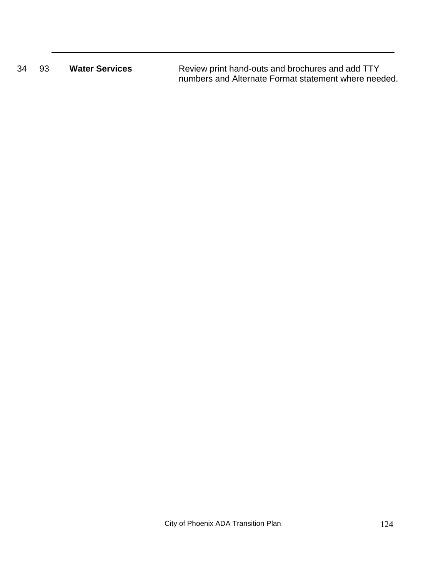34 93 **Water Services** Review print hand-outs and brochures and add TTY numbers and Alternate Format statement where needed.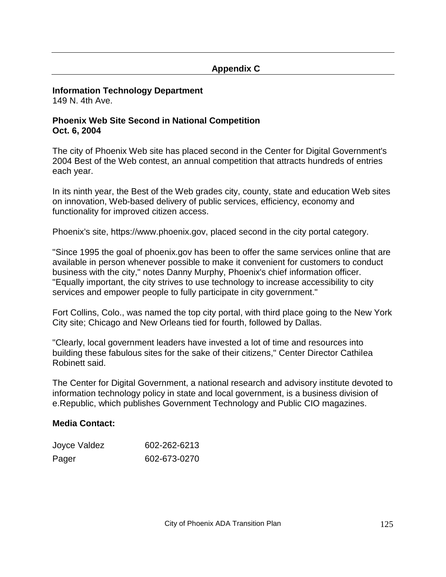#### **Information Technology Department**  149 N. 4th Ave.

# **Phoenix Web Site Second in National Competition Oct. 6, 2004**

The city of Phoenix Web site has placed second in the Center for Digital Government's 2004 Best of the Web contest, an annual competition that attracts hundreds of entries each year.

In its ninth year, the Best of the Web grades city, county, state and education Web sites on innovation, Web-based delivery of public services, efficiency, economy and functionality for improved citizen access.

Phoenix's site, https://www.phoenix.gov, placed second in the city portal category.

"Since 1995 the goal of phoenix.gov has been to offer the same services online that are available in person whenever possible to make it convenient for customers to conduct business with the city," notes Danny Murphy, Phoenix's chief information officer. "Equally important, the city strives to use technology to increase accessibility to city services and empower people to fully participate in city government."

Fort Collins, Colo., was named the top city portal, with third place going to the New York City site; Chicago and New Orleans tied for fourth, followed by Dallas.

"Clearly, local government leaders have invested a lot of time and resources into building these fabulous sites for the sake of their citizens," Center Director Cathilea Robinett said.

The Center for Digital Government, a national research and advisory institute devoted to information technology policy in state and local government, is a business division of e.Republic, which publishes Government Technology and Public CIO magazines.

# **Media Contact:**

| Joyce Valdez | 602-262-6213 |
|--------------|--------------|
| Pager        | 602-673-0270 |